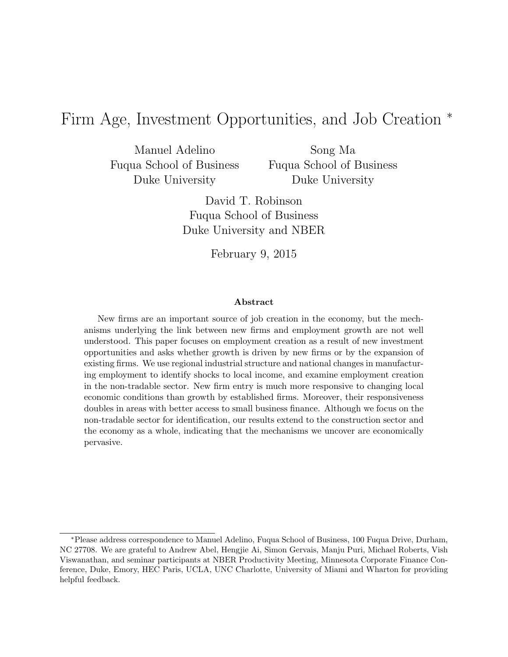# Firm Age, Investment Opportunities, and Job Creation <sup>∗</sup>

Manuel Adelino Fuqua School of Business Duke University

Song Ma Fuqua School of Business Duke University

David T. Robinson Fuqua School of Business Duke University and NBER

February 9, 2015

#### Abstract

New firms are an important source of job creation in the economy, but the mechanisms underlying the link between new firms and employment growth are not well understood. This paper focuses on employment creation as a result of new investment opportunities and asks whether growth is driven by new firms or by the expansion of existing firms. We use regional industrial structure and national changes in manufacturing employment to identify shocks to local income, and examine employment creation in the non-tradable sector. New firm entry is much more responsive to changing local economic conditions than growth by established firms. Moreover, their responsiveness doubles in areas with better access to small business finance. Although we focus on the non-tradable sector for identification, our results extend to the construction sector and the economy as a whole, indicating that the mechanisms we uncover are economically pervasive.

<sup>∗</sup>Please address correspondence to Manuel Adelino, Fuqua School of Business, 100 Fuqua Drive, Durham, NC 27708. We are grateful to Andrew Abel, Hengjie Ai, Simon Gervais, Manju Puri, Michael Roberts, Vish Viswanathan, and seminar participants at NBER Productivity Meeting, Minnesota Corporate Finance Conference, Duke, Emory, HEC Paris, UCLA, UNC Charlotte, University of Miami and Wharton for providing helpful feedback.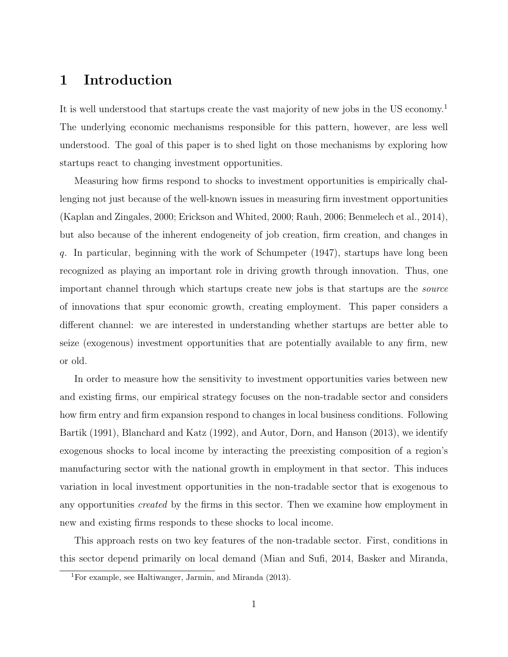# 1 Introduction

It is well understood that startups create the vast majority of new jobs in the US economy.<sup>1</sup> The underlying economic mechanisms responsible for this pattern, however, are less well understood. The goal of this paper is to shed light on those mechanisms by exploring how startups react to changing investment opportunities.

Measuring how firms respond to shocks to investment opportunities is empirically challenging not just because of the well-known issues in measuring firm investment opportunities (Kaplan and Zingales, 2000; Erickson and Whited, 2000; Rauh, 2006; Benmelech et al., 2014), but also because of the inherent endogeneity of job creation, firm creation, and changes in q. In particular, beginning with the work of Schumpeter (1947), startups have long been recognized as playing an important role in driving growth through innovation. Thus, one important channel through which startups create new jobs is that startups are the source of innovations that spur economic growth, creating employment. This paper considers a different channel: we are interested in understanding whether startups are better able to seize (exogenous) investment opportunities that are potentially available to any firm, new or old.

In order to measure how the sensitivity to investment opportunities varies between new and existing firms, our empirical strategy focuses on the non-tradable sector and considers how firm entry and firm expansion respond to changes in local business conditions. Following Bartik (1991), Blanchard and Katz (1992), and Autor, Dorn, and Hanson (2013), we identify exogenous shocks to local income by interacting the preexisting composition of a region's manufacturing sector with the national growth in employment in that sector. This induces variation in local investment opportunities in the non-tradable sector that is exogenous to any opportunities created by the firms in this sector. Then we examine how employment in new and existing firms responds to these shocks to local income.

This approach rests on two key features of the non-tradable sector. First, conditions in this sector depend primarily on local demand (Mian and Sufi, 2014, Basker and Miranda,

<sup>1</sup>For example, see Haltiwanger, Jarmin, and Miranda (2013).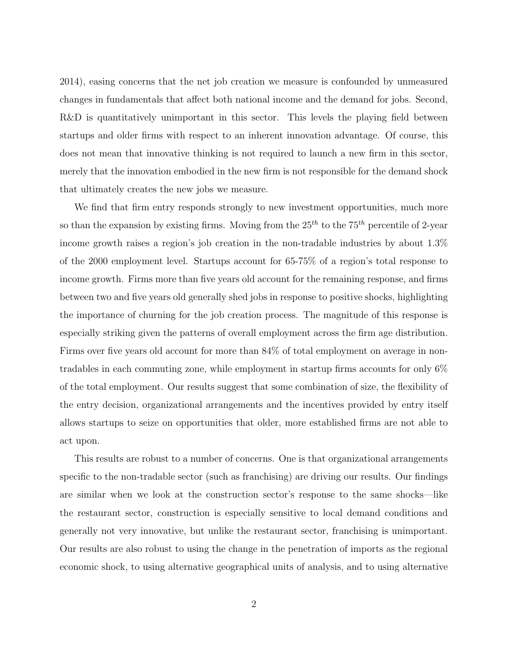2014), easing concerns that the net job creation we measure is confounded by unmeasured changes in fundamentals that affect both national income and the demand for jobs. Second, R&D is quantitatively unimportant in this sector. This levels the playing field between startups and older firms with respect to an inherent innovation advantage. Of course, this does not mean that innovative thinking is not required to launch a new firm in this sector, merely that the innovation embodied in the new firm is not responsible for the demand shock that ultimately creates the new jobs we measure.

We find that firm entry responds strongly to new investment opportunities, much more so than the expansion by existing firms. Moving from the  $25<sup>th</sup>$  to the  $75<sup>th</sup>$  percentile of 2-year income growth raises a region's job creation in the non-tradable industries by about 1.3% of the 2000 employment level. Startups account for 65-75% of a region's total response to income growth. Firms more than five years old account for the remaining response, and firms between two and five years old generally shed jobs in response to positive shocks, highlighting the importance of churning for the job creation process. The magnitude of this response is especially striking given the patterns of overall employment across the firm age distribution. Firms over five years old account for more than 84% of total employment on average in nontradables in each commuting zone, while employment in startup firms accounts for only 6% of the total employment. Our results suggest that some combination of size, the flexibility of the entry decision, organizational arrangements and the incentives provided by entry itself allows startups to seize on opportunities that older, more established firms are not able to act upon.

This results are robust to a number of concerns. One is that organizational arrangements specific to the non-tradable sector (such as franchising) are driving our results. Our findings are similar when we look at the construction sector's response to the same shocks—like the restaurant sector, construction is especially sensitive to local demand conditions and generally not very innovative, but unlike the restaurant sector, franchising is unimportant. Our results are also robust to using the change in the penetration of imports as the regional economic shock, to using alternative geographical units of analysis, and to using alternative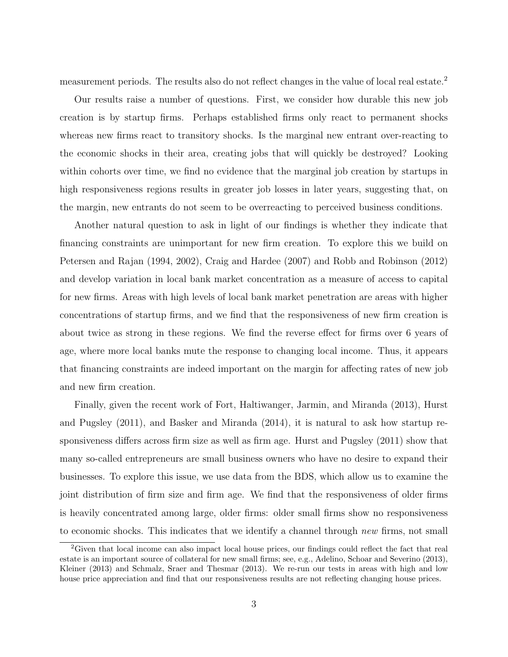measurement periods. The results also do not reflect changes in the value of local real estate.<sup>2</sup>

Our results raise a number of questions. First, we consider how durable this new job creation is by startup firms. Perhaps established firms only react to permanent shocks whereas new firms react to transitory shocks. Is the marginal new entrant over-reacting to the economic shocks in their area, creating jobs that will quickly be destroyed? Looking within cohorts over time, we find no evidence that the marginal job creation by startups in high responsiveness regions results in greater job losses in later years, suggesting that, on the margin, new entrants do not seem to be overreacting to perceived business conditions.

Another natural question to ask in light of our findings is whether they indicate that financing constraints are unimportant for new firm creation. To explore this we build on Petersen and Rajan (1994, 2002), Craig and Hardee (2007) and Robb and Robinson (2012) and develop variation in local bank market concentration as a measure of access to capital for new firms. Areas with high levels of local bank market penetration are areas with higher concentrations of startup firms, and we find that the responsiveness of new firm creation is about twice as strong in these regions. We find the reverse effect for firms over 6 years of age, where more local banks mute the response to changing local income. Thus, it appears that financing constraints are indeed important on the margin for affecting rates of new job and new firm creation.

Finally, given the recent work of Fort, Haltiwanger, Jarmin, and Miranda (2013), Hurst and Pugsley (2011), and Basker and Miranda (2014), it is natural to ask how startup responsiveness differs across firm size as well as firm age. Hurst and Pugsley (2011) show that many so-called entrepreneurs are small business owners who have no desire to expand their businesses. To explore this issue, we use data from the BDS, which allow us to examine the joint distribution of firm size and firm age. We find that the responsiveness of older firms is heavily concentrated among large, older firms: older small firms show no responsiveness to economic shocks. This indicates that we identify a channel through new firms, not small

<sup>&</sup>lt;sup>2</sup>Given that local income can also impact local house prices, our findings could reflect the fact that real estate is an important source of collateral for new small firms; see, e.g., Adelino, Schoar and Severino (2013), Kleiner (2013) and Schmalz, Sraer and Thesmar (2013). We re-run our tests in areas with high and low house price appreciation and find that our responsiveness results are not reflecting changing house prices.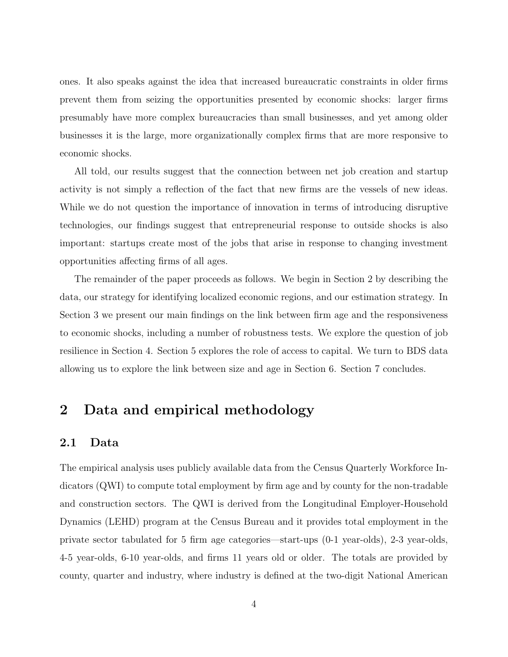ones. It also speaks against the idea that increased bureaucratic constraints in older firms prevent them from seizing the opportunities presented by economic shocks: larger firms presumably have more complex bureaucracies than small businesses, and yet among older businesses it is the large, more organizationally complex firms that are more responsive to economic shocks.

All told, our results suggest that the connection between net job creation and startup activity is not simply a reflection of the fact that new firms are the vessels of new ideas. While we do not question the importance of innovation in terms of introducing disruptive technologies, our findings suggest that entrepreneurial response to outside shocks is also important: startups create most of the jobs that arise in response to changing investment opportunities affecting firms of all ages.

The remainder of the paper proceeds as follows. We begin in Section 2 by describing the data, our strategy for identifying localized economic regions, and our estimation strategy. In Section 3 we present our main findings on the link between firm age and the responsiveness to economic shocks, including a number of robustness tests. We explore the question of job resilience in Section 4. Section 5 explores the role of access to capital. We turn to BDS data allowing us to explore the link between size and age in Section 6. Section 7 concludes.

# 2 Data and empirical methodology

## 2.1 Data

The empirical analysis uses publicly available data from the Census Quarterly Workforce Indicators (QWI) to compute total employment by firm age and by county for the non-tradable and construction sectors. The QWI is derived from the Longitudinal Employer-Household Dynamics (LEHD) program at the Census Bureau and it provides total employment in the private sector tabulated for 5 firm age categories—start-ups (0-1 year-olds), 2-3 year-olds, 4-5 year-olds, 6-10 year-olds, and firms 11 years old or older. The totals are provided by county, quarter and industry, where industry is defined at the two-digit National American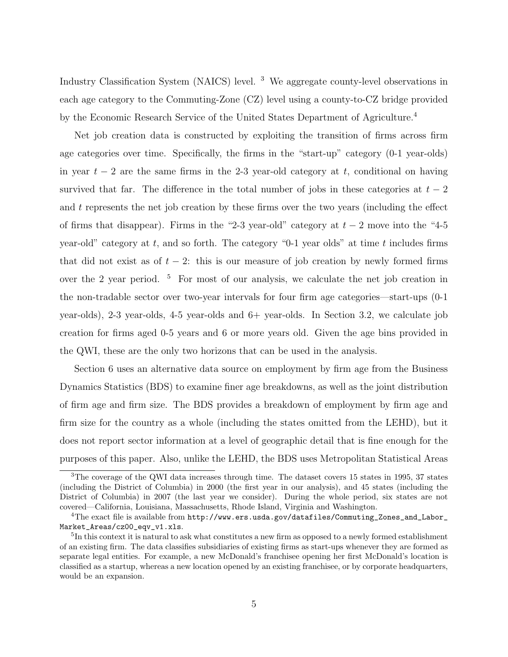Industry Classification System (NAICS) level. <sup>3</sup> We aggregate county-level observations in each age category to the Commuting-Zone (CZ) level using a county-to-CZ bridge provided by the Economic Research Service of the United States Department of Agriculture.<sup>4</sup>

Net job creation data is constructed by exploiting the transition of firms across firm age categories over time. Specifically, the firms in the "start-up" category (0-1 year-olds) in year  $t - 2$  are the same firms in the 2-3 year-old category at t, conditional on having survived that far. The difference in the total number of jobs in these categories at  $t-2$ and  $t$  represents the net job creation by these firms over the two years (including the effect of firms that disappear). Firms in the "2-3 year-old" category at  $t-2$  move into the "4-5 year-old" category at t, and so forth. The category "0-1 year olds" at time t includes firms that did not exist as of  $t - 2$ : this is our measure of job creation by newly formed firms over the 2 year period. <sup>5</sup> For most of our analysis, we calculate the net job creation in the non-tradable sector over two-year intervals for four firm age categories—start-ups (0-1 year-olds), 2-3 year-olds, 4-5 year-olds and 6+ year-olds. In Section 3.2, we calculate job creation for firms aged 0-5 years and 6 or more years old. Given the age bins provided in the QWI, these are the only two horizons that can be used in the analysis.

Section 6 uses an alternative data source on employment by firm age from the Business Dynamics Statistics (BDS) to examine finer age breakdowns, as well as the joint distribution of firm age and firm size. The BDS provides a breakdown of employment by firm age and firm size for the country as a whole (including the states omitted from the LEHD), but it does not report sector information at a level of geographic detail that is fine enough for the purposes of this paper. Also, unlike the LEHD, the BDS uses Metropolitan Statistical Areas

<sup>&</sup>lt;sup>3</sup>The coverage of the QWI data increases through time. The dataset covers 15 states in 1995, 37 states (including the District of Columbia) in 2000 (the first year in our analysis), and 45 states (including the District of Columbia) in 2007 (the last year we consider). During the whole period, six states are not covered—California, Louisiana, Massachusetts, Rhode Island, Virginia and Washington.

<sup>&</sup>lt;sup>4</sup>The exact file is available from  $http://www.ers.usda.gov/datafiles/Commuting_Zones_and_labels)$ Market\_Areas/cz00\_eqv\_v1.xls.

<sup>&</sup>lt;sup>5</sup>In this context it is natural to ask what constitutes a new firm as opposed to a newly formed establishment of an existing firm. The data classifies subsidiaries of existing firms as start-ups whenever they are formed as separate legal entities. For example, a new McDonald's franchisee opening her first McDonald's location is classified as a startup, whereas a new location opened by an existing franchisee, or by corporate headquarters, would be an expansion.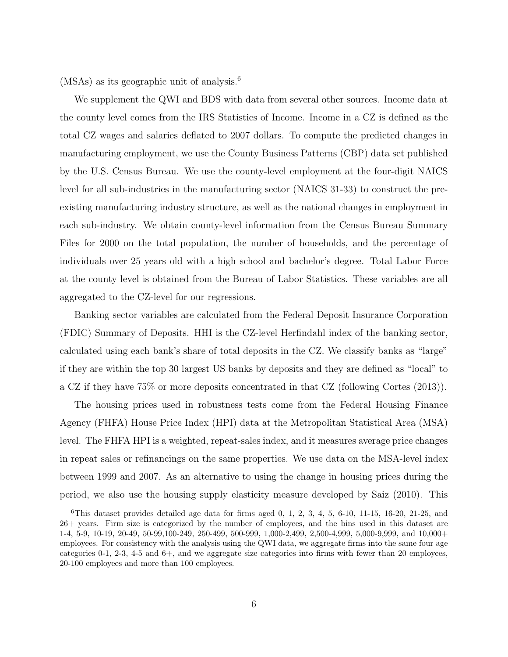(MSAs) as its geographic unit of analysis.<sup>6</sup>

We supplement the QWI and BDS with data from several other sources. Income data at the county level comes from the IRS Statistics of Income. Income in a CZ is defined as the total CZ wages and salaries deflated to 2007 dollars. To compute the predicted changes in manufacturing employment, we use the County Business Patterns (CBP) data set published by the U.S. Census Bureau. We use the county-level employment at the four-digit NAICS level for all sub-industries in the manufacturing sector (NAICS 31-33) to construct the preexisting manufacturing industry structure, as well as the national changes in employment in each sub-industry. We obtain county-level information from the Census Bureau Summary Files for 2000 on the total population, the number of households, and the percentage of individuals over 25 years old with a high school and bachelor's degree. Total Labor Force at the county level is obtained from the Bureau of Labor Statistics. These variables are all aggregated to the CZ-level for our regressions.

Banking sector variables are calculated from the Federal Deposit Insurance Corporation (FDIC) Summary of Deposits. HHI is the CZ-level Herfindahl index of the banking sector, calculated using each bank's share of total deposits in the CZ. We classify banks as "large" if they are within the top 30 largest US banks by deposits and they are defined as "local" to a CZ if they have 75% or more deposits concentrated in that CZ (following Cortes (2013)).

The housing prices used in robustness tests come from the Federal Housing Finance Agency (FHFA) House Price Index (HPI) data at the Metropolitan Statistical Area (MSA) level. The FHFA HPI is a weighted, repeat-sales index, and it measures average price changes in repeat sales or refinancings on the same properties. We use data on the MSA-level index between 1999 and 2007. As an alternative to using the change in housing prices during the period, we also use the housing supply elasticity measure developed by Saiz (2010). This

 ${}^{6}$ This dataset provides detailed age data for firms aged 0, 1, 2, 3, 4, 5, 6-10, 11-15, 16-20, 21-25, and 26+ years. Firm size is categorized by the number of employees, and the bins used in this dataset are 1-4, 5-9, 10-19, 20-49, 50-99,100-249, 250-499, 500-999, 1,000-2,499, 2,500-4,999, 5,000-9,999, and 10,000+ employees. For consistency with the analysis using the QWI data, we aggregate firms into the same four age categories 0-1, 2-3, 4-5 and 6+, and we aggregate size categories into firms with fewer than 20 employees, 20-100 employees and more than 100 employees.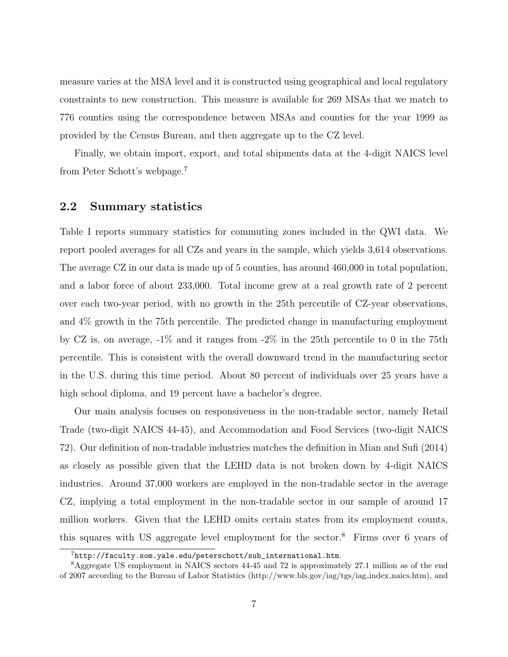measure varies at the MSA level and it is constructed using geographical and local regulatory constraints to new construction. This measure is available for 269 MSAs that we match to 776 counties using the correspondence between MSAs and counties for the year 1999 as provided by the Census Bureau, and then aggregate up to the CZ level.

Finally, we obtain import, export, and total shipments data at the 4-digit NAICS level from Peter Schott's webpage.<sup>7</sup>

## 2.2 Summary statistics

Table I reports summary statistics for commuting zones included in the QWI data. We report pooled averages for all CZs and years in the sample, which yields 3,614 observations. The average CZ in our data is made up of 5 counties, has around 460,000 in total population, and a labor force of about 233,000. Total income grew at a real growth rate of 2 percent over each two-year period, with no growth in the 25th percentile of CZ-year observations, and 4% growth in the 75th percentile. The predicted change in manufacturing employment by CZ is, on average, -1% and it ranges from -2% in the 25th percentile to 0 in the 75th percentile. This is consistent with the overall downward trend in the manufacturing sector in the U.S. during this time period. About 80 percent of individuals over 25 years have a high school diploma, and 19 percent have a bachelor's degree.

Our main analysis focuses on responsiveness in the non-tradable sector, namely Retail Trade (two-digit NAICS 44-45), and Accommodation and Food Services (two-digit NAICS 72). Our definition of non-tradable industries matches the definition in Mian and Sufi (2014) as closely as possible given that the LEHD data is not broken down by 4-digit NAICS industries. Around 37,000 workers are employed in the non-tradable sector in the average CZ, implying a total employment in the non-tradable sector in our sample of around 17 million workers. Given that the LEHD omits certain states from its employment counts, this squares with US aggregate level employment for the sector.<sup>8</sup> Firms over 6 years of

 $7$ http://faculty.som.yale.edu/peterschott/sub\_international.htm.

<sup>8</sup>Aggregate US employment in NAICS sectors 44-45 and 72 is approximately 27.1 million as of the end of 2007 according to the Bureau of Labor Statistics (http://www.bls.gov/iag/tgs/iag index naics.htm), and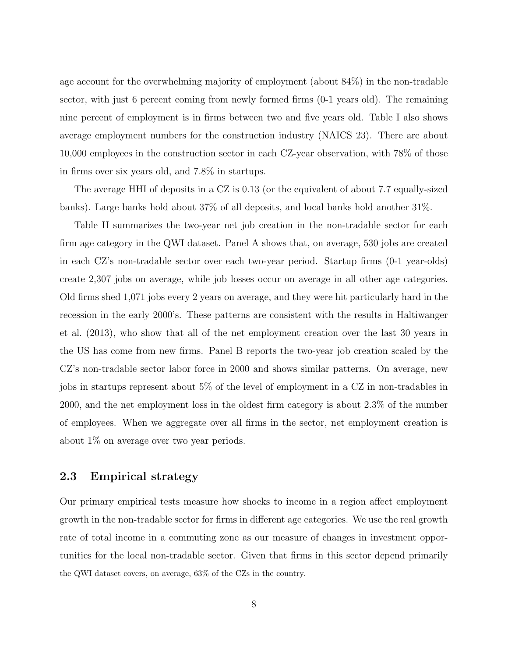age account for the overwhelming majority of employment (about 84%) in the non-tradable sector, with just 6 percent coming from newly formed firms (0-1 years old). The remaining nine percent of employment is in firms between two and five years old. Table I also shows average employment numbers for the construction industry (NAICS 23). There are about 10,000 employees in the construction sector in each CZ-year observation, with 78% of those in firms over six years old, and 7.8% in startups.

The average HHI of deposits in a CZ is 0.13 (or the equivalent of about 7.7 equally-sized banks). Large banks hold about 37% of all deposits, and local banks hold another 31%.

Table II summarizes the two-year net job creation in the non-tradable sector for each firm age category in the QWI dataset. Panel A shows that, on average, 530 jobs are created in each CZ's non-tradable sector over each two-year period. Startup firms (0-1 year-olds) create 2,307 jobs on average, while job losses occur on average in all other age categories. Old firms shed 1,071 jobs every 2 years on average, and they were hit particularly hard in the recession in the early 2000's. These patterns are consistent with the results in Haltiwanger et al. (2013), who show that all of the net employment creation over the last 30 years in the US has come from new firms. Panel B reports the two-year job creation scaled by the CZ's non-tradable sector labor force in 2000 and shows similar patterns. On average, new jobs in startups represent about 5% of the level of employment in a CZ in non-tradables in 2000, and the net employment loss in the oldest firm category is about 2.3% of the number of employees. When we aggregate over all firms in the sector, net employment creation is about 1% on average over two year periods.

## 2.3 Empirical strategy

Our primary empirical tests measure how shocks to income in a region affect employment growth in the non-tradable sector for firms in different age categories. We use the real growth rate of total income in a commuting zone as our measure of changes in investment opportunities for the local non-tradable sector. Given that firms in this sector depend primarily the QWI dataset covers, on average, 63% of the CZs in the country.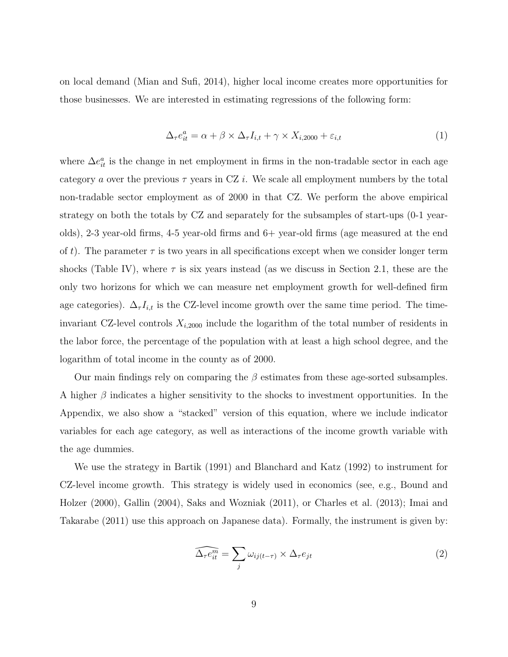on local demand (Mian and Sufi, 2014), higher local income creates more opportunities for those businesses. We are interested in estimating regressions of the following form:

$$
\Delta_{\tau}e_{it}^{a} = \alpha + \beta \times \Delta_{\tau}I_{i,t} + \gamma \times X_{i,2000} + \varepsilon_{i,t}
$$
\n(1)

where  $\Delta e_{it}^a$  is the change in net employment in firms in the non-tradable sector in each age category a over the previous  $\tau$  years in CZ i. We scale all employment numbers by the total non-tradable sector employment as of 2000 in that CZ. We perform the above empirical strategy on both the totals by CZ and separately for the subsamples of start-ups (0-1 yearolds), 2-3 year-old firms, 4-5 year-old firms and 6+ year-old firms (age measured at the end of t). The parameter  $\tau$  is two years in all specifications except when we consider longer term shocks (Table IV), where  $\tau$  is six years instead (as we discuss in Section 2.1, these are the only two horizons for which we can measure net employment growth for well-defined firm age categories).  $\Delta_{\tau} I_{i,t}$  is the CZ-level income growth over the same time period. The timeinvariant CZ-level controls  $X_{i,2000}$  include the logarithm of the total number of residents in the labor force, the percentage of the population with at least a high school degree, and the logarithm of total income in the county as of 2000.

Our main findings rely on comparing the  $\beta$  estimates from these age-sorted subsamples. A higher  $\beta$  indicates a higher sensitivity to the shocks to investment opportunities. In the Appendix, we also show a "stacked" version of this equation, where we include indicator variables for each age category, as well as interactions of the income growth variable with the age dummies.

We use the strategy in Bartik (1991) and Blanchard and Katz (1992) to instrument for CZ-level income growth. This strategy is widely used in economics (see, e.g., Bound and Holzer (2000), Gallin (2004), Saks and Wozniak (2011), or Charles et al. (2013); Imai and Takarabe (2011) use this approach on Japanese data). Formally, the instrument is given by:

$$
\widehat{\Delta_{\tau}e_{it}^m} = \sum_j \omega_{ij(t-\tau)} \times \Delta_{\tau}e_{jt}
$$
\n(2)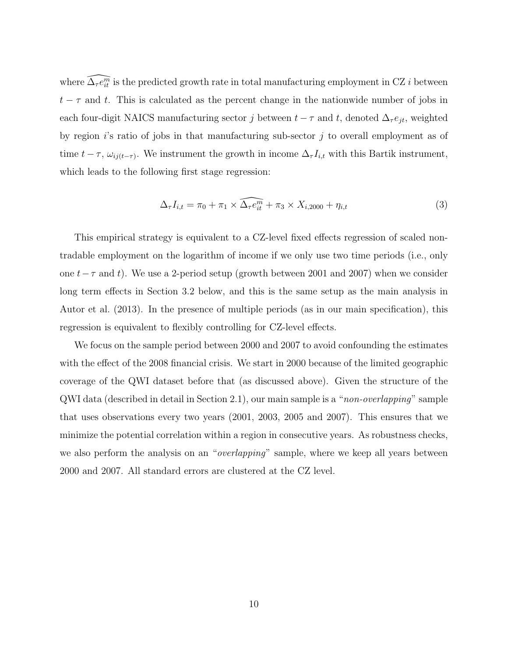where  $\widehat{\Delta_\tau e^m_{it}}$  is the predicted growth rate in total manufacturing employment in CZ i between  $t - \tau$  and t. This is calculated as the percent change in the nationwide number of jobs in each four-digit NAICS manufacturing sector  $j$  between  $t - \tau$  and  $t$ , denoted  $\Delta_{\tau} e_{jt}$ , weighted by region  $i$ 's ratio of jobs in that manufacturing sub-sector  $j$  to overall employment as of time  $t - \tau$ ,  $\omega_{ij(t-\tau)}$ . We instrument the growth in income  $\Delta_{\tau} I_{i,t}$  with this Bartik instrument, which leads to the following first stage regression:

$$
\Delta_{\tau}I_{i,t} = \pi_0 + \pi_1 \times \widehat{\Delta_{\tau}e_{it}^m} + \pi_3 \times X_{i,2000} + \eta_{i,t}
$$
\n
$$
\tag{3}
$$

This empirical strategy is equivalent to a CZ-level fixed effects regression of scaled nontradable employment on the logarithm of income if we only use two time periods (i.e., only one  $t-\tau$  and t). We use a 2-period setup (growth between 2001 and 2007) when we consider long term effects in Section 3.2 below, and this is the same setup as the main analysis in Autor et al. (2013). In the presence of multiple periods (as in our main specification), this regression is equivalent to flexibly controlling for CZ-level effects.

We focus on the sample period between 2000 and 2007 to avoid confounding the estimates with the effect of the 2008 financial crisis. We start in 2000 because of the limited geographic coverage of the QWI dataset before that (as discussed above). Given the structure of the QWI data (described in detail in Section 2.1), our main sample is a "non-overlapping" sample that uses observations every two years (2001, 2003, 2005 and 2007). This ensures that we minimize the potential correlation within a region in consecutive years. As robustness checks, we also perform the analysis on an "*overlapping*" sample, where we keep all years between 2000 and 2007. All standard errors are clustered at the CZ level.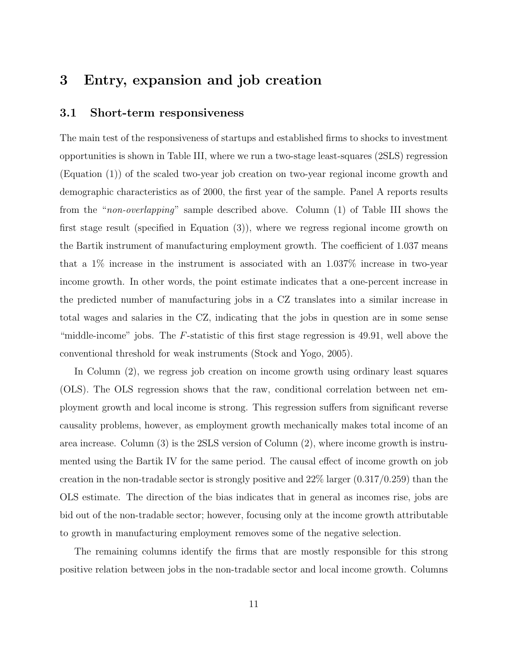# 3 Entry, expansion and job creation

## 3.1 Short-term responsiveness

The main test of the responsiveness of startups and established firms to shocks to investment opportunities is shown in Table III, where we run a two-stage least-squares (2SLS) regression (Equation (1)) of the scaled two-year job creation on two-year regional income growth and demographic characteristics as of 2000, the first year of the sample. Panel A reports results from the "non-overlapping" sample described above. Column (1) of Table III shows the first stage result (specified in Equation (3)), where we regress regional income growth on the Bartik instrument of manufacturing employment growth. The coefficient of 1.037 means that a 1% increase in the instrument is associated with an 1.037% increase in two-year income growth. In other words, the point estimate indicates that a one-percent increase in the predicted number of manufacturing jobs in a CZ translates into a similar increase in total wages and salaries in the CZ, indicating that the jobs in question are in some sense "middle-income" jobs. The  $F$ -statistic of this first stage regression is 49.91, well above the conventional threshold for weak instruments (Stock and Yogo, 2005).

In Column (2), we regress job creation on income growth using ordinary least squares (OLS). The OLS regression shows that the raw, conditional correlation between net employment growth and local income is strong. This regression suffers from significant reverse causality problems, however, as employment growth mechanically makes total income of an area increase. Column (3) is the 2SLS version of Column (2), where income growth is instrumented using the Bartik IV for the same period. The causal effect of income growth on job creation in the non-tradable sector is strongly positive and  $22\%$  larger  $(0.317/0.259)$  than the OLS estimate. The direction of the bias indicates that in general as incomes rise, jobs are bid out of the non-tradable sector; however, focusing only at the income growth attributable to growth in manufacturing employment removes some of the negative selection.

The remaining columns identify the firms that are mostly responsible for this strong positive relation between jobs in the non-tradable sector and local income growth. Columns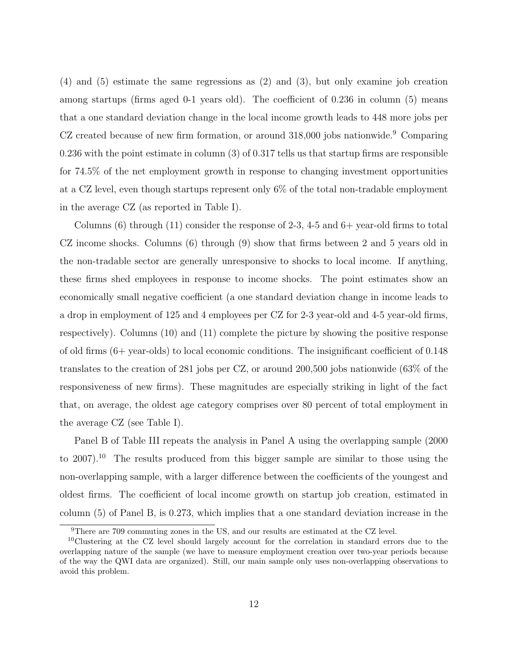(4) and (5) estimate the same regressions as (2) and (3), but only examine job creation among startups (firms aged 0-1 years old). The coefficient of 0.236 in column (5) means that a one standard deviation change in the local income growth leads to 448 more jobs per CZ created because of new firm formation, or around 318,000 jobs nationwide.<sup>9</sup> Comparing 0.236 with the point estimate in column (3) of 0.317 tells us that startup firms are responsible for 74.5% of the net employment growth in response to changing investment opportunities at a CZ level, even though startups represent only 6% of the total non-tradable employment in the average CZ (as reported in Table I).

Columns  $(6)$  through  $(11)$  consider the response of 2-3, 4-5 and  $6+$  year-old firms to total CZ income shocks. Columns (6) through (9) show that firms between 2 and 5 years old in the non-tradable sector are generally unresponsive to shocks to local income. If anything, these firms shed employees in response to income shocks. The point estimates show an economically small negative coefficient (a one standard deviation change in income leads to a drop in employment of 125 and 4 employees per CZ for 2-3 year-old and 4-5 year-old firms, respectively). Columns (10) and (11) complete the picture by showing the positive response of old firms (6+ year-olds) to local economic conditions. The insignificant coefficient of 0.148 translates to the creation of 281 jobs per CZ, or around 200,500 jobs nationwide (63% of the responsiveness of new firms). These magnitudes are especially striking in light of the fact that, on average, the oldest age category comprises over 80 percent of total employment in the average CZ (see Table I).

Panel B of Table III repeats the analysis in Panel A using the overlapping sample (2000 to 2007).<sup>10</sup> The results produced from this bigger sample are similar to those using the non-overlapping sample, with a larger difference between the coefficients of the youngest and oldest firms. The coefficient of local income growth on startup job creation, estimated in column (5) of Panel B, is 0.273, which implies that a one standard deviation increase in the

<sup>9</sup>There are 709 commuting zones in the US, and our results are estimated at the CZ level.

<sup>10</sup>Clustering at the CZ level should largely account for the correlation in standard errors due to the overlapping nature of the sample (we have to measure employment creation over two-year periods because of the way the QWI data are organized). Still, our main sample only uses non-overlapping observations to avoid this problem.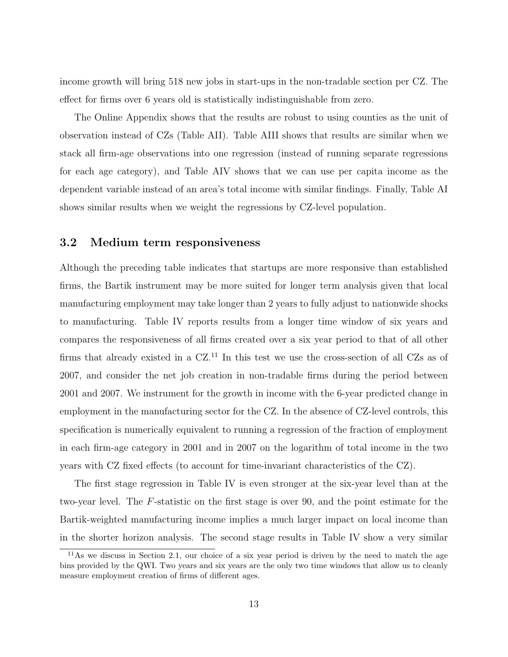income growth will bring 518 new jobs in start-ups in the non-tradable section per CZ. The effect for firms over 6 years old is statistically indistinguishable from zero.

The Online Appendix shows that the results are robust to using counties as the unit of observation instead of CZs (Table AII). Table AIII shows that results are similar when we stack all firm-age observations into one regression (instead of running separate regressions for each age category), and Table AIV shows that we can use per capita income as the dependent variable instead of an area's total income with similar findings. Finally, Table AI shows similar results when we weight the regressions by CZ-level population.

## 3.2 Medium term responsiveness

Although the preceding table indicates that startups are more responsive than established firms, the Bartik instrument may be more suited for longer term analysis given that local manufacturing employment may take longer than 2 years to fully adjust to nationwide shocks to manufacturing. Table IV reports results from a longer time window of six years and compares the responsiveness of all firms created over a six year period to that of all other firms that already existed in a CZ.<sup>11</sup> In this test we use the cross-section of all CZs as of 2007, and consider the net job creation in non-tradable firms during the period between 2001 and 2007. We instrument for the growth in income with the 6-year predicted change in employment in the manufacturing sector for the CZ. In the absence of CZ-level controls, this specification is numerically equivalent to running a regression of the fraction of employment in each firm-age category in 2001 and in 2007 on the logarithm of total income in the two years with CZ fixed effects (to account for time-invariant characteristics of the CZ).

The first stage regression in Table IV is even stronger at the six-year level than at the two-year level. The F-statistic on the first stage is over 90, and the point estimate for the Bartik-weighted manufacturing income implies a much larger impact on local income than in the shorter horizon analysis. The second stage results in Table IV show a very similar

<sup>11</sup>As we discuss in Section 2.1, our choice of a six year period is driven by the need to match the age bins provided by the QWI. Two years and six years are the only two time windows that allow us to cleanly measure employment creation of firms of different ages.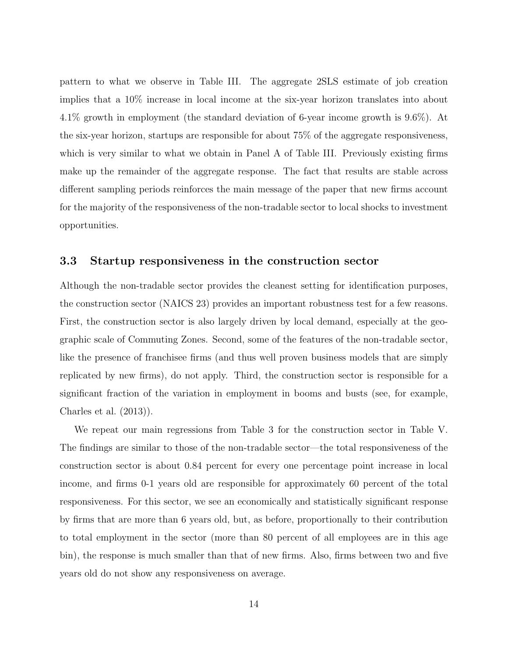pattern to what we observe in Table III. The aggregate 2SLS estimate of job creation implies that a 10% increase in local income at the six-year horizon translates into about 4.1% growth in employment (the standard deviation of 6-year income growth is 9.6%). At the six-year horizon, startups are responsible for about 75% of the aggregate responsiveness, which is very similar to what we obtain in Panel A of Table III. Previously existing firms make up the remainder of the aggregate response. The fact that results are stable across different sampling periods reinforces the main message of the paper that new firms account for the majority of the responsiveness of the non-tradable sector to local shocks to investment opportunities.

## 3.3 Startup responsiveness in the construction sector

Although the non-tradable sector provides the cleanest setting for identification purposes, the construction sector (NAICS 23) provides an important robustness test for a few reasons. First, the construction sector is also largely driven by local demand, especially at the geographic scale of Commuting Zones. Second, some of the features of the non-tradable sector, like the presence of franchisee firms (and thus well proven business models that are simply replicated by new firms), do not apply. Third, the construction sector is responsible for a significant fraction of the variation in employment in booms and busts (see, for example, Charles et al. (2013)).

We repeat our main regressions from Table 3 for the construction sector in Table V. The findings are similar to those of the non-tradable sector—the total responsiveness of the construction sector is about 0.84 percent for every one percentage point increase in local income, and firms 0-1 years old are responsible for approximately 60 percent of the total responsiveness. For this sector, we see an economically and statistically significant response by firms that are more than 6 years old, but, as before, proportionally to their contribution to total employment in the sector (more than 80 percent of all employees are in this age bin), the response is much smaller than that of new firms. Also, firms between two and five years old do not show any responsiveness on average.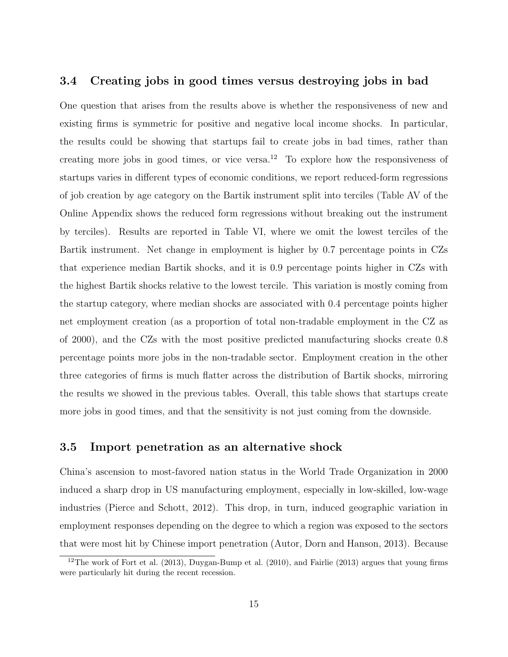## 3.4 Creating jobs in good times versus destroying jobs in bad

One question that arises from the results above is whether the responsiveness of new and existing firms is symmetric for positive and negative local income shocks. In particular, the results could be showing that startups fail to create jobs in bad times, rather than creating more jobs in good times, or vice versa.<sup>12</sup> To explore how the responsiveness of startups varies in different types of economic conditions, we report reduced-form regressions of job creation by age category on the Bartik instrument split into terciles (Table AV of the Online Appendix shows the reduced form regressions without breaking out the instrument by terciles). Results are reported in Table VI, where we omit the lowest terciles of the Bartik instrument. Net change in employment is higher by 0.7 percentage points in CZs that experience median Bartik shocks, and it is 0.9 percentage points higher in CZs with the highest Bartik shocks relative to the lowest tercile. This variation is mostly coming from the startup category, where median shocks are associated with 0.4 percentage points higher net employment creation (as a proportion of total non-tradable employment in the CZ as of 2000), and the CZs with the most positive predicted manufacturing shocks create 0.8 percentage points more jobs in the non-tradable sector. Employment creation in the other three categories of firms is much flatter across the distribution of Bartik shocks, mirroring the results we showed in the previous tables. Overall, this table shows that startups create more jobs in good times, and that the sensitivity is not just coming from the downside.

## 3.5 Import penetration as an alternative shock

China's ascension to most-favored nation status in the World Trade Organization in 2000 induced a sharp drop in US manufacturing employment, especially in low-skilled, low-wage industries (Pierce and Schott, 2012). This drop, in turn, induced geographic variation in employment responses depending on the degree to which a region was exposed to the sectors that were most hit by Chinese import penetration (Autor, Dorn and Hanson, 2013). Because

<sup>&</sup>lt;sup>12</sup>The work of Fort et al.  $(2013)$ , Duygan-Bump et al.  $(2010)$ , and Fairlie  $(2013)$  argues that young firms were particularly hit during the recent recession.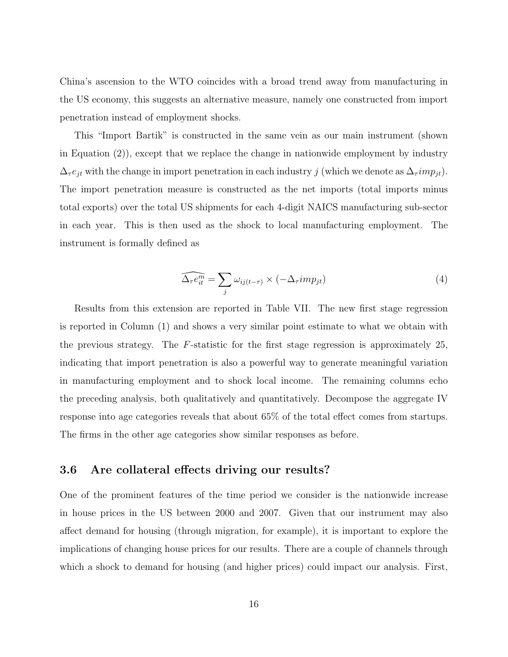China's ascension to the WTO coincides with a broad trend away from manufacturing in the US economy, this suggests an alternative measure, namely one constructed from import penetration instead of employment shocks.

This "Import Bartik" is constructed in the same vein as our main instrument (shown in Equation (2)), except that we replace the change in nationwide employment by industry  $\Delta_{\tau} e_{jt}$  with the change in import penetration in each industry j (which we denote as  $\Delta_{\tau} imp_{jt}$ ). The import penetration measure is constructed as the net imports (total imports minus total exports) over the total US shipments for each 4-digit NAICS manufacturing sub-sector in each year. This is then used as the shock to local manufacturing employment. The instrument is formally defined as

$$
\widehat{\Delta_{\tau}e_{it}^m} = \sum_j \omega_{ij(t-\tau)} \times (-\Delta_{\tau}imp_{jt})
$$
\n(4)

Results from this extension are reported in Table VII. The new first stage regression is reported in Column (1) and shows a very similar point estimate to what we obtain with the previous strategy. The F-statistic for the first stage regression is approximately 25, indicating that import penetration is also a powerful way to generate meaningful variation in manufacturing employment and to shock local income. The remaining columns echo the preceding analysis, both qualitatively and quantitatively. Decompose the aggregate IV response into age categories reveals that about 65% of the total effect comes from startups. The firms in the other age categories show similar responses as before.

## 3.6 Are collateral effects driving our results?

One of the prominent features of the time period we consider is the nationwide increase in house prices in the US between 2000 and 2007. Given that our instrument may also affect demand for housing (through migration, for example), it is important to explore the implications of changing house prices for our results. There are a couple of channels through which a shock to demand for housing (and higher prices) could impact our analysis. First,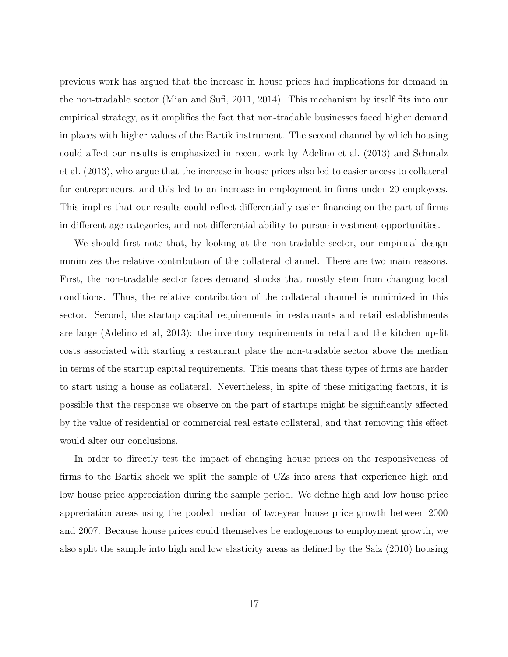previous work has argued that the increase in house prices had implications for demand in the non-tradable sector (Mian and Sufi, 2011, 2014). This mechanism by itself fits into our empirical strategy, as it amplifies the fact that non-tradable businesses faced higher demand in places with higher values of the Bartik instrument. The second channel by which housing could affect our results is emphasized in recent work by Adelino et al. (2013) and Schmalz et al. (2013), who argue that the increase in house prices also led to easier access to collateral for entrepreneurs, and this led to an increase in employment in firms under 20 employees. This implies that our results could reflect differentially easier financing on the part of firms in different age categories, and not differential ability to pursue investment opportunities.

We should first note that, by looking at the non-tradable sector, our empirical design minimizes the relative contribution of the collateral channel. There are two main reasons. First, the non-tradable sector faces demand shocks that mostly stem from changing local conditions. Thus, the relative contribution of the collateral channel is minimized in this sector. Second, the startup capital requirements in restaurants and retail establishments are large (Adelino et al, 2013): the inventory requirements in retail and the kitchen up-fit costs associated with starting a restaurant place the non-tradable sector above the median in terms of the startup capital requirements. This means that these types of firms are harder to start using a house as collateral. Nevertheless, in spite of these mitigating factors, it is possible that the response we observe on the part of startups might be significantly affected by the value of residential or commercial real estate collateral, and that removing this effect would alter our conclusions.

In order to directly test the impact of changing house prices on the responsiveness of firms to the Bartik shock we split the sample of CZs into areas that experience high and low house price appreciation during the sample period. We define high and low house price appreciation areas using the pooled median of two-year house price growth between 2000 and 2007. Because house prices could themselves be endogenous to employment growth, we also split the sample into high and low elasticity areas as defined by the Saiz (2010) housing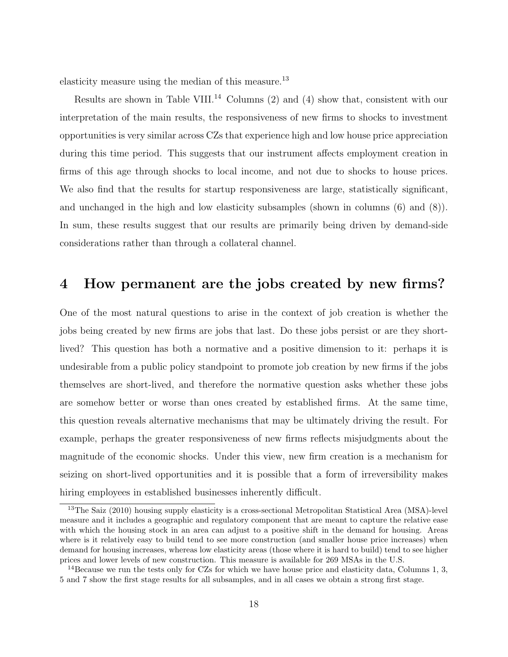elasticity measure using the median of this measure.<sup>13</sup>

Results are shown in Table VIII.<sup>14</sup> Columns  $(2)$  and  $(4)$  show that, consistent with our interpretation of the main results, the responsiveness of new firms to shocks to investment opportunities is very similar across CZs that experience high and low house price appreciation during this time period. This suggests that our instrument affects employment creation in firms of this age through shocks to local income, and not due to shocks to house prices. We also find that the results for startup responsiveness are large, statistically significant, and unchanged in the high and low elasticity subsamples (shown in columns (6) and (8)). In sum, these results suggest that our results are primarily being driven by demand-side considerations rather than through a collateral channel.

## 4 How permanent are the jobs created by new firms?

One of the most natural questions to arise in the context of job creation is whether the jobs being created by new firms are jobs that last. Do these jobs persist or are they shortlived? This question has both a normative and a positive dimension to it: perhaps it is undesirable from a public policy standpoint to promote job creation by new firms if the jobs themselves are short-lived, and therefore the normative question asks whether these jobs are somehow better or worse than ones created by established firms. At the same time, this question reveals alternative mechanisms that may be ultimately driving the result. For example, perhaps the greater responsiveness of new firms reflects misjudgments about the magnitude of the economic shocks. Under this view, new firm creation is a mechanism for seizing on short-lived opportunities and it is possible that a form of irreversibility makes hiring employees in established businesses inherently difficult.

<sup>13</sup>The Saiz (2010) housing supply elasticity is a cross-sectional Metropolitan Statistical Area (MSA)-level measure and it includes a geographic and regulatory component that are meant to capture the relative ease with which the housing stock in an area can adjust to a positive shift in the demand for housing. Areas where is it relatively easy to build tend to see more construction (and smaller house price increases) when demand for housing increases, whereas low elasticity areas (those where it is hard to build) tend to see higher prices and lower levels of new construction. This measure is available for 269 MSAs in the U.S.

<sup>&</sup>lt;sup>14</sup>Because we run the tests only for CZs for which we have house price and elasticity data, Columns 1, 3, 5 and 7 show the first stage results for all subsamples, and in all cases we obtain a strong first stage.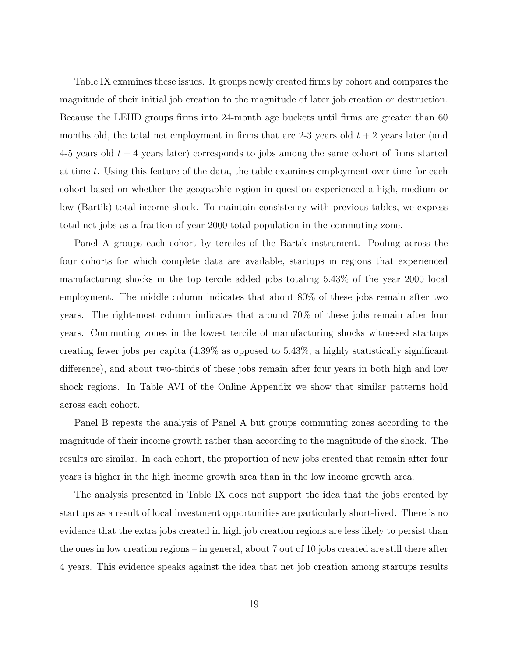Table IX examines these issues. It groups newly created firms by cohort and compares the magnitude of their initial job creation to the magnitude of later job creation or destruction. Because the LEHD groups firms into 24-month age buckets until firms are greater than 60 months old, the total net employment in firms that are 2-3 years old  $t + 2$  years later (and 4-5 years old  $t + 4$  years later) corresponds to jobs among the same cohort of firms started at time t. Using this feature of the data, the table examines employment over time for each cohort based on whether the geographic region in question experienced a high, medium or low (Bartik) total income shock. To maintain consistency with previous tables, we express total net jobs as a fraction of year 2000 total population in the commuting zone.

Panel A groups each cohort by terciles of the Bartik instrument. Pooling across the four cohorts for which complete data are available, startups in regions that experienced manufacturing shocks in the top tercile added jobs totaling 5.43% of the year 2000 local employment. The middle column indicates that about 80% of these jobs remain after two years. The right-most column indicates that around 70% of these jobs remain after four years. Commuting zones in the lowest tercile of manufacturing shocks witnessed startups creating fewer jobs per capita (4.39% as opposed to 5.43%, a highly statistically significant difference), and about two-thirds of these jobs remain after four years in both high and low shock regions. In Table AVI of the Online Appendix we show that similar patterns hold across each cohort.

Panel B repeats the analysis of Panel A but groups commuting zones according to the magnitude of their income growth rather than according to the magnitude of the shock. The results are similar. In each cohort, the proportion of new jobs created that remain after four years is higher in the high income growth area than in the low income growth area.

The analysis presented in Table IX does not support the idea that the jobs created by startups as a result of local investment opportunities are particularly short-lived. There is no evidence that the extra jobs created in high job creation regions are less likely to persist than the ones in low creation regions – in general, about 7 out of 10 jobs created are still there after 4 years. This evidence speaks against the idea that net job creation among startups results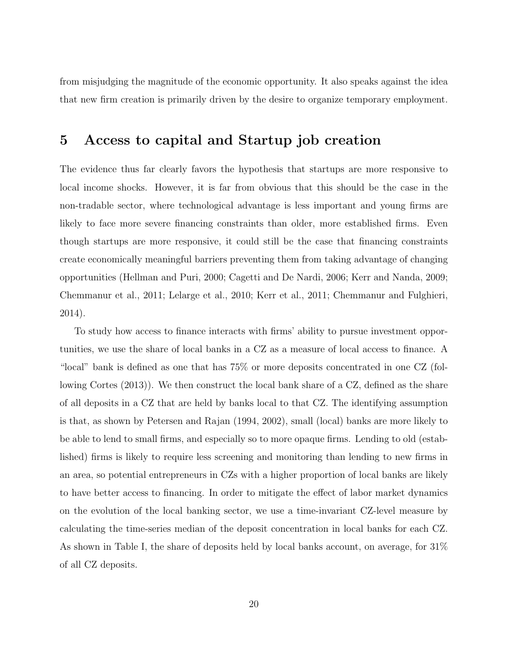from misjudging the magnitude of the economic opportunity. It also speaks against the idea that new firm creation is primarily driven by the desire to organize temporary employment.

# 5 Access to capital and Startup job creation

The evidence thus far clearly favors the hypothesis that startups are more responsive to local income shocks. However, it is far from obvious that this should be the case in the non-tradable sector, where technological advantage is less important and young firms are likely to face more severe financing constraints than older, more established firms. Even though startups are more responsive, it could still be the case that financing constraints create economically meaningful barriers preventing them from taking advantage of changing opportunities (Hellman and Puri, 2000; Cagetti and De Nardi, 2006; Kerr and Nanda, 2009; Chemmanur et al., 2011; Lelarge et al., 2010; Kerr et al., 2011; Chemmanur and Fulghieri, 2014).

To study how access to finance interacts with firms' ability to pursue investment opportunities, we use the share of local banks in a CZ as a measure of local access to finance. A "local" bank is defined as one that has 75% or more deposits concentrated in one CZ (following Cortes (2013)). We then construct the local bank share of a CZ, defined as the share of all deposits in a CZ that are held by banks local to that CZ. The identifying assumption is that, as shown by Petersen and Rajan (1994, 2002), small (local) banks are more likely to be able to lend to small firms, and especially so to more opaque firms. Lending to old (established) firms is likely to require less screening and monitoring than lending to new firms in an area, so potential entrepreneurs in CZs with a higher proportion of local banks are likely to have better access to financing. In order to mitigate the effect of labor market dynamics on the evolution of the local banking sector, we use a time-invariant CZ-level measure by calculating the time-series median of the deposit concentration in local banks for each CZ. As shown in Table I, the share of deposits held by local banks account, on average, for 31% of all CZ deposits.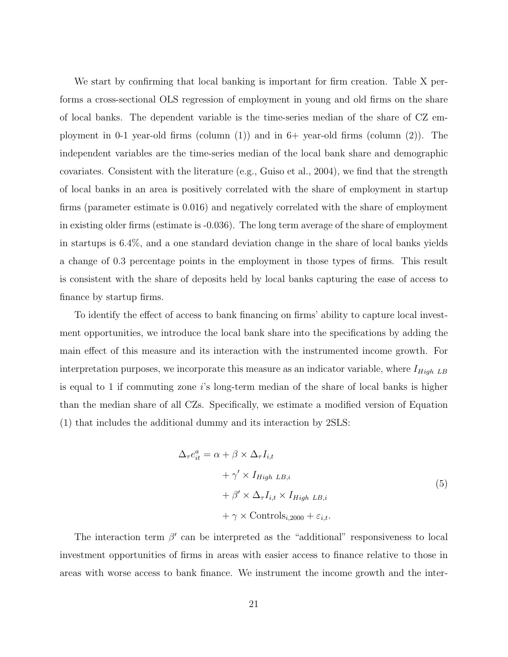We start by confirming that local banking is important for firm creation. Table X performs a cross-sectional OLS regression of employment in young and old firms on the share of local banks. The dependent variable is the time-series median of the share of CZ employment in 0-1 year-old firms (column  $(1)$ ) and in 6+ year-old firms (column  $(2)$ ). The independent variables are the time-series median of the local bank share and demographic covariates. Consistent with the literature (e.g., Guiso et al., 2004), we find that the strength of local banks in an area is positively correlated with the share of employment in startup firms (parameter estimate is 0.016) and negatively correlated with the share of employment in existing older firms (estimate is -0.036). The long term average of the share of employment in startups is 6.4%, and a one standard deviation change in the share of local banks yields a change of 0.3 percentage points in the employment in those types of firms. This result is consistent with the share of deposits held by local banks capturing the ease of access to finance by startup firms.

To identify the effect of access to bank financing on firms' ability to capture local investment opportunities, we introduce the local bank share into the specifications by adding the main effect of this measure and its interaction with the instrumented income growth. For interpretation purposes, we incorporate this measure as an indicator variable, where  $I_{High\;LB}$ is equal to 1 if commuting zone  $i$ 's long-term median of the share of local banks is higher than the median share of all CZs. Specifically, we estimate a modified version of Equation (1) that includes the additional dummy and its interaction by 2SLS:

$$
\Delta_{\tau} e_{it}^{a} = \alpha + \beta \times \Delta_{\tau} I_{i,t}
$$
  
+  $\gamma' \times I_{High LB,i}$   
+  $\beta' \times \Delta_{\tau} I_{i,t} \times I_{High LB,i}$   
+  $\gamma \times \text{Controls}_{i.2000} + \varepsilon_{i,t}.$  (5)

The interaction term  $\beta'$  can be interpreted as the "additional" responsiveness to local investment opportunities of firms in areas with easier access to finance relative to those in areas with worse access to bank finance. We instrument the income growth and the inter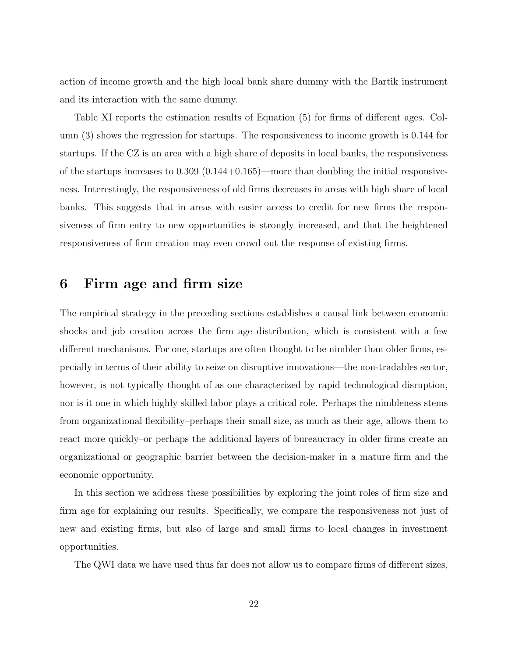action of income growth and the high local bank share dummy with the Bartik instrument and its interaction with the same dummy.

Table XI reports the estimation results of Equation (5) for firms of different ages. Column (3) shows the regression for startups. The responsiveness to income growth is 0.144 for startups. If the CZ is an area with a high share of deposits in local banks, the responsiveness of the startups increases to  $0.309$   $(0.144+0.165)$ —more than doubling the initial responsiveness. Interestingly, the responsiveness of old firms decreases in areas with high share of local banks. This suggests that in areas with easier access to credit for new firms the responsiveness of firm entry to new opportunities is strongly increased, and that the heightened responsiveness of firm creation may even crowd out the response of existing firms.

# 6 Firm age and firm size

The empirical strategy in the preceding sections establishes a causal link between economic shocks and job creation across the firm age distribution, which is consistent with a few different mechanisms. For one, startups are often thought to be nimbler than older firms, especially in terms of their ability to seize on disruptive innovations—the non-tradables sector, however, is not typically thought of as one characterized by rapid technological disruption, nor is it one in which highly skilled labor plays a critical role. Perhaps the nimbleness stems from organizational flexibility–perhaps their small size, as much as their age, allows them to react more quickly–or perhaps the additional layers of bureaucracy in older firms create an organizational or geographic barrier between the decision-maker in a mature firm and the economic opportunity.

In this section we address these possibilities by exploring the joint roles of firm size and firm age for explaining our results. Specifically, we compare the responsiveness not just of new and existing firms, but also of large and small firms to local changes in investment opportunities.

The QWI data we have used thus far does not allow us to compare firms of different sizes,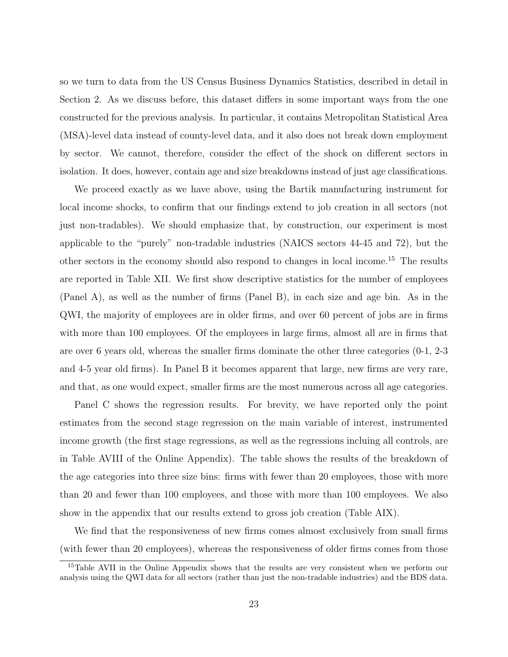so we turn to data from the US Census Business Dynamics Statistics, described in detail in Section 2. As we discuss before, this dataset differs in some important ways from the one constructed for the previous analysis. In particular, it contains Metropolitan Statistical Area (MSA)-level data instead of county-level data, and it also does not break down employment by sector. We cannot, therefore, consider the effect of the shock on different sectors in isolation. It does, however, contain age and size breakdowns instead of just age classifications.

We proceed exactly as we have above, using the Bartik manufacturing instrument for local income shocks, to confirm that our findings extend to job creation in all sectors (not just non-tradables). We should emphasize that, by construction, our experiment is most applicable to the "purely" non-tradable industries (NAICS sectors 44-45 and 72), but the other sectors in the economy should also respond to changes in local income.<sup>15</sup> The results are reported in Table XII. We first show descriptive statistics for the number of employees (Panel A), as well as the number of firms (Panel B), in each size and age bin. As in the QWI, the majority of employees are in older firms, and over 60 percent of jobs are in firms with more than 100 employees. Of the employees in large firms, almost all are in firms that are over 6 years old, whereas the smaller firms dominate the other three categories (0-1, 2-3 and 4-5 year old firms). In Panel B it becomes apparent that large, new firms are very rare, and that, as one would expect, smaller firms are the most numerous across all age categories.

Panel C shows the regression results. For brevity, we have reported only the point estimates from the second stage regression on the main variable of interest, instrumented income growth (the first stage regressions, as well as the regressions incluing all controls, are in Table AVIII of the Online Appendix). The table shows the results of the breakdown of the age categories into three size bins: firms with fewer than 20 employees, those with more than 20 and fewer than 100 employees, and those with more than 100 employees. We also show in the appendix that our results extend to gross job creation (Table AIX).

We find that the responsiveness of new firms comes almost exclusively from small firms (with fewer than 20 employees), whereas the responsiveness of older firms comes from those

<sup>&</sup>lt;sup>15</sup>Table AVII in the Online Appendix shows that the results are very consistent when we perform our analysis using the QWI data for all sectors (rather than just the non-tradable industries) and the BDS data.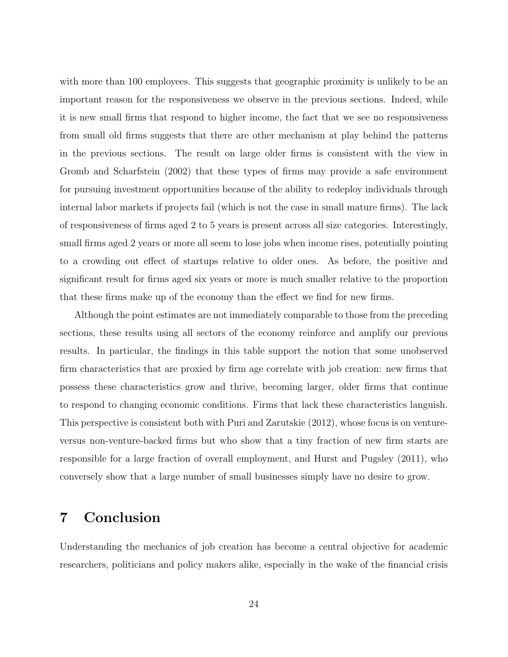with more than 100 employees. This suggests that geographic proximity is unlikely to be an important reason for the responsiveness we observe in the previous sections. Indeed, while it is new small firms that respond to higher income, the fact that we see no responsiveness from small old firms suggests that there are other mechanism at play behind the patterns in the previous sections. The result on large older firms is consistent with the view in Gromb and Scharfstein (2002) that these types of firms may provide a safe environment for pursuing investment opportunities because of the ability to redeploy individuals through internal labor markets if projects fail (which is not the case in small mature firms). The lack of responsiveness of firms aged 2 to 5 years is present across all size categories. Interestingly, small firms aged 2 years or more all seem to lose jobs when income rises, potentially pointing to a crowding out effect of startups relative to older ones. As before, the positive and significant result for firms aged six years or more is much smaller relative to the proportion that these firms make up of the economy than the effect we find for new firms.

Although the point estimates are not immediately comparable to those from the preceding sections, these results using all sectors of the economy reinforce and amplify our previous results. In particular, the findings in this table support the notion that some unobserved firm characteristics that are proxied by firm age correlate with job creation: new firms that possess these characteristics grow and thrive, becoming larger, older firms that continue to respond to changing economic conditions. Firms that lack these characteristics languish. This perspective is consistent both with Puri and Zarutskie (2012), whose focus is on ventureversus non-venture-backed firms but who show that a tiny fraction of new firm starts are responsible for a large fraction of overall employment, and Hurst and Pugsley (2011), who conversely show that a large number of small businesses simply have no desire to grow.

# 7 Conclusion

Understanding the mechanics of job creation has become a central objective for academic researchers, politicians and policy makers alike, especially in the wake of the financial crisis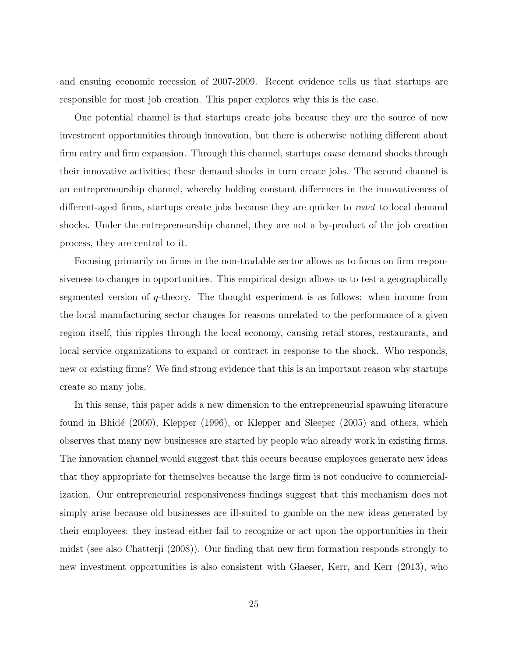and ensuing economic recession of 2007-2009. Recent evidence tells us that startups are responsible for most job creation. This paper explores why this is the case.

One potential channel is that startups create jobs because they are the source of new investment opportunities through innovation, but there is otherwise nothing different about firm entry and firm expansion. Through this channel, startups *cause* demand shocks through their innovative activities; these demand shocks in turn create jobs. The second channel is an entrepreneurship channel, whereby holding constant differences in the innovativeness of different-aged firms, startups create jobs because they are quicker to react to local demand shocks. Under the entrepreneurship channel, they are not a by-product of the job creation process, they are central to it.

Focusing primarily on firms in the non-tradable sector allows us to focus on firm responsiveness to changes in opportunities. This empirical design allows us to test a geographically segmented version of q-theory. The thought experiment is as follows: when income from the local manufacturing sector changes for reasons unrelated to the performance of a given region itself, this ripples through the local economy, causing retail stores, restaurants, and local service organizations to expand or contract in response to the shock. Who responds, new or existing firms? We find strong evidence that this is an important reason why startups create so many jobs.

In this sense, this paper adds a new dimension to the entrepreneurial spawning literature found in Bhidé (2000), Klepper (1996), or Klepper and Sleeper (2005) and others, which observes that many new businesses are started by people who already work in existing firms. The innovation channel would suggest that this occurs because employees generate new ideas that they appropriate for themselves because the large firm is not conducive to commercialization. Our entrepreneurial responsiveness findings suggest that this mechanism does not simply arise because old businesses are ill-suited to gamble on the new ideas generated by their employees: they instead either fail to recognize or act upon the opportunities in their midst (see also Chatterji (2008)). Our finding that new firm formation responds strongly to new investment opportunities is also consistent with Glaeser, Kerr, and Kerr (2013), who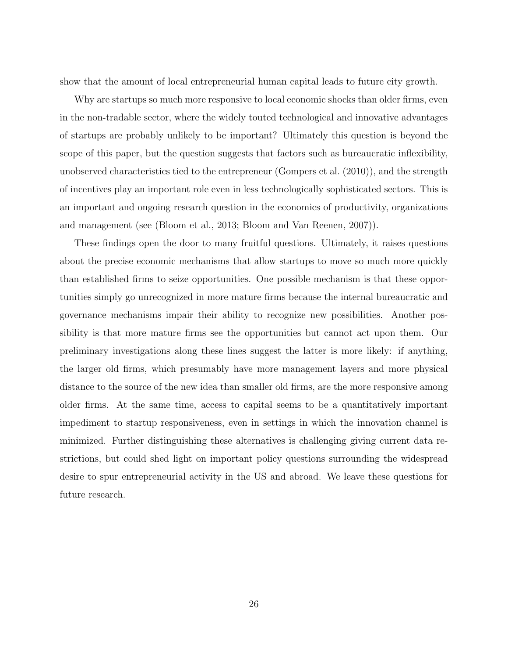show that the amount of local entrepreneurial human capital leads to future city growth.

Why are startups so much more responsive to local economic shocks than older firms, even in the non-tradable sector, where the widely touted technological and innovative advantages of startups are probably unlikely to be important? Ultimately this question is beyond the scope of this paper, but the question suggests that factors such as bureaucratic inflexibility, unobserved characteristics tied to the entrepreneur (Gompers et al. (2010)), and the strength of incentives play an important role even in less technologically sophisticated sectors. This is an important and ongoing research question in the economics of productivity, organizations and management (see (Bloom et al., 2013; Bloom and Van Reenen, 2007)).

These findings open the door to many fruitful questions. Ultimately, it raises questions about the precise economic mechanisms that allow startups to move so much more quickly than established firms to seize opportunities. One possible mechanism is that these opportunities simply go unrecognized in more mature firms because the internal bureaucratic and governance mechanisms impair their ability to recognize new possibilities. Another possibility is that more mature firms see the opportunities but cannot act upon them. Our preliminary investigations along these lines suggest the latter is more likely: if anything, the larger old firms, which presumably have more management layers and more physical distance to the source of the new idea than smaller old firms, are the more responsive among older firms. At the same time, access to capital seems to be a quantitatively important impediment to startup responsiveness, even in settings in which the innovation channel is minimized. Further distinguishing these alternatives is challenging giving current data restrictions, but could shed light on important policy questions surrounding the widespread desire to spur entrepreneurial activity in the US and abroad. We leave these questions for future research.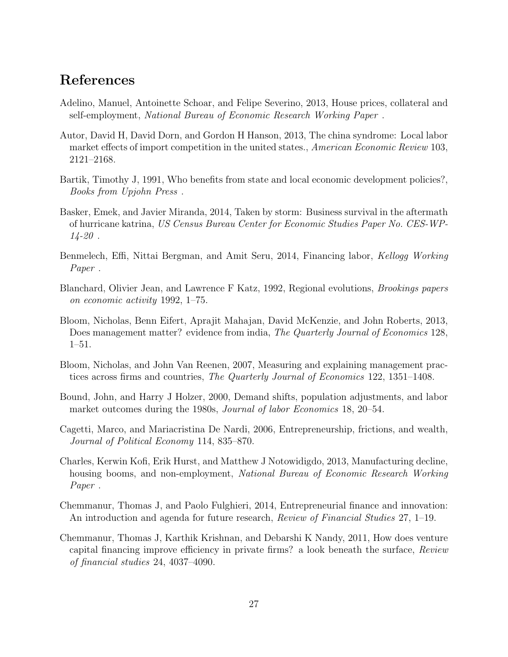# References

- Adelino, Manuel, Antoinette Schoar, and Felipe Severino, 2013, House prices, collateral and self-employment, National Bureau of Economic Research Working Paper .
- Autor, David H, David Dorn, and Gordon H Hanson, 2013, The china syndrome: Local labor market effects of import competition in the united states., American Economic Review 103, 2121–2168.
- Bartik, Timothy J, 1991, Who benefits from state and local economic development policies?, Books from Upjohn Press .
- Basker, Emek, and Javier Miranda, 2014, Taken by storm: Business survival in the aftermath of hurricane katrina, US Census Bureau Center for Economic Studies Paper No. CES-WP- $14 - 20$ .
- Benmelech, Effi, Nittai Bergman, and Amit Seru, 2014, Financing labor, Kellogg Working Paper .
- Blanchard, Olivier Jean, and Lawrence F Katz, 1992, Regional evolutions, Brookings papers on economic activity 1992, 1–75.
- Bloom, Nicholas, Benn Eifert, Aprajit Mahajan, David McKenzie, and John Roberts, 2013, Does management matter? evidence from india, The Quarterly Journal of Economics 128, 1–51.
- Bloom, Nicholas, and John Van Reenen, 2007, Measuring and explaining management practices across firms and countries, The Quarterly Journal of Economics 122, 1351–1408.
- Bound, John, and Harry J Holzer, 2000, Demand shifts, population adjustments, and labor market outcomes during the 1980s, *Journal of labor Economics* 18, 20–54.
- Cagetti, Marco, and Mariacristina De Nardi, 2006, Entrepreneurship, frictions, and wealth, Journal of Political Economy 114, 835–870.
- Charles, Kerwin Kofi, Erik Hurst, and Matthew J Notowidigdo, 2013, Manufacturing decline, housing booms, and non-employment, National Bureau of Economic Research Working Paper .
- Chemmanur, Thomas J, and Paolo Fulghieri, 2014, Entrepreneurial finance and innovation: An introduction and agenda for future research, Review of Financial Studies 27, 1–19.
- Chemmanur, Thomas J, Karthik Krishnan, and Debarshi K Nandy, 2011, How does venture capital financing improve efficiency in private firms? a look beneath the surface, Review of financial studies 24, 4037–4090.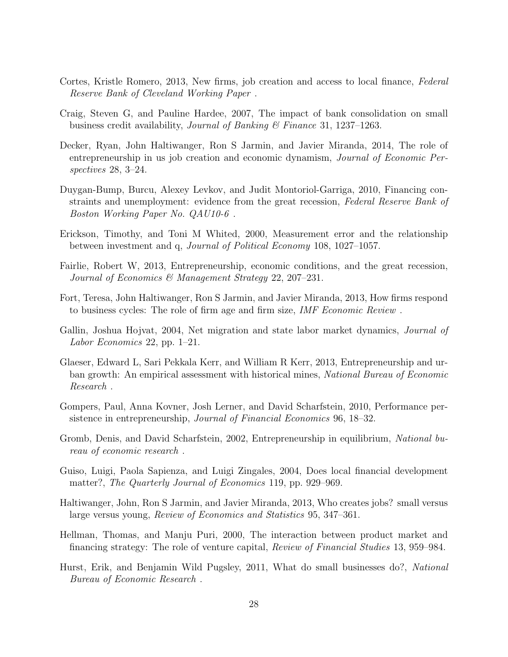- Cortes, Kristle Romero, 2013, New firms, job creation and access to local finance, Federal Reserve Bank of Cleveland Working Paper .
- Craig, Steven G, and Pauline Hardee, 2007, The impact of bank consolidation on small business credit availability, Journal of Banking  $\mathcal C$  Finance 31, 1237–1263.
- Decker, Ryan, John Haltiwanger, Ron S Jarmin, and Javier Miranda, 2014, The role of entrepreneurship in us job creation and economic dynamism, Journal of Economic Perspectives 28, 3–24.
- Duygan-Bump, Burcu, Alexey Levkov, and Judit Montoriol-Garriga, 2010, Financing constraints and unemployment: evidence from the great recession, Federal Reserve Bank of Boston Working Paper No. QAU10-6 .
- Erickson, Timothy, and Toni M Whited, 2000, Measurement error and the relationship between investment and q, Journal of Political Economy 108, 1027–1057.
- Fairlie, Robert W, 2013, Entrepreneurship, economic conditions, and the great recession, Journal of Economics & Management Strategy 22, 207–231.
- Fort, Teresa, John Haltiwanger, Ron S Jarmin, and Javier Miranda, 2013, How firms respond to business cycles: The role of firm age and firm size, IMF Economic Review .
- Gallin, Joshua Hojvat, 2004, Net migration and state labor market dynamics, *Journal of* Labor Economics 22, pp. 1–21.
- Glaeser, Edward L, Sari Pekkala Kerr, and William R Kerr, 2013, Entrepreneurship and urban growth: An empirical assessment with historical mines, National Bureau of Economic Research .
- Gompers, Paul, Anna Kovner, Josh Lerner, and David Scharfstein, 2010, Performance persistence in entrepreneurship, Journal of Financial Economics 96, 18–32.
- Gromb, Denis, and David Scharfstein, 2002, Entrepreneurship in equilibrium, National bureau of economic research .
- Guiso, Luigi, Paola Sapienza, and Luigi Zingales, 2004, Does local financial development matter?, The Quarterly Journal of Economics 119, pp. 929–969.
- Haltiwanger, John, Ron S Jarmin, and Javier Miranda, 2013, Who creates jobs? small versus large versus young, Review of Economics and Statistics 95, 347–361.
- Hellman, Thomas, and Manju Puri, 2000, The interaction between product market and financing strategy: The role of venture capital, Review of Financial Studies 13, 959–984.
- Hurst, Erik, and Benjamin Wild Pugsley, 2011, What do small businesses do?, National Bureau of Economic Research .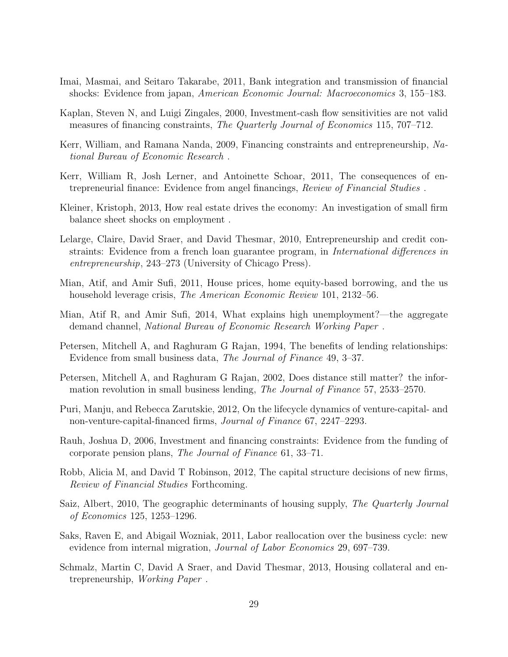- Imai, Masmai, and Seitaro Takarabe, 2011, Bank integration and transmission of financial shocks: Evidence from japan, American Economic Journal: Macroeconomics 3, 155–183.
- Kaplan, Steven N, and Luigi Zingales, 2000, Investment-cash flow sensitivities are not valid measures of financing constraints, The Quarterly Journal of Economics 115, 707–712.
- Kerr, William, and Ramana Nanda, 2009, Financing constraints and entrepreneurship, National Bureau of Economic Research .
- Kerr, William R, Josh Lerner, and Antoinette Schoar, 2011, The consequences of entrepreneurial finance: Evidence from angel financings, Review of Financial Studies .
- Kleiner, Kristoph, 2013, How real estate drives the economy: An investigation of small firm balance sheet shocks on employment .
- Lelarge, Claire, David Sraer, and David Thesmar, 2010, Entrepreneurship and credit constraints: Evidence from a french loan guarantee program, in International differences in entrepreneurship, 243–273 (University of Chicago Press).
- Mian, Atif, and Amir Sufi, 2011, House prices, home equity-based borrowing, and the us household leverage crisis, *The American Economic Review* 101, 2132–56.
- Mian, Atif R, and Amir Sufi, 2014, What explains high unemployment?—the aggregate demand channel, National Bureau of Economic Research Working Paper .
- Petersen, Mitchell A, and Raghuram G Rajan, 1994, The benefits of lending relationships: Evidence from small business data, The Journal of Finance 49, 3–37.
- Petersen, Mitchell A, and Raghuram G Rajan, 2002, Does distance still matter? the information revolution in small business lending, The Journal of Finance 57, 2533–2570.
- Puri, Manju, and Rebecca Zarutskie, 2012, On the lifecycle dynamics of venture-capital- and non-venture-capital-financed firms, Journal of Finance 67, 2247–2293.
- Rauh, Joshua D, 2006, Investment and financing constraints: Evidence from the funding of corporate pension plans, The Journal of Finance 61, 33–71.
- Robb, Alicia M, and David T Robinson, 2012, The capital structure decisions of new firms, Review of Financial Studies Forthcoming.
- Saiz, Albert, 2010, The geographic determinants of housing supply, The Quarterly Journal of Economics 125, 1253–1296.
- Saks, Raven E, and Abigail Wozniak, 2011, Labor reallocation over the business cycle: new evidence from internal migration, Journal of Labor Economics 29, 697–739.
- Schmalz, Martin C, David A Sraer, and David Thesmar, 2013, Housing collateral and entrepreneurship, Working Paper .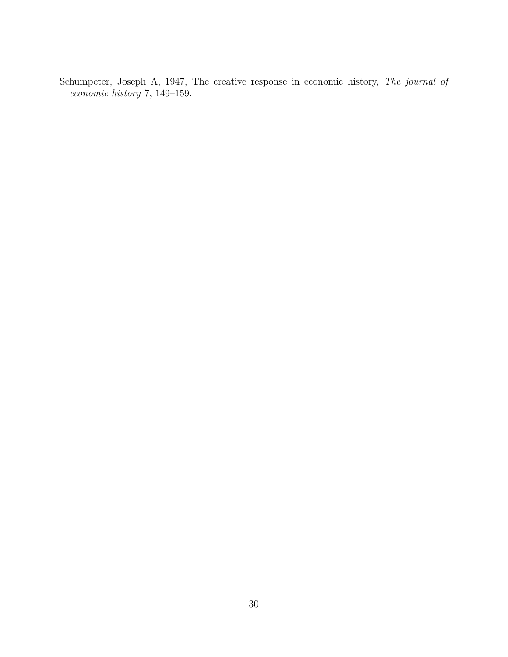Schumpeter, Joseph A, 1947, The creative response in economic history, The journal of economic history 7, 149–159.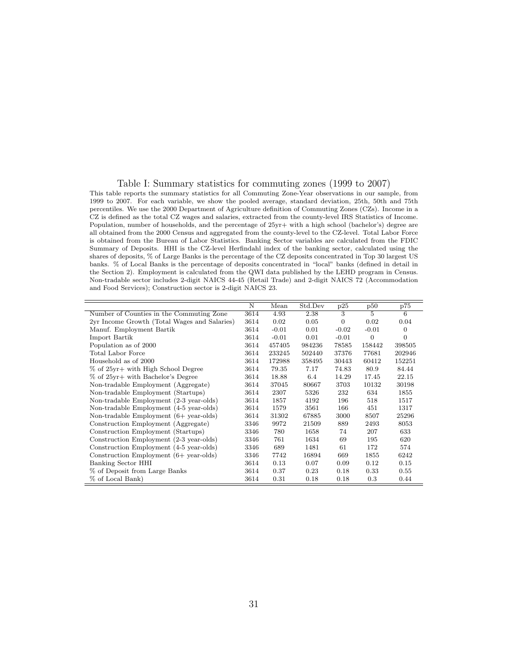#### Table I: Summary statistics for commuting zones (1999 to 2007)

This table reports the summary statistics for all Commuting Zone-Year observations in our sample, from 1999 to 2007. For each variable, we show the pooled average, standard deviation, 25th, 50th and 75th percentiles. We use the 2000 Department of Agriculture definition of Commuting Zones (CZs). Income in a CZ is defined as the total CZ wages and salaries, extracted from the county-level IRS Statistics of Income. Population, number of households, and the percentage of 25yr+ with a high school (bachelor's) degree are all obtained from the 2000 Census and aggregated from the county-level to the CZ-level. Total Labor Force is obtained from the Bureau of Labor Statistics. Banking Sector variables are calculated from the FDIC Summary of Deposits. HHI is the CZ-level Herfindahl index of the banking sector, calculated using the shares of deposits, % of Large Banks is the percentage of the CZ deposits concentrated in Top 30 largest US banks. % of Local Banks is the percentage of deposits concentrated in "local" banks (defined in detail in the Section 2). Employment is calculated from the QWI data published by the LEHD program in Census. Non-tradable sector includes 2-digit NAICS 44-45 (Retail Trade) and 2-digit NAICS 72 (Accommodation and Food Services); Construction sector is 2-digit NAICS 23.

|                                                   | N    | Mean    | Std.Dev | p25            | p50            | p75            |
|---------------------------------------------------|------|---------|---------|----------------|----------------|----------------|
| Number of Counties in the Commuting Zone          | 3614 | 4.93    | 2.38    | 3              | $\overline{5}$ | 6              |
| 2yr Income Growth (Total Wages and Salaries)      | 3614 | 0.02    | 0.05    | $\overline{0}$ | 0.02           | 0.04           |
| Manuf. Employment Bartik                          | 3614 | $-0.01$ | 0.01    | $-0.02$        | $-0.01$        | $\overline{0}$ |
| Import Bartik                                     | 3614 | $-0.01$ | 0.01    | $-0.01$        | $\overline{0}$ | $\overline{0}$ |
| Population as of 2000                             | 3614 | 457405  | 984236  | 78585          | 158442         | 398505         |
| Total Labor Force                                 | 3614 | 233245  | 502440  | 37376          | 77681          | 202946         |
| Household as of 2000                              | 3614 | 172988  | 358495  | 30443          | 60412          | 152251         |
| % of 25yr+ with High School Degree                | 3614 | 79.35   | 7.17    | 74.83          | 80.9           | 84.44          |
| % of 25yr+ with Bachelor's Degree                 | 3614 | 18.88   | 6.4     | 14.29          | 17.45          | 22.15          |
| Non-tradable Employment (Aggregate)               | 3614 | 37045   | 80667   | 3703           | 10132          | 30198          |
| Non-tradable Employment (Startups)                | 3614 | 2307    | 5326    | 232            | 634            | 1855           |
| Non-tradable Employment (2-3 year-olds)           | 3614 | 1857    | 4192    | 196            | 518            | 1517           |
| Non-tradable Employment (4-5 year-olds)           | 3614 | 1579    | 3561    | 166            | 451            | 1317           |
| Non-tradable Employment $(6 + \text{ year-olds})$ | 3614 | 31302   | 67885   | 3000           | 8507           | 25296          |
| Construction Employment (Aggregate)               | 3346 | 9972    | 21509   | 889            | 2493           | 8053           |
| Construction Employment (Startups)                | 3346 | 780     | 1658    | 74             | 207            | 633            |
| Construction Employment (2-3 year-olds)           | 3346 | 761     | 1634    | 69             | 195            | 620            |
| Construction Employment (4-5 year-olds)           | 3346 | 689     | 1481    | 61             | 172            | 574            |
| Construction Employment $(6 + \text{ year-olds})$ | 3346 | 7742    | 16894   | 669            | 1855           | 6242           |
| Banking Sector HHI                                | 3614 | 0.13    | 0.07    | 0.09           | 0.12           | 0.15           |
| % of Deposit from Large Banks                     | 3614 | 0.37    | 0.23    | 0.18           | 0.33           | 0.55           |
| % of Local Bank)                                  | 3614 | 0.31    | 0.18    | 0.18           | 0.3            | 0.44           |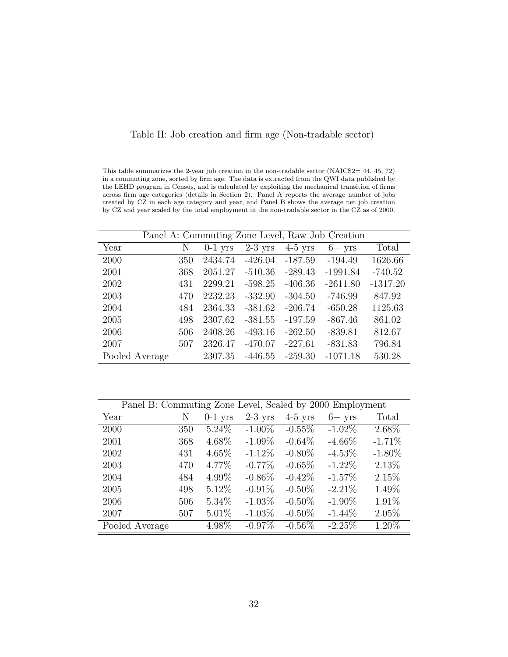| in a commuting zone, sorted by firm age. The data is extracted from the QWI data published by  |                                                 |  |                                         |       |
|------------------------------------------------------------------------------------------------|-------------------------------------------------|--|-----------------------------------------|-------|
| the LEHD program in Census, and is calculated by exploiting the mechanical transition of firms |                                                 |  |                                         |       |
| across firm age categories (details in Section 2). Panel A reports the average number of jobs  |                                                 |  |                                         |       |
| created by CZ in each age category and year, and Panel B shows the average net job creation    |                                                 |  |                                         |       |
| by CZ and year scaled by the total employment in the non-tradable sector in the CZ as of 2000. |                                                 |  |                                         |       |
|                                                                                                |                                                 |  |                                         |       |
|                                                                                                |                                                 |  |                                         |       |
|                                                                                                | Panel A: Commuting Zone Level, Raw Job Creation |  |                                         |       |
| Vear                                                                                           |                                                 |  | N 0.1 yrs $2.3$ yrs $4.5$ yrs $6 +$ yrs | Total |

|  |  |  | Table II: Job creation and firm age (Non-tradable sector) |  |
|--|--|--|-----------------------------------------------------------|--|
|  |  |  |                                                           |  |

This table summarizes the 2-year job creation in the non-tradable sector (NAICS2=  $44, 45, 72$ )

Year N 0-1 yrs 2-3 yrs 4-5 yrs 6+ yrs Total 2000 350 2434.74 -426.04 -187.59 -194.49 1626.66 2001 368 2051.27 -510.36 -289.43 -1991.84 -740.52 2002 431 2299.21 -598.25 -406.36 -2611.80 -1317.20 2003 470 2232.23 -332.90 -304.50 -746.99 847.92 2004 484 2364.33 -381.62 -206.74 -650.28 1125.63 2005 498 2307.62 -381.55 -197.59 -867.46 861.02 2006 506 2408.26 -493.16 -262.50 -839.81 812.67 2007 507 2326.47 -470.07 -227.61 -831.83 796.84 Pooled Average 2307.35 -446.55 -259.30 -1071.18 530.28

| Panel B: Commuting Zone Level, Scaled by 2000 Employment |     |           |           |           |           |           |
|----------------------------------------------------------|-----|-----------|-----------|-----------|-----------|-----------|
| Year                                                     | N   | $0-1$ yrs | $2-3$ yrs | $4-5$ yrs | $6+$ yrs  | Total     |
| 2000                                                     | 350 | $5.24\%$  | $-1.00\%$ | $-0.55\%$ | $-1.02\%$ | 2.68%     |
| 2001                                                     | 368 | 4.68%     | $-1.09\%$ | $-0.64\%$ | $-4.66\%$ | $-1.71%$  |
| 2002                                                     | 431 | $4.65\%$  | $-1.12\%$ | $-0.80\%$ | $-4.53\%$ | $-1.80\%$ |
| 2003                                                     | 470 | 4.77\%    | $-0.77\%$ | $-0.65%$  | $-1.22\%$ | 2.13%     |
| 2004                                                     | 484 | 4.99%     | $-0.86\%$ | $-0.42\%$ | $-1.57\%$ | 2.15%     |
| 2005                                                     | 498 | $5.12\%$  | $-0.91\%$ | $-0.50\%$ | $-2.21\%$ | 1.49%     |
| 2006                                                     | 506 | $5.34\%$  | $-1.03\%$ | $-0.50\%$ | $-1.90\%$ | 1.91%     |
| 2007                                                     | 507 | $5.01\%$  | $-1.03\%$ | $-0.50\%$ | $-1.44\%$ | 2.05%     |
| Pooled Average                                           |     | 4.98%     | $-0.97\%$ | $-0.56\%$ | $-2.25%$  | 1.20%     |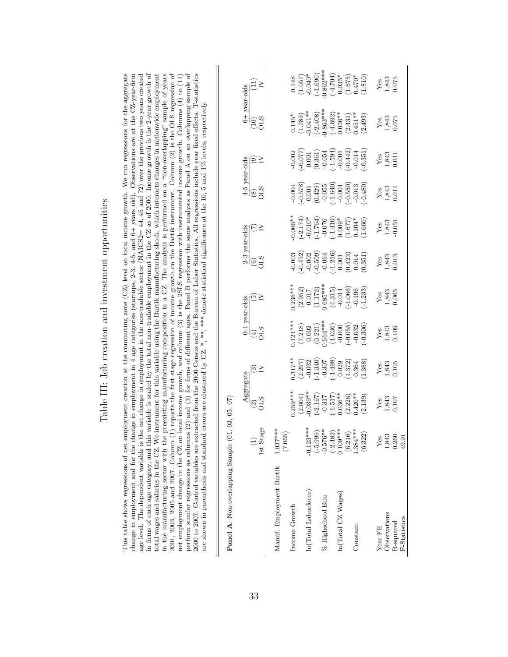|                                                                                                                                                                                                                                                                                                                                                                                                                                                                                                                                                                                                                                                                                                                                                                                                                                                                                                                                                                                                                                                                                                                                                                                                                                                                                                                                                                                                                           |                                                  | 6+ year-olds<br>(10) |
|---------------------------------------------------------------------------------------------------------------------------------------------------------------------------------------------------------------------------------------------------------------------------------------------------------------------------------------------------------------------------------------------------------------------------------------------------------------------------------------------------------------------------------------------------------------------------------------------------------------------------------------------------------------------------------------------------------------------------------------------------------------------------------------------------------------------------------------------------------------------------------------------------------------------------------------------------------------------------------------------------------------------------------------------------------------------------------------------------------------------------------------------------------------------------------------------------------------------------------------------------------------------------------------------------------------------------------------------------------------------------------------------------------------------------|--------------------------------------------------|----------------------|
|                                                                                                                                                                                                                                                                                                                                                                                                                                                                                                                                                                                                                                                                                                                                                                                                                                                                                                                                                                                                                                                                                                                                                                                                                                                                                                                                                                                                                           |                                                  |                      |
|                                                                                                                                                                                                                                                                                                                                                                                                                                                                                                                                                                                                                                                                                                                                                                                                                                                                                                                                                                                                                                                                                                                                                                                                                                                                                                                                                                                                                           |                                                  |                      |
|                                                                                                                                                                                                                                                                                                                                                                                                                                                                                                                                                                                                                                                                                                                                                                                                                                                                                                                                                                                                                                                                                                                                                                                                                                                                                                                                                                                                                           |                                                  | 4-5 year-olds        |
|                                                                                                                                                                                                                                                                                                                                                                                                                                                                                                                                                                                                                                                                                                                                                                                                                                                                                                                                                                                                                                                                                                                                                                                                                                                                                                                                                                                                                           |                                                  | STK<br>$\widehat{8}$ |
|                                                                                                                                                                                                                                                                                                                                                                                                                                                                                                                                                                                                                                                                                                                                                                                                                                                                                                                                                                                                                                                                                                                                                                                                                                                                                                                                                                                                                           |                                                  |                      |
|                                                                                                                                                                                                                                                                                                                                                                                                                                                                                                                                                                                                                                                                                                                                                                                                                                                                                                                                                                                                                                                                                                                                                                                                                                                                                                                                                                                                                           |                                                  | 2-3 year-olds        |
| variable is scaled by the total non-tradable employment in the CZ as of 2000. Income growth is the 2-year growth of<br>preexisting manufacturing composition in a CZ. The analysis is performed on a "non-overlapping" sample of years<br>errors are clustered by CZ.*,**,***,*denote statistical significance at the 10, 5 and 1% levels, respectively.                                                                                                                                                                                                                                                                                                                                                                                                                                                                                                                                                                                                                                                                                                                                                                                                                                                                                                                                                                                                                                                                  |                                                  | STC                  |
|                                                                                                                                                                                                                                                                                                                                                                                                                                                                                                                                                                                                                                                                                                                                                                                                                                                                                                                                                                                                                                                                                                                                                                                                                                                                                                                                                                                                                           |                                                  |                      |
|                                                                                                                                                                                                                                                                                                                                                                                                                                                                                                                                                                                                                                                                                                                                                                                                                                                                                                                                                                                                                                                                                                                                                                                                                                                                                                                                                                                                                           |                                                  | 0-1 year-olds        |
|                                                                                                                                                                                                                                                                                                                                                                                                                                                                                                                                                                                                                                                                                                                                                                                                                                                                                                                                                                                                                                                                                                                                                                                                                                                                                                                                                                                                                           |                                                  | €                    |
|                                                                                                                                                                                                                                                                                                                                                                                                                                                                                                                                                                                                                                                                                                                                                                                                                                                                                                                                                                                                                                                                                                                                                                                                                                                                                                                                                                                                                           |                                                  |                      |
|                                                                                                                                                                                                                                                                                                                                                                                                                                                                                                                                                                                                                                                                                                                                                                                                                                                                                                                                                                                                                                                                                                                                                                                                                                                                                                                                                                                                                           |                                                  | $\infty$             |
|                                                                                                                                                                                                                                                                                                                                                                                                                                                                                                                                                                                                                                                                                                                                                                                                                                                                                                                                                                                                                                                                                                                                                                                                                                                                                                                                                                                                                           |                                                  | Aggregate            |
|                                                                                                                                                                                                                                                                                                                                                                                                                                                                                                                                                                                                                                                                                                                                                                                                                                                                                                                                                                                                                                                                                                                                                                                                                                                                                                                                                                                                                           |                                                  |                      |
|                                                                                                                                                                                                                                                                                                                                                                                                                                                                                                                                                                                                                                                                                                                                                                                                                                                                                                                                                                                                                                                                                                                                                                                                                                                                                                                                                                                                                           |                                                  | 1st Stage            |
|                                                                                                                                                                                                                                                                                                                                                                                                                                                                                                                                                                                                                                                                                                                                                                                                                                                                                                                                                                                                                                                                                                                                                                                                                                                                                                                                                                                                                           |                                                  |                      |
|                                                                                                                                                                                                                                                                                                                                                                                                                                                                                                                                                                                                                                                                                                                                                                                                                                                                                                                                                                                                                                                                                                                                                                                                                                                                                                                                                                                                                           |                                                  |                      |
|                                                                                                                                                                                                                                                                                                                                                                                                                                                                                                                                                                                                                                                                                                                                                                                                                                                                                                                                                                                                                                                                                                                                                                                                                                                                                                                                                                                                                           |                                                  |                      |
| This table shows regressions of net employment creation at the commuting zone $(CZ)$ level on local income growth. We run regressions for the aggregate<br>2001, 2005 and 2007. Column (1) reports the first stage regression of income growth on the Bartik instrument. Column (2) is the OLS regression of<br>perform similar regressions as columns (2) and (3) for firms of different ages. Panel B performs the same analysis as Panel A on an overlapping sample of<br>2000 to 2007. Control variables are extracted from the 2000 Census and the Bureau of Labor Statistics. All regressions include year fixed effects. T-statistics<br>hange in employment and for the change in employment in 4 age categories (startups, 2-3, 4-5, and 6+ years old). Observations are at the CZ-year-firm<br>age level. The dependent variable is the net change in employment in the non-tradable sector (NAICS2= $44$ , $45$ and $72$ ) over the previous two years created<br>total wages and salaries in the CZ. We instrument for this variable using the Bartik manufacturing shock, which interacts changes in nationwide employment<br>net employment change in the CZ on local income growth, and column (3) is the 2SLS regression with instrumented income growth. Columns (4) to (11)<br>are shown in parenthesis and standard<br>in firms of each age category, and this<br>in the manufacturing sector with the | Panel A: Non-overlapping Sample (01, 03, 05, 07) |                      |
|                                                                                                                                                                                                                                                                                                                                                                                                                                                                                                                                                                                                                                                                                                                                                                                                                                                                                                                                                                                                                                                                                                                                                                                                                                                                                                                                                                                                                           |                                                  |                      |

Table III: Job creation and investment opportunities

Table III: Job creation and investment opportunities

|                          | Ē                                                                                                            | $\frac{\text{Aggregate}}{\text{(2)}}$<br>OLS                                                             | ⊙≥                                                                                                                                                                                             | $\begin{array}{c}\n\text{0-1} \text{ years-olds} \\ \text{(4)} \\ \text{OLS}\n\end{array}$          |                                                                                                       | $\frac{2-3 \text{ years-olds}}{(6)}$<br>OLS IV                                                                                                             |                                                                                                 | $\frac{4-5 \text{ years-olds}}{(8)}$<br>OLS IV                                                                                                                                                                                                                                                                                                    |                                                                                                                                                                                                                                                                                                                                  | $\frac{1}{2}$                                                                                                                                                                                                                                                                                                                       |                                                                                                                                                                               |
|--------------------------|--------------------------------------------------------------------------------------------------------------|----------------------------------------------------------------------------------------------------------|------------------------------------------------------------------------------------------------------------------------------------------------------------------------------------------------|-----------------------------------------------------------------------------------------------------|-------------------------------------------------------------------------------------------------------|------------------------------------------------------------------------------------------------------------------------------------------------------------|-------------------------------------------------------------------------------------------------|---------------------------------------------------------------------------------------------------------------------------------------------------------------------------------------------------------------------------------------------------------------------------------------------------------------------------------------------------|----------------------------------------------------------------------------------------------------------------------------------------------------------------------------------------------------------------------------------------------------------------------------------------------------------------------------------|-------------------------------------------------------------------------------------------------------------------------------------------------------------------------------------------------------------------------------------------------------------------------------------------------------------------------------------|-------------------------------------------------------------------------------------------------------------------------------------------------------------------------------|
|                          | 1st Stage                                                                                                    |                                                                                                          |                                                                                                                                                                                                |                                                                                                     |                                                                                                       |                                                                                                                                                            |                                                                                                 |                                                                                                                                                                                                                                                                                                                                                   |                                                                                                                                                                                                                                                                                                                                  |                                                                                                                                                                                                                                                                                                                                     | $\frac{year - odds}{(11)}$<br>$IV$                                                                                                                                            |
| Manuf. Employment Bartik | $1.037***$                                                                                                   |                                                                                                          |                                                                                                                                                                                                |                                                                                                     |                                                                                                       |                                                                                                                                                            |                                                                                                 |                                                                                                                                                                                                                                                                                                                                                   |                                                                                                                                                                                                                                                                                                                                  |                                                                                                                                                                                                                                                                                                                                     |                                                                                                                                                                               |
|                          | (7.065)                                                                                                      |                                                                                                          |                                                                                                                                                                                                |                                                                                                     |                                                                                                       |                                                                                                                                                            |                                                                                                 |                                                                                                                                                                                                                                                                                                                                                   |                                                                                                                                                                                                                                                                                                                                  |                                                                                                                                                                                                                                                                                                                                     |                                                                                                                                                                               |
| Income Growth            |                                                                                                              |                                                                                                          |                                                                                                                                                                                                |                                                                                                     |                                                                                                       |                                                                                                                                                            |                                                                                                 |                                                                                                                                                                                                                                                                                                                                                   |                                                                                                                                                                                                                                                                                                                                  |                                                                                                                                                                                                                                                                                                                                     |                                                                                                                                                                               |
|                          |                                                                                                              |                                                                                                          |                                                                                                                                                                                                |                                                                                                     |                                                                                                       |                                                                                                                                                            |                                                                                                 |                                                                                                                                                                                                                                                                                                                                                   |                                                                                                                                                                                                                                                                                                                                  |                                                                                                                                                                                                                                                                                                                                     |                                                                                                                                                                               |
| $\ln(T$ otal Laborforce) |                                                                                                              |                                                                                                          |                                                                                                                                                                                                |                                                                                                     |                                                                                                       |                                                                                                                                                            |                                                                                                 |                                                                                                                                                                                                                                                                                                                                                   |                                                                                                                                                                                                                                                                                                                                  |                                                                                                                                                                                                                                                                                                                                     |                                                                                                                                                                               |
|                          |                                                                                                              |                                                                                                          |                                                                                                                                                                                                |                                                                                                     |                                                                                                       |                                                                                                                                                            |                                                                                                 |                                                                                                                                                                                                                                                                                                                                                   |                                                                                                                                                                                                                                                                                                                                  |                                                                                                                                                                                                                                                                                                                                     |                                                                                                                                                                               |
| % Highschool Edu         |                                                                                                              |                                                                                                          |                                                                                                                                                                                                |                                                                                                     |                                                                                                       |                                                                                                                                                            |                                                                                                 |                                                                                                                                                                                                                                                                                                                                                   |                                                                                                                                                                                                                                                                                                                                  |                                                                                                                                                                                                                                                                                                                                     |                                                                                                                                                                               |
|                          |                                                                                                              |                                                                                                          |                                                                                                                                                                                                |                                                                                                     |                                                                                                       |                                                                                                                                                            |                                                                                                 |                                                                                                                                                                                                                                                                                                                                                   |                                                                                                                                                                                                                                                                                                                                  |                                                                                                                                                                                                                                                                                                                                     |                                                                                                                                                                               |
| $ln(Total$ CZ Wages)     |                                                                                                              |                                                                                                          |                                                                                                                                                                                                |                                                                                                     |                                                                                                       |                                                                                                                                                            |                                                                                                 |                                                                                                                                                                                                                                                                                                                                                   |                                                                                                                                                                                                                                                                                                                                  |                                                                                                                                                                                                                                                                                                                                     |                                                                                                                                                                               |
|                          |                                                                                                              | $0.259**$<br>$(2.604)$<br>$(-2.167)$<br>$(-2.167)$<br>$(-1.517)$<br>$(-1.517)$<br>$(2.226)$<br>$(2.226)$ | $\begin{array}{l} .317^{* \ast} \\ (2.297) \\ (-0.032 \\ (-1.340) \\ (-1.307 \\ (-1.307 \\ 0.029 \\ (-1.372) \\ 0.029 \\ (-1.372) \\ 0.364 \\ (-1.388) \\ (-1.388) \\ (-1.388) \\ \end{array}$ | $1.121***$<br>$(7.218)$<br>$0.002$<br>$0.021$<br>$0.64***$<br>$(4.036)$<br>$(-0.055)$<br>$(-0.055)$ | $0.236**$<br>$(2.952)$<br>$0.017$<br>$(1.172)$<br>$(4.315)$<br>$(-1.066)$<br>$(-1.066)$<br>$(-1.066)$ | $\begin{array}{l} -0.003 \\ -0.452 \\ -0.002 \\ -0.003 \\ -0.064 \\ -0.064 \\ -0.001 \\ -0.001 \\ -0.001 \\ 0.014 \\ 0.014 \\ 0.014 \\ 0.0351 \end{array}$ | 0.066**<br>-2.174)<br>-0.010*<br>-1.764)<br>-1.010<br>-0.009*<br>-0.03/<br>-0.03/10<br>-0.03/10 | $\begin{array}{l} -0.004 \\ -0.578 \\ -0.01 \\ -0.01 \\ -0.01 \\ -0.05 \\ -0.01 \\ -0.01 \\ -0.01 \\ -0.01 \\ -0.01 \\ -0.01 \\ -0.03 \\ -0.03 \\ -0.04 \\ -0.03 \\ -0.03 \\ -0.04 \\ -0.03 \\ -0.04 \\ -0.03 \\ -0.04 \\ -0.03 \\ -0.04 \\ -0.03 \\ -0.04 \\ -0.03 \\ -0.04 \\ -0.03 \\ -0.04 \\ -0.03 \\ -0.04 \\ -0.03 \\ -0.04 \\ -0.03 \\ -$ | $\begin{array}{l} -0.002 \\ -0.077 \\ 0.001 \\ -0.034 \\ 0.054 \\ -0.054 \\ -0.001 \\ -0.001 \\ +0.014 \\ -0.014 \\ -0.014 \\ -0.014 \\ -0.031 \\ -0.031 \\ -0.031 \\ -0.031 \\ -0.031 \\ -0.031 \\ -0.031 \\ -0.031 \\ -0.033 \\ -0.033 \\ -0.033 \\ -0.033 \\ -0.033 \\ -0.033 \\ -0.033 \\ -0.033 \\ -0.033 \\ -0.033 \\ -0.$ |                                                                                                                                                                                                                                                                                                                                     |                                                                                                                                                                               |
| Constant                 |                                                                                                              |                                                                                                          |                                                                                                                                                                                                |                                                                                                     |                                                                                                       |                                                                                                                                                            |                                                                                                 |                                                                                                                                                                                                                                                                                                                                                   |                                                                                                                                                                                                                                                                                                                                  |                                                                                                                                                                                                                                                                                                                                     |                                                                                                                                                                               |
|                          | $-0.123***$<br>$(-5.999)$<br>$-0.576**$<br>$-2.482)$<br>$0.109***$<br>$0.104***$<br>$1.384***$<br>$1.384***$ |                                                                                                          |                                                                                                                                                                                                |                                                                                                     |                                                                                                       |                                                                                                                                                            |                                                                                                 |                                                                                                                                                                                                                                                                                                                                                   |                                                                                                                                                                                                                                                                                                                                  | $\begin{array}{l} 0.145^* \\ (1.789) \\ (0.041^{**} \\ (0.2408)^* \\ (0.863^{**}) \\ (0.036^{**} \\ (0.036^{**}) \\ (0.036^{**}) \\ (2.431) \\ (2.431^{**}) \\ (2.431^{**}) \\ (2.493) \\ (2.493) \\ (2.493) \\ (2.493) \\ (2.493) \\ (2.493) \\ (2.493) \\ (2.493) \\ (2.493) \\ (2.493) \\ (2.493) \\ (2.493) \\ (2.493) \\ (2.4$ | $\begin{array}{c} 0.148 \\ (1.057) \\ -0.040^{*} \\ -1.690) \\ (1.69) \\ (1.69) \\ (1.69) \\ (1.60) \\ (1.67) \\ (1.675) \\ (1.675) \\ (1.675) \\ (1.810)^{*} \\ \end{array}$ |
| Year FE                  | Yes                                                                                                          |                                                                                                          |                                                                                                                                                                                                |                                                                                                     |                                                                                                       |                                                                                                                                                            |                                                                                                 |                                                                                                                                                                                                                                                                                                                                                   |                                                                                                                                                                                                                                                                                                                                  |                                                                                                                                                                                                                                                                                                                                     |                                                                                                                                                                               |
| Observations             | 1,843                                                                                                        | $\begin{array}{c}\nY_{CS} \\ 1,843 \\ 0.107\n\end{array}$                                                | $\begin{array}{c}\n Y_{\text{ES}} \\  1,843 \\  0.105\n \end{array}$                                                                                                                           | $\begin{array}{c}\nY_{\text{ES}} \\ 1,843 \\ 0.109\n\end{array}$                                    | $Y_{.843}^{es}$<br>$1,843$<br>$0.065$                                                                 | $\begin{array}{c} \text{Yes} \\ 1,843 \\ 0.013 \end{array}$                                                                                                | $Y_{.843}^{es}$<br>$1,843$<br>$0.051$                                                           | $\begin{array}{c}\n Y_{e8} \\  1,843 \\  0.011\n \end{array}$                                                                                                                                                                                                                                                                                     | Yes<br>1,843<br>0.011                                                                                                                                                                                                                                                                                                            | $\frac{\text{Yes}}{1,843}$                                                                                                                                                                                                                                                                                                          | Yes<br>1,843<br>0.075                                                                                                                                                         |
| R-squared                | 0.260                                                                                                        |                                                                                                          |                                                                                                                                                                                                |                                                                                                     |                                                                                                       |                                                                                                                                                            |                                                                                                 |                                                                                                                                                                                                                                                                                                                                                   |                                                                                                                                                                                                                                                                                                                                  |                                                                                                                                                                                                                                                                                                                                     |                                                                                                                                                                               |
| F-Statistics             | 49.9                                                                                                         |                                                                                                          |                                                                                                                                                                                                |                                                                                                     |                                                                                                       |                                                                                                                                                            |                                                                                                 |                                                                                                                                                                                                                                                                                                                                                   |                                                                                                                                                                                                                                                                                                                                  |                                                                                                                                                                                                                                                                                                                                     |                                                                                                                                                                               |
|                          |                                                                                                              |                                                                                                          |                                                                                                                                                                                                |                                                                                                     |                                                                                                       |                                                                                                                                                            |                                                                                                 |                                                                                                                                                                                                                                                                                                                                                   |                                                                                                                                                                                                                                                                                                                                  |                                                                                                                                                                                                                                                                                                                                     |                                                                                                                                                                               |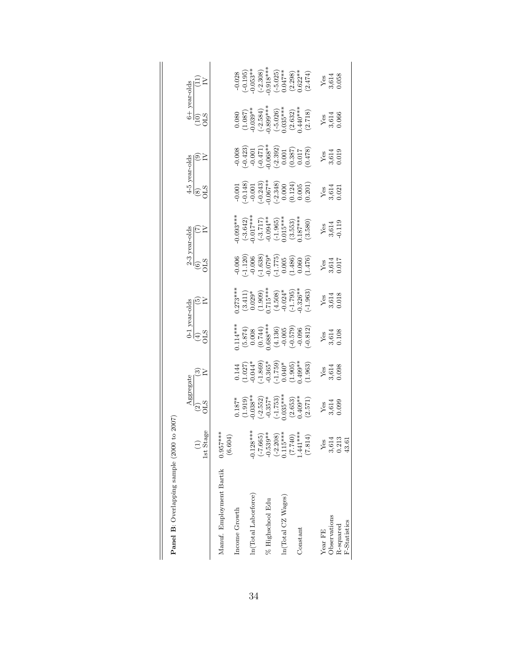|                                  |                        | Aggregate                                                                                                                                                                              |                                                                                                                                                              |                                                                                                                 | 0-1 year-olds                                                                                           |                                                                                                                   |                                                                                                                                                                       |                                                                                                                       |                                                                                                                                                                                                                              |                                                                                                                                                                                                               |                                                                                                                                                                                             |
|----------------------------------|------------------------|----------------------------------------------------------------------------------------------------------------------------------------------------------------------------------------|--------------------------------------------------------------------------------------------------------------------------------------------------------------|-----------------------------------------------------------------------------------------------------------------|---------------------------------------------------------------------------------------------------------|-------------------------------------------------------------------------------------------------------------------|-----------------------------------------------------------------------------------------------------------------------------------------------------------------------|-----------------------------------------------------------------------------------------------------------------------|------------------------------------------------------------------------------------------------------------------------------------------------------------------------------------------------------------------------------|---------------------------------------------------------------------------------------------------------------------------------------------------------------------------------------------------------------|---------------------------------------------------------------------------------------------------------------------------------------------------------------------------------------------|
|                                  | 1st Stage              | $\widetilde{\mathrm{2}}_{12}^{\mathrm{2}}$                                                                                                                                             | ⊙≧                                                                                                                                                           | $\widetilde{\mathbb{H}}$                                                                                        | ⊙≥                                                                                                      | $\begin{array}{ll} \mbox{$\rm 2$-3 years-olds}\\ \mbox{(6)}\\ \mbox{(6)}\\ \mbox{(7)}\\ \mbox{(7)}\\ \end{array}$ |                                                                                                                                                                       | $\begin{array}{c}\n 4-5 \text{ year-olds} \\  \hline\n (8) \\  \hline\n \text{OLS} \\  \text{IV}\n \end{array}$       |                                                                                                                                                                                                                              | $rac{6 + \text{year-olds}}{(10)}$<br>(10)<br>OLS<br>OLS                                                                                                                                                       | 모드                                                                                                                                                                                          |
| Manuf. Employment Bartik         | $0.957***$<br>(6.604)  |                                                                                                                                                                                        |                                                                                                                                                              |                                                                                                                 |                                                                                                         |                                                                                                                   |                                                                                                                                                                       |                                                                                                                       |                                                                                                                                                                                                                              |                                                                                                                                                                                                               |                                                                                                                                                                                             |
| Income Growth                    |                        |                                                                                                                                                                                        |                                                                                                                                                              |                                                                                                                 |                                                                                                         |                                                                                                                   |                                                                                                                                                                       |                                                                                                                       |                                                                                                                                                                                                                              |                                                                                                                                                                                                               |                                                                                                                                                                                             |
|                                  |                        |                                                                                                                                                                                        |                                                                                                                                                              |                                                                                                                 |                                                                                                         |                                                                                                                   |                                                                                                                                                                       |                                                                                                                       |                                                                                                                                                                                                                              |                                                                                                                                                                                                               |                                                                                                                                                                                             |
| In(Total Laborforce)             | $-0.128***$            |                                                                                                                                                                                        |                                                                                                                                                              |                                                                                                                 |                                                                                                         |                                                                                                                   |                                                                                                                                                                       |                                                                                                                       |                                                                                                                                                                                                                              |                                                                                                                                                                                                               |                                                                                                                                                                                             |
|                                  | $(-7.665)$             |                                                                                                                                                                                        |                                                                                                                                                              |                                                                                                                 |                                                                                                         |                                                                                                                   |                                                                                                                                                                       |                                                                                                                       |                                                                                                                                                                                                                              |                                                                                                                                                                                                               |                                                                                                                                                                                             |
| % Highschool Edu                 | $-0.539**$             |                                                                                                                                                                                        |                                                                                                                                                              |                                                                                                                 |                                                                                                         |                                                                                                                   |                                                                                                                                                                       |                                                                                                                       |                                                                                                                                                                                                                              |                                                                                                                                                                                                               |                                                                                                                                                                                             |
|                                  | $(-2.208)$<br>0.115*** |                                                                                                                                                                                        | $\begin{array}{l} (0.144 \ (1.027) \ (1.027) \ (-1.365) \ (-1.759) \ (-1.759) \ (-1.759) \ (-1.040) \ (-1.005) \ (-1.005) \ (-1.005) \ (-1.005) \end{array}$ |                                                                                                                 |                                                                                                         |                                                                                                                   |                                                                                                                                                                       |                                                                                                                       |                                                                                                                                                                                                                              |                                                                                                                                                                                                               |                                                                                                                                                                                             |
| ln(Total CZ Wages)               |                        |                                                                                                                                                                                        |                                                                                                                                                              |                                                                                                                 |                                                                                                         |                                                                                                                   |                                                                                                                                                                       |                                                                                                                       |                                                                                                                                                                                                                              |                                                                                                                                                                                                               |                                                                                                                                                                                             |
|                                  | $(7.740)$<br>1.441***  |                                                                                                                                                                                        |                                                                                                                                                              |                                                                                                                 |                                                                                                         |                                                                                                                   |                                                                                                                                                                       |                                                                                                                       |                                                                                                                                                                                                                              |                                                                                                                                                                                                               |                                                                                                                                                                                             |
| Constant                         |                        |                                                                                                                                                                                        |                                                                                                                                                              |                                                                                                                 |                                                                                                         |                                                                                                                   |                                                                                                                                                                       |                                                                                                                       |                                                                                                                                                                                                                              |                                                                                                                                                                                                               |                                                                                                                                                                                             |
|                                  | (7.814)                | $\begin{array}{l} 0.187^* \\ (1.919) \\ (1.919) \\ (0.038^{*+}\\ (-2.552) \\ (-1.753) \\ (-1.753) \\ (2.653) \\ (2.653) \\ (2.653) \\ 1.035^{**+}\\ (2.653) \\ (2.571) \\ \end{array}$ |                                                                                                                                                              | $1.14***$<br>$(5.874)$<br>$(0.008$<br>$(0.744)$<br>$(0.744)$<br>$(0.38***$<br>$(4.136)$<br>$-0.005$<br>$-0.006$ | $0.273***$<br>$(3.411)$<br>$(0.029*$<br>$(1.909)$<br>$(1.508)$<br>$(4.508)$<br>$(-1.795)$<br>$(-1.795)$ | $-0.006$<br>$-1.120$<br>$-0.006$<br>$-1.638$<br>$-1.775$<br>$-1.775$<br>$-1.476$<br>$-1.476$                      | $\begin{array}{l} (0.093^{***})\ (-3.642)\ (0.017^{***})\ (-3.717)\ (-3.717)\ (-4.965)\ (-1.965)\ (0.15^{***})\ (-1.965)\ (0.353)\ (0.353)\ 0.1.87^{***} \end{array}$ | $\begin{array}{l} -0.001 \\ -0.148) \\ -0.243) \\ -0.243) \\ 0.67^{*3} \\ -0.243) \\ -0.000 \\ -0.005 \\ \end{array}$ | $\begin{array}{r} -0.008 \\[-4pt] (-0.423) \\[-4pt] -0.001 \\[-4pt] -0.068^{*4} \\[-4pt] 0.068^{*3} \\[-4pt] (-2.392) \\[-4pt] 0.01 \\[-4pt] -0.017 \\[-4pt] 0.017 \\[-4pt] 0.017 \\[-4pt] 0.017 \\[-4pt] 0.017 \end{array}$ | $\begin{array}{c} (0.080 \\ (1.087) \\ (1.039^{**} \\ (0.899^{**} \\ (0.899^{**} \\ (0.899^{**} \\ (0.899^{**} \\ (0.026) \\ (0.035^{***} \\ (0.020) \\ (0.032) \\ (0.032) \\ (0.032) \\ (0.718) \end{array}$ | $\begin{array}{c} -0.028 \\ (-0.195) \\ -0.053^{***} \\ -0.308) \\ 0.918^{***} \\ -0.195^{***} \\ -0.018^{***} \\ -0.018^{***} \\ -0.047^{**} \\ -0.047^{**} \\ -0.622^{**} \\ \end{array}$ |
| Year FE                          | Yes                    |                                                                                                                                                                                        |                                                                                                                                                              |                                                                                                                 |                                                                                                         |                                                                                                                   |                                                                                                                                                                       |                                                                                                                       |                                                                                                                                                                                                                              |                                                                                                                                                                                                               |                                                                                                                                                                                             |
| Observations                     | 3,614<br>0.213         | $\frac{\text{Yes}}{3,614}$                                                                                                                                                             | $Y_{65}$<br>$3,614$<br>$0.098$                                                                                                                               | $\frac{\text{Yes}}{3,614}$                                                                                      | $Y_{65}$<br>$3,614$<br>$0.018$                                                                          | $\frac{\text{Yes}}{\text{3,614}}$                                                                                 | $Y_{3,614}$<br>$3,614$<br>$0.119$                                                                                                                                     | $\frac{\text{Yes}}{\text{3,614}}$                                                                                     | $Y_{0.614}$<br>$0.019$                                                                                                                                                                                                       | $\frac{\text{Yes}}{\text{3,614}}$                                                                                                                                                                             | $\frac{\text{Yes}}{\text{3,614}}$                                                                                                                                                           |
| <b>F-Statistics</b><br>R-squared | 43.61                  |                                                                                                                                                                                        |                                                                                                                                                              |                                                                                                                 |                                                                                                         |                                                                                                                   |                                                                                                                                                                       |                                                                                                                       |                                                                                                                                                                                                                              |                                                                                                                                                                                                               |                                                                                                                                                                                             |
|                                  |                        |                                                                                                                                                                                        |                                                                                                                                                              |                                                                                                                 |                                                                                                         |                                                                                                                   |                                                                                                                                                                       |                                                                                                                       |                                                                                                                                                                                                                              |                                                                                                                                                                                                               |                                                                                                                                                                                             |

| $\sim$                               |
|--------------------------------------|
|                                      |
| ς<br>l<br>۱,                         |
| ļ<br>֠                               |
| j<br>֠<br>۱<br>-<br>-<br>-<br>j<br>O |
| m                                    |
| ֚֓<br>ׇ֚֡                            |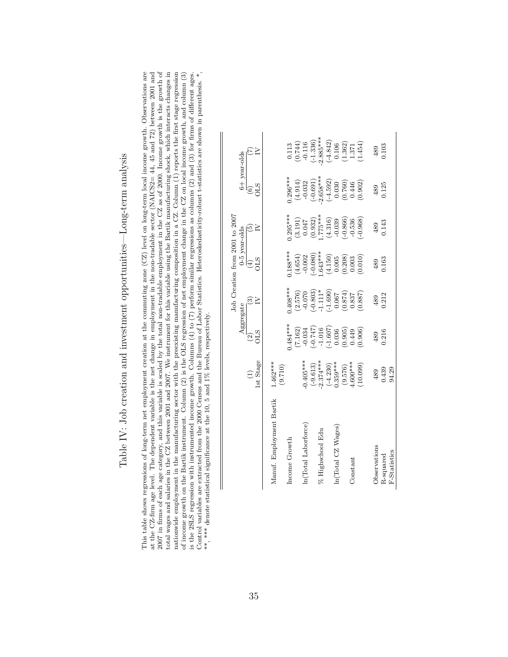| ֖֖֖֖֖֖֖֖֖֧ׅ֪ׅ֪֪֪֪֪֪֪ׅ֪֪֪ׅ֪֪֪֪֪֪֪֪֪֪֪֪֪֪֪֪֪֪֪֪֪֪֪֪֪֪֪֪֪֪֪֪֪֚֚֚֚֚֚֚֚֚֚֚֚֚֚֚֚֚֚֚֚֬֝֩֓֞֬                                       |
|----------------------------------------------------------------------------------------------------------------------------|
| $\ddot{\phantom{a}}$<br>į                                                                                                  |
| てんこうしゃ じゅんしゅうしゅう こうしゃ<br>ı<br>I                                                                                            |
| Ï<br>ı<br>)<br>I                                                                                                           |
|                                                                                                                            |
| ころ Farmer Selen Color Selen Color Selen Color Color Color Color Color Color Color<br>J<br>l<br>i<br>;;<br>)<br>)<br>ı<br>í |
| ĺ                                                                                                                          |
|                                                                                                                            |
| ו<br>ו<br>ı<br>į<br>∫<br>∫<br>֓                                                                                            |
|                                                                                                                            |
|                                                                                                                            |
| - 1<br>- 1<br>- 1<br>-<br>ı                                                                                                |
| $\frac{1}{2}$<br>.<br>.<br>.<br>l                                                                                          |
| l                                                                                                                          |

This table shows regressions of long-term net employment creation at the commuting zone (CZ) level on long-term local income growth. Observations are at the CZ-firm age level. The dependent variable is the net change in e  $2007$  in firms of each age category, and this variable is scaled by the total non-tradable employment in the CZ as of 2000. Income growth is the growth of total wages and salaries in the CZ between 2001 and 2007. We instrument for this variable using the Bartik manufacturing shock, which interacts changes in nationwide employment in the manufacturing sector with the preexisting manufacturing composition in a CZ. Column (1) reports the first stage regression of income growth on the Bartik instrument. Column (2) is the OLS regr is the 2SLS regression with instrumented income growth. Columns (4) to (7) perform similar regressions as columns (2) and (3) for firms of different ages.<br>Control variables are extracted from the 2000 Census and the Burea 2007 in firms of each age category, and this variable is scaled by the total non-tradable employment in the CZ as of 2000. Income growth is the growth of This table shows regressions of long-term net employment creation at the commuting zone (CZ) level on long-term local income growth. Observations are at the CZ-firm age level. The dependent variable is the net change in employment in the non-tradable sector (NAICS2= 44, 45 and 72) between 2001 and total wages and salaries in the CZ between 2001 and 2007. We instrument for this variable using the Bartik manufacturing shock, which interacts changes in nationwide employment in the manufacturing sector with the preexisting manufacturing composition in a CZ. Column (1) reports the first stage regression of income growth on the Bartik instrument. Column (2) is the OLS regression of net employment change in the CZ on local income growth, and column (3) is the 2SLS regression with instrumented income growth. Columns (4) to (7) perform similar regressions as columns (2) and (3) for firms of different ages. Control variables are extracted from the 2000 Census and the Bureau of Labor Statistics. Heteroskedasticity-robust t-statistics are shown in parenthesis. \*, \*\*, \*\*\* denote statistical significance at the 10, 5 and 1% levels, respectively. \*\*, \*\*\* denote statistical significance at the 10, 5 and 1% levels, respectively.

|                                                                                                                                      | Aggregate                                                                                                                                                   |                                                                                                                                                | $0-5$ year-olds                                                                                                                           |                                                                                            | $6+$ year-olds                                                                                                    |                                                                                                                                                                                      |
|--------------------------------------------------------------------------------------------------------------------------------------|-------------------------------------------------------------------------------------------------------------------------------------------------------------|------------------------------------------------------------------------------------------------------------------------------------------------|-------------------------------------------------------------------------------------------------------------------------------------------|--------------------------------------------------------------------------------------------|-------------------------------------------------------------------------------------------------------------------|--------------------------------------------------------------------------------------------------------------------------------------------------------------------------------------|
| <b>OLS</b><br>$\widehat{\mathfrak{D}}$<br>1st Stage                                                                                  | ⊙                                                                                                                                                           | STC<br>$\bigoplus$                                                                                                                             | ම                                                                                                                                         | $\begin{matrix}\n\begin{matrix}\n0 \\ 0\n\end{matrix}\n\end{matrix}$                       | $\sim$                                                                                                            |                                                                                                                                                                                      |
| $1.462***$                                                                                                                           |                                                                                                                                                             |                                                                                                                                                |                                                                                                                                           |                                                                                            |                                                                                                                   |                                                                                                                                                                                      |
| $0.484***$                                                                                                                           | $408***$                                                                                                                                                    | $0.188***$                                                                                                                                     | $0.295***$                                                                                                                                | $1.296***$                                                                                 |                                                                                                                   |                                                                                                                                                                                      |
|                                                                                                                                      |                                                                                                                                                             |                                                                                                                                                |                                                                                                                                           |                                                                                            |                                                                                                                   |                                                                                                                                                                                      |
|                                                                                                                                      |                                                                                                                                                             |                                                                                                                                                |                                                                                                                                           |                                                                                            |                                                                                                                   |                                                                                                                                                                                      |
|                                                                                                                                      |                                                                                                                                                             |                                                                                                                                                |                                                                                                                                           |                                                                                            |                                                                                                                   |                                                                                                                                                                                      |
|                                                                                                                                      |                                                                                                                                                             |                                                                                                                                                |                                                                                                                                           | $2.658***$                                                                                 |                                                                                                                   |                                                                                                                                                                                      |
|                                                                                                                                      |                                                                                                                                                             |                                                                                                                                                |                                                                                                                                           |                                                                                            |                                                                                                                   |                                                                                                                                                                                      |
|                                                                                                                                      |                                                                                                                                                             |                                                                                                                                                |                                                                                                                                           |                                                                                            |                                                                                                                   |                                                                                                                                                                                      |
|                                                                                                                                      |                                                                                                                                                             |                                                                                                                                                |                                                                                                                                           |                                                                                            |                                                                                                                   |                                                                                                                                                                                      |
|                                                                                                                                      |                                                                                                                                                             |                                                                                                                                                |                                                                                                                                           |                                                                                            |                                                                                                                   |                                                                                                                                                                                      |
| (0.906)<br>10.099)                                                                                                                   | (0.887)                                                                                                                                                     | (0.010)                                                                                                                                        | $(-0.968)$                                                                                                                                |                                                                                            |                                                                                                                   |                                                                                                                                                                                      |
| 489                                                                                                                                  | 489                                                                                                                                                         | 489                                                                                                                                            | 489                                                                                                                                       | 489                                                                                        | 489                                                                                                               |                                                                                                                                                                                      |
| 0.439                                                                                                                                | 0.212                                                                                                                                                       | 0.163                                                                                                                                          | 0.143                                                                                                                                     | 0.125                                                                                      | 0.103                                                                                                             |                                                                                                                                                                                      |
| 94.29                                                                                                                                |                                                                                                                                                             |                                                                                                                                                |                                                                                                                                           |                                                                                            |                                                                                                                   |                                                                                                                                                                                      |
| $-0.405***$<br>$2.374***$<br>$\begin{array}{c} (-4.230) \\ 0.359*** \end{array}$<br>$(9.576)$<br>$4.600***$<br>$(-9.613)$<br>(9.710) | $(-0.747)$<br>$\begin{array}{c} -1.016 \\ (-1.607) \\ 0.036 \end{array}$<br>$(7.162)$<br>-0.034<br>$\begin{array}{c} (0.905) \\ 0.449 \end{array}$<br>0.216 | $(2.576)$<br>-0.070<br>(-0.803)<br>-1.11*<br>$\begin{array}{c} (1.690) \\ 0.067 \\ \begin{array}{c} 790 \\ -790 \\ \end{array} \\ \end{array}$ | $\begin{array}{l} ( -0.080) \\ ( -0.080) \\ ( 0.43*** \\ ( 0.150) \\ ( 0.005) \\ ( 0.208) \\ ( 0.203) \end{array}$<br>$(4.654)$<br>-0.002 | $(3.191)$<br>0.047<br>(0.932)<br>1.775***<br>$(-0.866)$<br>$(4.316)$<br>-0.039<br>$-0.536$ | $(-0.691)$<br>$\begin{array}{c} (-4.592) \\ 0.030 \\ 0.760) \\ 0.446 \\ 0.902 \end{array}$<br>$(4.914)$<br>-0.032 | $2.885***$<br>$\begin{array}{c} 0.113 \\ (0.744) \\ -0.116 \\ \hline (-1.336) \end{array}$<br>$\begin{array}{c} (4.842) \\ 0.106 \\ 0.362) \\ 1.371 \\ 1.371 \\ (1.454) \end{array}$ |

 $\parallel$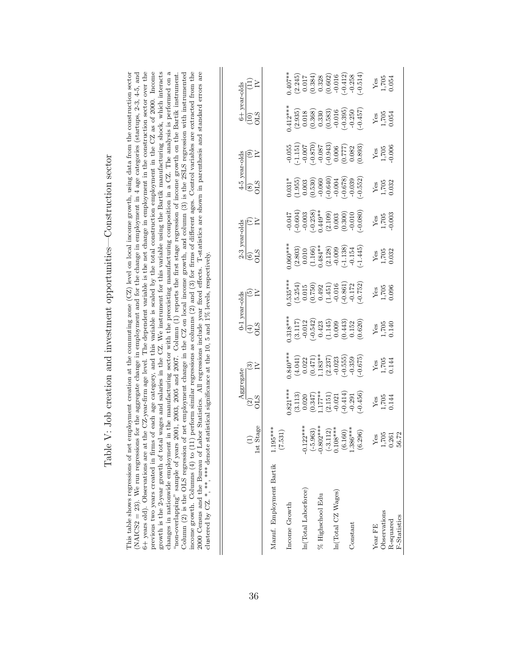|   | こうしょう うちょう しょうしょう こうしょう                                                                                                                                                                                                                                                                     |
|---|---------------------------------------------------------------------------------------------------------------------------------------------------------------------------------------------------------------------------------------------------------------------------------------------|
|   | ;<br>;<br>;                                                                                                                                                                                                                                                                                 |
| Ï |                                                                                                                                                                                                                                                                                             |
|   | )<br>}<br>!<br>contribution on a contribution on a contribution of contribution of a contribution of contribution of a contribution of contribution of contribution of contribution of contribution of contribution of contribution of contri<br>$\mathbf{I}$<br>3<br>2<br>2<br>2<br>2<br>ı |
|   | ;                                                                                                                                                                                                                                                                                           |
|   |                                                                                                                                                                                                                                                                                             |
|   |                                                                                                                                                                                                                                                                                             |
|   | isana na n                                                                                                                                                                                                                                                                                  |
|   |                                                                                                                                                                                                                                                                                             |
|   |                                                                                                                                                                                                                                                                                             |
|   |                                                                                                                                                                                                                                                                                             |
|   |                                                                                                                                                                                                                                                                                             |
|   |                                                                                                                                                                                                                                                                                             |
|   |                                                                                                                                                                                                                                                                                             |
|   | $\zeta$<br>I                                                                                                                                                                                                                                                                                |

(NAICS2 = 23). We run regressions for the aggregate change in employment and for the change in employment in 4 age categories (startups,  $2-3$ ,  $4-5$ , and 6+ years old). Observations are at the CZ-year-firm age level. The dependent variable is the net change in employment in the construction sector over the previous two years created in firms of each age category, and this variable is scaled by the total construction employment in the CZ as of 2000. Income growth is the 2-year growth of total wages and salaries in the CZ. We instrument for this variable using the Bartik manufacturing shock, which interacts changes in nationwide employment in the manufacturing sector with the preexisting manufacturing composition in a CZ. The analysis is performed on a changes in nationwide employment in the manufacturing sector with the preexisting manufacturing composition in a CZ. The analysis is performed on a income growth. Columns (4) to (11) perform similar regressions as columns (2) and (3) for firms of different ages. Control variables are extracted from the 2000 Census and the Bureau of Labor Statistics. All regressions i Column (2) is the OLS regression of net employment change in the CZ on local income growth, and column (3) is the 2SLS regression with instrumented This table shows regressions of net employment creation at the commuting zone  $(CZ)$  level on local income growth, using data from the construction sector This table shows regressions of net employment creation at the commuting zone (CZ) level on local income growth, using data from the construction sector (NAICS2 = 23). We run regressions for the aggregate change in employment and for the change in employment in 4 age categories (startups, 2-3, 4-5, and 6+ years old). Observations are at the CZ-year-firm age level. The dependent variable is the net change in employment in the construction sector over the previous two years created in firms of each age category, and this variable is scaled by the total construction employment in the CZ as of 2000. Income growth is the 2-year growth of total wages and salaries in the CZ. We instrument for this variable using the Bartik manufacturing shock, which interacts "non-overlapping" sample of years 2001, 2003, 2005 and 2007. Column (1) reports the first stage regression of income growth on the Bartik instrument. "non-overlapping" sample of years 2001, 2003, 2005 and 2007. Column (1) reports the first stage regression of income growth on the Bartik instrument. Column (2) is the OLS regression of net employment change in the CZ on local income growth, and column (3) is the 2SLS regression with instrumented income growth. Columns (4) to (11) perform similar regressions as columns (2) and (3) for firms of different ages. Control variables are extracted from the 2000 Census and the Bureau of Labor Statistics. All regressions include year fixed effects. T-statistics are shown in parenthesis and standard errors are clustered by CZ.\*, \*\*\*, \*\*\* denote statistical significance at the 10, 5 and 1% levels, respectively. clustered by CZ. \*, \*\*, \*\*\* denote statistical significance at the 10, 5 and 1% levels, respectively.

|                          |                                                                                                             | Aggregate                                                                                                                   |                                                                                                                            |                                                                                                                        |                                                                                                                                |                                                                                                                                                   |                                                                                                                                  |                                                                                                                                                                                                                                                                                                                      |                                                                                                                                                                                                                                                                                                                                 |                                                                                                                                                                                                                                                                                                                                                                                                     |                                                                                                                                              |
|--------------------------|-------------------------------------------------------------------------------------------------------------|-----------------------------------------------------------------------------------------------------------------------------|----------------------------------------------------------------------------------------------------------------------------|------------------------------------------------------------------------------------------------------------------------|--------------------------------------------------------------------------------------------------------------------------------|---------------------------------------------------------------------------------------------------------------------------------------------------|----------------------------------------------------------------------------------------------------------------------------------|----------------------------------------------------------------------------------------------------------------------------------------------------------------------------------------------------------------------------------------------------------------------------------------------------------------------|---------------------------------------------------------------------------------------------------------------------------------------------------------------------------------------------------------------------------------------------------------------------------------------------------------------------------------|-----------------------------------------------------------------------------------------------------------------------------------------------------------------------------------------------------------------------------------------------------------------------------------------------------------------------------------------------------------------------------------------------------|----------------------------------------------------------------------------------------------------------------------------------------------|
|                          | tage<br>1stS                                                                                                | $\frac{2}{15}$                                                                                                              | ⊛≥                                                                                                                         | $rac{0-1 \text{ year-olds}}{(4)}$<br>(4)<br>OLS                                                                        | ∣ତି≥                                                                                                                           | $\begin{array}{ll} \frac{2\text{-}3 \text{ year-olds}}{(6)}\\ \text{OLS} \end{array} \qquad \begin{array}{ll} \text{TY} \\ \text{IV} \end{array}$ | $\widetilde{\Xi}$                                                                                                                | $\begin{array}{l} \frac{4\text{-}5\text{ year-olds}}{(8)}\\ \text{(8)}\\ \text{(9)}\\ \text{(9)}\\ \text{(9)}\\ \text{(9)}\\ \end{array}$                                                                                                                                                                            |                                                                                                                                                                                                                                                                                                                                 | $\begin{array}{c}\n 6+ \text{ year-olds} \\  (10)\n \phantom{0000}\n \phantom{0000}\n \phantom{0000}\n \phantom{0000}\n \phantom{0000}\n \phantom{0000}\n \phantom{0000}\n \phantom{0000}\n \phantom{0000}\n \phantom{0000}\n \phantom{0000}\n \phantom{0000}\n \phantom{0000}\n \phantom{0000}\n \phantom{0000}\n \phantom{0000}\n \phantom{0000}\n \phantom{0000}\n \phantom{0000}\n \phantom{00$ | $\Xi$ $\geq$                                                                                                                                 |
| Manuf. Employment Bartik | $1.195***$<br>(7.531)                                                                                       |                                                                                                                             |                                                                                                                            |                                                                                                                        |                                                                                                                                |                                                                                                                                                   |                                                                                                                                  |                                                                                                                                                                                                                                                                                                                      |                                                                                                                                                                                                                                                                                                                                 |                                                                                                                                                                                                                                                                                                                                                                                                     |                                                                                                                                              |
| Income Growth            |                                                                                                             |                                                                                                                             |                                                                                                                            |                                                                                                                        | $.535***$                                                                                                                      |                                                                                                                                                   |                                                                                                                                  |                                                                                                                                                                                                                                                                                                                      |                                                                                                                                                                                                                                                                                                                                 |                                                                                                                                                                                                                                                                                                                                                                                                     |                                                                                                                                              |
|                          |                                                                                                             | $.821***$<br>$(3.113)$<br>$(0.020)$<br>$(0.347)$<br>$1.177**$<br>$1.177**$<br>$(2.151)$<br>$-0.021$<br>$-0.291$<br>$-0.291$ | $0.840**$<br>$(4.041)$<br>$(0.022$<br>$(0.471)$<br>$1.183**$<br>$1.183**$<br>$(2.237)$<br>$-0.055$<br>$-0.359$<br>$-0.359$ | $0.318***$<br>$(3.117)$<br>$-0.012$<br>$-0.542$<br>$-0.423$<br>$(1.145)$<br>$0.009$<br>$(0.443)$<br>$0.152$<br>$0.152$ | $\begin{array}{l} (5.254)\\ (5.254)\\ (0.15)\\ (0.750)\\ (1.451)\\ (0.61)\\ (1.72)\\ (1.72)\\ (1.752)\\ (1.752)\\ \end{array}$ | $0.060**$<br>$(2.803)$<br>$0.010$<br>$(1.166)$<br>$0.484**$<br>$(2.128)$<br>$-0.009$<br>$-1.138$<br>$-0.134$<br>$-0.154$                          | $-0.047$<br>$-0.604$<br>$-0.003$<br>$-0.003$<br>$-0.003$<br>$-0.003$<br>$-0.003$<br>$-0.003$<br>$-0.003$<br>$-0.000$<br>$-0.000$ | $\begin{array}{l} 0.031^{*} \\[-4pt] 0.035 \\[-4pt] 0.003 \\[-4pt] 0.530 \\[-4pt] 0.060 \\[-4pt] 0.060 \\[-4pt] 0.060 \\[-4pt] 0.004 \\[-4pt] 0.039 \\[-4pt] 0.033 \\[-4pt] 0.033 \\[-4pt] 0.033 \\[-4pt] 0.033 \\[-4pt] 0.033 \\[-4pt] 0.033 \\[-4pt] 0.033 \\[-4pt] 0.033 \\[-4pt] 0.033 \\[-4pt] 0.033 \\[-4pt] $ | $\begin{array}{l} -0.055 \\ -1.151) \\ -0.007 \\ -0.0870 \\ -0.0870 \\ -0.0870 \\ -0.006 \\ -0.006 \\ -0.006 \\ -0.006 \\ -0.0082 \\ -0.009 \\ -0.0083 \\ -0.008 \\ -0.008 \\ -0.008 \\ -0.008 \\ -0.008 \\ -0.008 \\ -0.008 \\ -0.008 \\ -0.008 \\ -0.008 \\ -0.008 \\ -0.008 \\ -0.008 \\ -0.008 \\ -0.008 \\ -0.008 \\ -0.0$ | $(4.12**$<br>$(2.935)$<br>$(0.018$<br>$(0.368)$<br>$(0.330$<br>$(0.583)$<br>$(0.583)$<br>$(0.595)$<br>$(0.395)$<br>$(0.457)$                                                                                                                                                                                                                                                                        | $(1.407**$<br>$(2.245)$<br>$(0.384)$<br>$(0.388)$<br>$(0.328)$<br>$(0.602)$<br>$(0.602)$<br>$(0.412)$<br>$(0.258)$<br>$(0.602)$<br>$(0.414)$ |
| In(Total Laborforce)     |                                                                                                             |                                                                                                                             |                                                                                                                            |                                                                                                                        |                                                                                                                                |                                                                                                                                                   |                                                                                                                                  |                                                                                                                                                                                                                                                                                                                      |                                                                                                                                                                                                                                                                                                                                 |                                                                                                                                                                                                                                                                                                                                                                                                     |                                                                                                                                              |
|                          | $-0.122***$<br>$(-5.963)$<br>$-0.802***$<br>$-0.3112)$<br>$0.108***$<br>$0.160$<br>$1.386***$<br>$1.386***$ |                                                                                                                             |                                                                                                                            |                                                                                                                        |                                                                                                                                |                                                                                                                                                   |                                                                                                                                  |                                                                                                                                                                                                                                                                                                                      |                                                                                                                                                                                                                                                                                                                                 |                                                                                                                                                                                                                                                                                                                                                                                                     |                                                                                                                                              |
| % Highschool Edu         |                                                                                                             |                                                                                                                             |                                                                                                                            |                                                                                                                        |                                                                                                                                |                                                                                                                                                   |                                                                                                                                  |                                                                                                                                                                                                                                                                                                                      |                                                                                                                                                                                                                                                                                                                                 |                                                                                                                                                                                                                                                                                                                                                                                                     |                                                                                                                                              |
|                          |                                                                                                             |                                                                                                                             |                                                                                                                            |                                                                                                                        |                                                                                                                                |                                                                                                                                                   |                                                                                                                                  |                                                                                                                                                                                                                                                                                                                      |                                                                                                                                                                                                                                                                                                                                 |                                                                                                                                                                                                                                                                                                                                                                                                     |                                                                                                                                              |
| In(Total CZ Wages)       |                                                                                                             |                                                                                                                             |                                                                                                                            |                                                                                                                        |                                                                                                                                |                                                                                                                                                   |                                                                                                                                  |                                                                                                                                                                                                                                                                                                                      |                                                                                                                                                                                                                                                                                                                                 |                                                                                                                                                                                                                                                                                                                                                                                                     |                                                                                                                                              |
|                          |                                                                                                             |                                                                                                                             |                                                                                                                            |                                                                                                                        |                                                                                                                                |                                                                                                                                                   |                                                                                                                                  |                                                                                                                                                                                                                                                                                                                      |                                                                                                                                                                                                                                                                                                                                 |                                                                                                                                                                                                                                                                                                                                                                                                     |                                                                                                                                              |
| Constant                 |                                                                                                             |                                                                                                                             |                                                                                                                            |                                                                                                                        |                                                                                                                                |                                                                                                                                                   |                                                                                                                                  |                                                                                                                                                                                                                                                                                                                      |                                                                                                                                                                                                                                                                                                                                 |                                                                                                                                                                                                                                                                                                                                                                                                     |                                                                                                                                              |
|                          |                                                                                                             |                                                                                                                             |                                                                                                                            |                                                                                                                        |                                                                                                                                |                                                                                                                                                   |                                                                                                                                  |                                                                                                                                                                                                                                                                                                                      |                                                                                                                                                                                                                                                                                                                                 |                                                                                                                                                                                                                                                                                                                                                                                                     |                                                                                                                                              |
| Year FE                  |                                                                                                             |                                                                                                                             |                                                                                                                            |                                                                                                                        |                                                                                                                                |                                                                                                                                                   |                                                                                                                                  |                                                                                                                                                                                                                                                                                                                      |                                                                                                                                                                                                                                                                                                                                 |                                                                                                                                                                                                                                                                                                                                                                                                     |                                                                                                                                              |
| Observations             | $\frac{Y_{68}}{1,705}$<br>1,705<br>56.72                                                                    | Yes<br>1,705<br>0.144                                                                                                       | Yes<br>1,705<br>0.144                                                                                                      | $\frac{Y_{\text{es}}}{1,705}$                                                                                          | $\begin{array}{c}\nY_{\text{ES}} \\ 1,705 \\ 0.096\n\end{array}$                                                               | $\begin{array}{c} \text{Yes} \\ 1,705 \\ 0.032 \end{array}$                                                                                       | $\frac{Y_{CS}}{1,705}$                                                                                                           | Yes<br>1,705<br>0.032                                                                                                                                                                                                                                                                                                | $\begin{array}{c} \text{Yes} \\ 1,705 \\ 0.006 \end{array}$                                                                                                                                                                                                                                                                     | $\begin{array}{c}\nY_{\text{ES}} \\ 1,705 \\ 0.054\n\end{array}$                                                                                                                                                                                                                                                                                                                                    | $\frac{\text{Yes}}{1,705}$                                                                                                                   |
| R-squared                |                                                                                                             |                                                                                                                             |                                                                                                                            |                                                                                                                        |                                                                                                                                |                                                                                                                                                   |                                                                                                                                  |                                                                                                                                                                                                                                                                                                                      |                                                                                                                                                                                                                                                                                                                                 |                                                                                                                                                                                                                                                                                                                                                                                                     |                                                                                                                                              |
| F-Statistics             |                                                                                                             |                                                                                                                             |                                                                                                                            |                                                                                                                        |                                                                                                                                |                                                                                                                                                   |                                                                                                                                  |                                                                                                                                                                                                                                                                                                                      |                                                                                                                                                                                                                                                                                                                                 |                                                                                                                                                                                                                                                                                                                                                                                                     |                                                                                                                                              |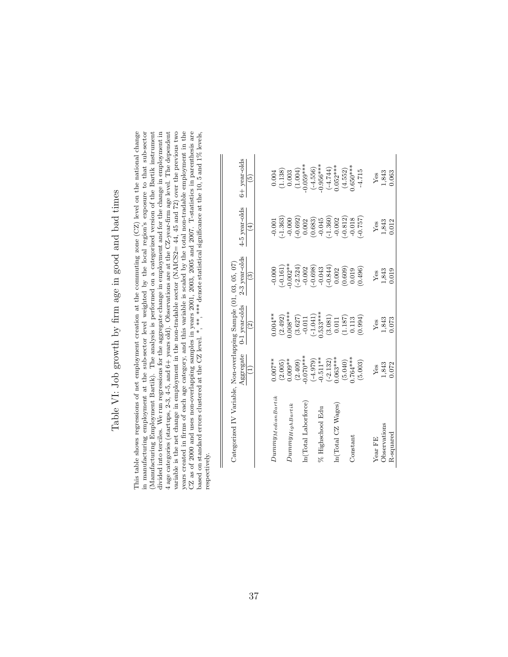# Table VI: Job growth by firm age in good and bad times Table VI: Job growth by firm age in good and bad times

This table shows regressions of net employment creation at the commuting zone  $(CZ)$  level on the national change in manufacturing employment at the sub-sector level weighted by the local region's exposure to that sub-sector<br>(Manufacturing Employment Bartik). The analysis is performed on a categorized version of the Bartik instrument divided into terciles. We run regressions for the aggregate change in employment and for the change in employment in 4 age categories (startups, 2-3, 4-5, and 6+ years old). Observations are at the CZ-year-firm age level. The dependent years created in firms of each age category, and this variable is scaled by the total non-tradable employment in the CZ as of 2000 and uses non-overlapping samples in years 2001, 2003, 2005 and 2007. T-statistics in parenthesis are based on standard errors clustered at the CZ level. \*,\*\*\*,\*\*\*\* denote statistical significance at the 10, variable is the net change in employment in the non-tradable sector (NAICS2= 44, 45 and 72) over the previous two This table shows regressions of net employment creation at the commuting zone (CZ) level on the national change in manufacturing employment at the sub-sector level weighted by the local region's exposure to that sub-sector divided into terciles. We run regressions for the aggregate change in employment and for the change in employment in variable is the net change in employment in the non-tradable sector (NAICS2=  $44$ , 45 and 72) over the previous two years created in firms of each age category, and this variable is scaled by the total non-tradable employment in the CZ as of 2000 and uses non-overlapping samples in years 2001, 2003, 2005 and 2007. T-statistics in parenthesis are (Manufacturing Employment Bartik). The analysis is performed on a categorized version of the Bartik instrument 4 age categories (startups, 2-3, 4-5, and 6+ years old). Observations are at the CZ-year-firm age level. The dependent based on standard errors clustered at the CZ level. \*, \*\*, \*\*\* denote statistical significance at the 10, 5 and 1% levels, respectively. respectively.

| Categorized IV Variable, Non-overlapping Sample (01, 03, 05, 07) |                              |                                           |                    |                                |                   |
|------------------------------------------------------------------|------------------------------|-------------------------------------------|--------------------|--------------------------------|-------------------|
|                                                                  | Aggregate<br>$\widehat{\Xi}$ | 0-1 year-olds<br>$\widehat{\mathfrak{S}}$ | 2-3 year-olds<br>ල | 4-5 year-olds<br>$\widehat{E}$ | 6+ year-olds<br>ම |
|                                                                  |                              |                                           |                    |                                |                   |
| $Dummy_{Median Bartik}$                                          | $0.007***$                   | $0.004***$                                | $-0.000$           | 0.001                          | 0.004             |
|                                                                  | (2.005)                      | (2.492)                                   | $-0.161)$          | $-1.363$                       | (1.138)           |
| $Dummy_{HighBartik}$                                             | $0.009**$                    | $0.008***$                                | $0.002**$          | $-0.000$                       | 0.003             |
|                                                                  | (2.409)                      | (3.627)                                   | $(-2.524)$         | $(-0.692)$                     | (1.004)           |
| n(Total Laborforce)                                              | $0.070***$                   | $-0.011$                                  | $-0.002$           | 0.002                          | $0.059***$        |
|                                                                  | (670.4)                      | $(-1.041)$                                | $-0.698$           | (0.683)                        | $(-4.556)$        |
| % Highschool Edu                                                 | $-0.511***$                  | $0.533***$                                | $-0.043$           | $-0.045$                       | $0.956***$        |
|                                                                  | $(-2.132)$                   | (3.081)                                   | $-0.844$           | $(-1.360)$                     | $(-4.744)$        |
| In(Total CZ Wages)                                               | $0.063***$                   | 0.011                                     | 0.002              | $-0.002$                       | $0.052***$        |
|                                                                  | (5.040)                      | (1.187)                                   | (0.609)            | $(-0.812)$                     | (4.552)           |
| Constant                                                         | $0.764***$                   | 0.113                                     | 0.019              | $-0.018$                       | $0.650***$        |
|                                                                  | (5.003)                      | (0.994)                                   | 0.496)             | $-0.757$ )                     | $-4.715$          |
| Year FE                                                          | Ýes                          | Yes                                       | Yes                | Yes                            | Ýes               |
| Observations                                                     | 1,843                        | 1,843                                     | 1,843              | 1,843                          | 1,843             |
| R-squared                                                        | 0.072                        | 0.073                                     | 0.019              | 0.012                          | 0.063             |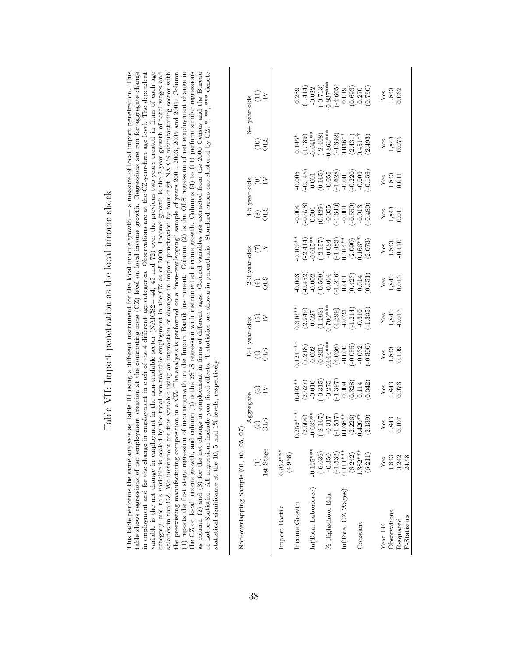| į                                            |
|----------------------------------------------|
| $\frac{1}{2}$<br>$\vdots$                    |
|                                              |
| $\frac{1}{2}$                                |
|                                              |
| import panatration as the lool income should |
| ı<br>i<br>j                                  |
| i                                            |
| $\frac{1}{2}$                                |
| $\frac{1}{2}$                                |

as column (2) and (3) for the net change in employment in firms of different ages. Control variables are extracted from the 2000 Census and the Bureau of Labor Statistics. All regressions include year fixed effects. T-sta This table performs the same analysis as Table III using a different instrument for the local income growth  $-$  a measure of local import penetration. This table shows regressions of net employment creation at the commuting zone  $(CZ)$  level on local income growth. Regressions are run for aggregate change in employment and for the change in employment in each of the 4 different age categories. Observations are at the CZ-year-firm age level. The dependent variable is the net change in employment in the non-tradable sector (NAICS2=  $44$ , 45 and 72) over the previous two years created in firms of each age category, and this variable is scaled by the total non-tradable employment in the CZ as of 2000. Income growth is the 2-year growth of total wages and salaries in the CZ. We instrument for this variable using an interaction of changes in import penetration by four-digit NAICS manufacturing sector with the preexisting manufacturing composition in a CZ. The analysis is performed on a "non-overlapping" sample of years 2001, 2003, 2005 and 2007. Column (1) reports the first stage regression of income growth on the Import Bartik instrument. Column  $(2)$  is the OLS regression of net employment change in the CZ on local income growth, and column (3) is the 2SLS regression with instrumented income growth. Columns  $(4)$  to  $(11)$  perform similar regressions This table performs the same analysis as Table III using a different instrument for the local income growth — a measure of local import penetration. This table shows regressions of net employment creation at the commuting zone (CZ) level on local income growth. Regressions are run for aggregate change in employment and for the change in employment in each of the 4 different age categories. Observations are at the CZ-year-firm age level. The dependent variable is the net change in employment in the non-tradable sector (NAICS2=  $44, 45$  and  $72$ ) over the previous two years created in firms of each age category, and this variable is scaled by the total non-tradable employment in the CZ as of 2000. Income growth is the 2-year growth of total wages and salaries in the CZ. We instrument for this variable using an interaction of changes in import penetration by four-digit NAICS manufacturing sector with the preexisting manufacturing composition in a CZ. The analysis is performed on a "non-overlapping" sample of years 2001, 2003, 2005 and 2007. Column (1) reports the first stage regression of income growth on the Import Bartik instrument. Column (2) is the OLS regression of net employment change in the CZ on local income growth, and column (3) is the 2SLS regression with instrumented income growth. Columns (4) to (11) perform similar regressions as column (2) and (3) for the net change in employment in firms of different ages. Control variables are extracted from the 2000 Census and the Bureau of Labor Statistics. All regressions include year fixed effects. T-statistics are shown in parenthesis. Standard errors are clustered by CZ. \*, \*\*, \*\*\* denote statistical significance at the 10, 5 and 1% levels, respectively. statistical significance at the 10, 5 and 1% levels, respectively.

|                                 |           | $\frac{6+$ year-olds (11) $\hfill[V]$                                                                        |           |               |         |               |                      |            |                  |                                                                                                                                                  |                  |         |           | $\begin{array}{c} 0.289 \\ 0.414) \\ (-1.414) \\ (-0.22) \\ (-0.337** \\ 0.337** \\ (-0.019) \\ (-0.019) \\ (0.033) \\ (0.019) \\ (0.003) \\ (0.790) \\ (-0.790) \\ (-0.790) \\ (-0.790) \\ (-0.790) \\ (-0.790) \\ (-0.790) \\ (-0.790) \\ (-0.790) \\ (-0.790) \\ (-0.790) \\ (-0.790) \\ (-0.790) \\ (-0.790) \\ (-0.790) \\ (-0.790)$ |         |              | Yes<br>1,843<br>0.062                                                |              |
|---------------------------------|-----------|--------------------------------------------------------------------------------------------------------------|-----------|---------------|---------|---------------|----------------------|------------|------------------|--------------------------------------------------------------------------------------------------------------------------------------------------|------------------|---------|-----------|-------------------------------------------------------------------------------------------------------------------------------------------------------------------------------------------------------------------------------------------------------------------------------------------------------------------------------------------|---------|--------------|----------------------------------------------------------------------|--------------|
|                                 |           | $\widetilde{\rm 25}$                                                                                         |           |               |         |               |                      |            |                  |                                                                                                                                                  |                  |         |           | $\begin{array}{c} 0.145^* \\ 0.1789) \\ (-1.789) \\ -0.041^{**} \\ (-2.408) \\ 0.863^{**} \\ (-4.692) \\ 0.036^{**} \\ (-4.692) \\ 0.036^{**} \\ (2.431) \\ 0.451^{**} \\ \end{array}$                                                                                                                                                    |         |              | $\begin{array}{c}\nY_{CS} \\ 1.843 \\ 0.075\n\end{array}$            |              |
|                                 |           |                                                                                                              |           |               |         |               |                      |            |                  |                                                                                                                                                  |                  |         |           |                                                                                                                                                                                                                                                                                                                                           |         |              | Yes<br>1,843<br>0.011                                                |              |
|                                 |           |                                                                                                              |           |               |         |               |                      |            |                  | $-0.004$<br>$-0.578$<br>$-0.001$<br>$-0.429$<br>$-1.640$<br>$-1.640$<br>$-0.013$<br>$-0.013$<br>$-0.013$<br>$-0.013$                             |                  |         |           |                                                                                                                                                                                                                                                                                                                                           |         |              | $\begin{array}{c}\n Y_{\text{ES}} \\  1,843 \\  0.011\n \end{array}$ |              |
|                                 |           | $\begin{array}{l} \rm \textbf{2-3} \,\, year\mbox{-odds} \\ \textbf{(6)} \\ \rm \textbf{OLS} \\ \end{array}$ |           |               |         |               |                      |            |                  | $0.109$ **<br>$(-2.414)$<br>$0.015$ **<br>$(-2.157)$<br>$(-2.157)$<br>$(-1.483)$<br>$(-1.483)$<br>$0.014$ **<br>$0.006$ **<br>$0.006$ **         |                  |         |           |                                                                                                                                                                                                                                                                                                                                           |         |              | $\begin{array}{c} \text{Yes} \\ 1,843 \\ 0.170 \end{array}$          |              |
|                                 |           |                                                                                                              |           |               |         |               |                      |            |                  | $\begin{array}{l} 0.003 \\ -0.452 \\ -0.002 \\ -0.003 \\ -0.064 \\ -0.001 \\ -0.001 \\ -0.001 \\ -0.014 \\ 0.001 \\ -0.014 \\ 0.003 \end{array}$ |                  |         |           |                                                                                                                                                                                                                                                                                                                                           |         |              | $\frac{Yes}{1,843}$                                                  |              |
|                                 |           | $\begin{array}{c} \text{0-1 years-olds} \\ \text{(4)} \\ \text{OLS} \\ \text{IV} \end{array}$                |           |               |         |               |                      |            |                  |                                                                                                                                                  |                  |         |           | $0.316**$<br>$(2.249)$<br>$0.027$<br>$(1.293)$<br>$(1.293)$<br>$(4.399)$<br>$-0.023$<br>$-0.1214$<br>$-0.310$                                                                                                                                                                                                                             |         |              | $\frac{Y_{\text{ES}}}{1,843}$<br>$0.017$                             |              |
|                                 |           |                                                                                                              |           |               |         |               |                      |            |                  | $1.121***$<br>$(7.218)$<br>$0.002$<br>$0.221)$<br>$0.64***$<br>$(4.036)$<br>$(-0.055)$<br>$(-0.055)$                                             |                  |         |           |                                                                                                                                                                                                                                                                                                                                           |         |              | $\begin{array}{c}\n Y_{\text{ES}} \\  1,843 \\  0.109\n \end{array}$ |              |
|                                 |           | ಙ≥                                                                                                           |           |               |         |               |                      |            |                  | $(2.527)\n(2.527)\n(3.527)\n(3.527)\n(3.527)\n(3.527)\n(3.527)\n(3.528)\n(3.528)\n(0.342)$                                                       |                  |         |           |                                                                                                                                                                                                                                                                                                                                           |         |              | $\begin{array}{c}\n \text{Yes} \\  1,843 \\  0.076\n \end{array}$    |              |
|                                 | Aggregate | $\frac{25}{25}$                                                                                              |           |               |         |               |                      |            |                  | $0.259**$<br>$(2.604)$<br>$-0.039**$<br>$-0.317$<br>$-0.317$<br>$-0.317$<br>$-0.317$<br>$-0.30**$<br>$(2.226)$<br>$(2.220**$                     |                  |         |           |                                                                                                                                                                                                                                                                                                                                           |         |              | $\begin{array}{c}\n\text{Yes} \\ 1,843 \\ 0.107\n\end{array}$        |              |
|                                 |           |                                                                                                              | 1st Stage | $0.952***$    | (4.958) |               | $-0.125***$          | $(-6.036)$ | $-0.350$         | $(-1.532)$                                                                                                                                       | $0.111***$       | (6.242) | $.382***$ | (6.211)                                                                                                                                                                                                                                                                                                                                   | Yes     |              | 1,843<br>0.242                                                       | 24.58        |
| Non-overlapping Sample (01, 03, |           |                                                                                                              |           | Import Bartik |         | Income Growth | ln(Total Laborforce) |            | % Highschool Edu |                                                                                                                                                  | ln(Total CZ Was) |         | Constant  |                                                                                                                                                                                                                                                                                                                                           | Year FE | Observations | R-squared                                                            | F-Statistics |

 $\overline{\phantom{a}}$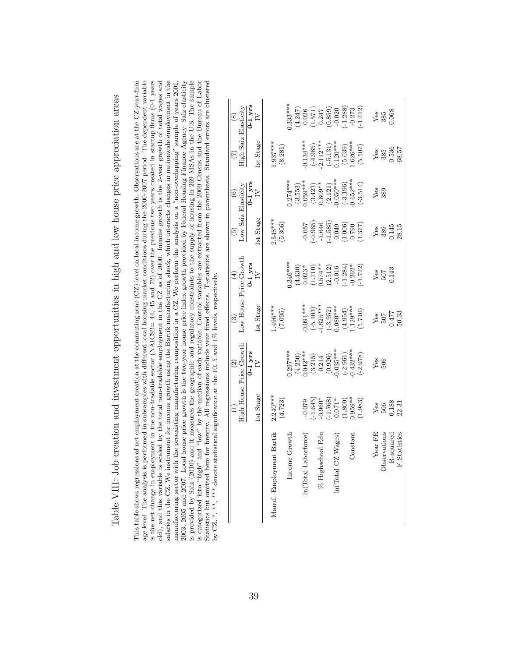| horo anothoro and introduced controllering in high and lotre bando prior anoniation ano<br>which we have a strip with the contract in the contract in the contract in the contract in the contract in the contract in the contract in the contract in the contract in the contract in the contract in the contract in the |  |
|---------------------------------------------------------------------------------------------------------------------------------------------------------------------------------------------------------------------------------------------------------------------------------------------------------------------------|--|
|                                                                                                                                                                                                                                                                                                                           |  |
|                                                                                                                                                                                                                                                                                                                           |  |
|                                                                                                                                                                                                                                                                                                                           |  |
|                                                                                                                                                                                                                                                                                                                           |  |
|                                                                                                                                                                                                                                                                                                                           |  |
|                                                                                                                                                                                                                                                                                                                           |  |
|                                                                                                                                                                                                                                                                                                                           |  |
|                                                                                                                                                                                                                                                                                                                           |  |
|                                                                                                                                                                                                                                                                                                                           |  |
|                                                                                                                                                                                                                                                                                                                           |  |
|                                                                                                                                                                                                                                                                                                                           |  |
|                                                                                                                                                                                                                                                                                                                           |  |
|                                                                                                                                                                                                                                                                                                                           |  |
|                                                                                                                                                                                                                                                                                                                           |  |
|                                                                                                                                                                                                                                                                                                                           |  |
|                                                                                                                                                                                                                                                                                                                           |  |
|                                                                                                                                                                                                                                                                                                                           |  |
|                                                                                                                                                                                                                                                                                                                           |  |
|                                                                                                                                                                                                                                                                                                                           |  |
|                                                                                                                                                                                                                                                                                                                           |  |
|                                                                                                                                                                                                                                                                                                                           |  |
|                                                                                                                                                                                                                                                                                                                           |  |
|                                                                                                                                                                                                                                                                                                                           |  |
|                                                                                                                                                                                                                                                                                                                           |  |
|                                                                                                                                                                                                                                                                                                                           |  |
|                                                                                                                                                                                                                                                                                                                           |  |
|                                                                                                                                                                                                                                                                                                                           |  |
|                                                                                                                                                                                                                                                                                                                           |  |
|                                                                                                                                                                                                                                                                                                                           |  |
|                                                                                                                                                                                                                                                                                                                           |  |
|                                                                                                                                                                                                                                                                                                                           |  |
|                                                                                                                                                                                                                                                                                                                           |  |
|                                                                                                                                                                                                                                                                                                                           |  |
|                                                                                                                                                                                                                                                                                                                           |  |
|                                                                                                                                                                                                                                                                                                                           |  |

age level. The analysis is performed in subsamples with different local housing market conditions during the 2000-2007 period. The dependent variable is the net change in employment in the non-tradable sector (NAICS2= 44, 45 and 72) over the previous two years created in startup firms (0-1 years salaries in the CZ. We instrument for income growth using the Bartik manufacturing shock, which interacts changes in nationwide employment in the is provided by Saiz (2010) and it measures the geographic and regulatory constraints to the supply of housing in 269 MSAs in the U.S. The sample is categorized into "high" and "low" by the median of each variable. Control variables are extracted from the 2000 Census and the Bureau of Labor Statistics but omitted here for brevity. All regressions include year fixed This table shows regressions of net employment creation at the commuting zone  $(CZ)$  level on local income growth. Observations are at the  $CZ$ -year-firm old), and this variable is scaled by the total non-tradable employment in the CZ as of 2000. Income growth is the 2-year growth of total wages and 2003, 2005 and 2007. Local house price growth is the two-year house price index growth provided by Federal Housing Finance Agency; Saiz elasticity This table shows regressions of net employment creation at the commuting zone (CZ) level on local income growth. Observations are at the CZ-year-firm  $\ldots$ ,  $\ldots$ ,  $\ldots$ ,  $\ldots$ ,  $\ldots$ ,  $\ldots$ ,  $\ldots$ ,  $\ldots$ ,  $\ldots$ ,  $\ldots$ , age level. The analysis is performed in subsamples with different local housing market conditions during the 2000-2007 period. The dependent variable is the net change in employment in the non-tradable sector (NAICS2=  $44$ ,  $45$  and  $72$ ) over the previous two years created in startup firms (0-1 years old), and this variable is scaled by the total non-tradable employment in the CZ as of 2000. Income growth is the 2-year growth of total wages and salaries in the CZ. We instrument for income growth using the Bartik manufacturing shock, which interacts changes in nationwide employment in the manufacturing sector with the preexisting manufacturing composition in a CZ. We perform the analysis on a "non-overlapping" sample of years  $2001$ , manufacturing sector with the preexisting manufacturing composition in a CZ. We perform the analysis on a "non-overlapping" sample of years 2001, 2003, 2005 and 2007. Local house price growth is the two-year house price index growth provided by Federal Housing Finance Agency; Saiz elasticity is provided by Saiz (2010) and it measures the geographic and regulatory constraints to the supply of housing in 269 MSAs in the U.S. The sample is categorized into "high" and "low" by the median of each variable. Control variables are extracted from the 2000 Census and the Bureau of Labor Statistics but omitted here for brevity. All regressions include year fixed effects. T-statistics are shown in parenthesis. Standard errors are clustered by CZ. \*, \*\*\*, \*\*\* denote statistical significance at the 10, 5 and 1% levels, respectively.

|                          |                                                      | High House Price Growth<br>$\widehat{c}$                                                                                                                                                                                                                                                                                        | ි                                                                                                                       | Low House Price Growth<br>$\widehat{E}$                                                                                     | Low Saiz Elasticity<br>ලි                                                                                                                                                                                                                                                                                              | $\widehat{\circ}$                                                                          | High Saiz Elasticity<br>E                                                                                       | $\circledast$                                                                                                                             |
|--------------------------|------------------------------------------------------|---------------------------------------------------------------------------------------------------------------------------------------------------------------------------------------------------------------------------------------------------------------------------------------------------------------------------------|-------------------------------------------------------------------------------------------------------------------------|-----------------------------------------------------------------------------------------------------------------------------|------------------------------------------------------------------------------------------------------------------------------------------------------------------------------------------------------------------------------------------------------------------------------------------------------------------------|--------------------------------------------------------------------------------------------|-----------------------------------------------------------------------------------------------------------------|-------------------------------------------------------------------------------------------------------------------------------------------|
|                          |                                                      |                                                                                                                                                                                                                                                                                                                                 |                                                                                                                         | $0-1$ yrs<br>IV                                                                                                             |                                                                                                                                                                                                                                                                                                                        | $0-1$ yrs                                                                                  |                                                                                                                 | $0-1$ yrs                                                                                                                                 |
|                          | 1st Stage                                            | $\frac{0.1 \text{ yrs}}{IV}$                                                                                                                                                                                                                                                                                                    | Ist Stage                                                                                                               |                                                                                                                             | 1st Stage                                                                                                                                                                                                                                                                                                              | $\geq$                                                                                     | <b>1st Stage</b>                                                                                                | $\geq$                                                                                                                                    |
| Manuf. Employment Bartik | $2.240***$                                           |                                                                                                                                                                                                                                                                                                                                 | $1.496***$                                                                                                              |                                                                                                                             |                                                                                                                                                                                                                                                                                                                        |                                                                                            | $1.937***$                                                                                                      |                                                                                                                                           |
|                          | (4.723)                                              |                                                                                                                                                                                                                                                                                                                                 | (7.095)                                                                                                                 |                                                                                                                             | $2.548***$<br>(5.306)                                                                                                                                                                                                                                                                                                  |                                                                                            | (8.281)                                                                                                         |                                                                                                                                           |
| Income Growth            |                                                      | $0.297***$                                                                                                                                                                                                                                                                                                                      |                                                                                                                         | $0.346***$                                                                                                                  |                                                                                                                                                                                                                                                                                                                        | $0.274***$                                                                                 |                                                                                                                 | $0.333***$                                                                                                                                |
|                          |                                                      |                                                                                                                                                                                                                                                                                                                                 |                                                                                                                         |                                                                                                                             |                                                                                                                                                                                                                                                                                                                        |                                                                                            |                                                                                                                 |                                                                                                                                           |
| n(Total Laborforce)      |                                                      |                                                                                                                                                                                                                                                                                                                                 |                                                                                                                         |                                                                                                                             |                                                                                                                                                                                                                                                                                                                        |                                                                                            |                                                                                                                 |                                                                                                                                           |
|                          | $-0.079$<br>$(-1.645)$<br>$-0.960*$                  |                                                                                                                                                                                                                                                                                                                                 | $-0.091***$<br>$(-5.103)$<br>$-1.625***$                                                                                |                                                                                                                             |                                                                                                                                                                                                                                                                                                                        | $(3.553)$<br>$(3.423)$<br>$(3.423)$<br>$(0.809**$<br>$(2.121)$<br>$(-3.196)$<br>$(-3.196)$ |                                                                                                                 |                                                                                                                                           |
| % Highschool Edu         |                                                      |                                                                                                                                                                                                                                                                                                                                 |                                                                                                                         |                                                                                                                             |                                                                                                                                                                                                                                                                                                                        |                                                                                            |                                                                                                                 |                                                                                                                                           |
|                          |                                                      |                                                                                                                                                                                                                                                                                                                                 |                                                                                                                         |                                                                                                                             |                                                                                                                                                                                                                                                                                                                        |                                                                                            |                                                                                                                 |                                                                                                                                           |
| In (Total CZ Wages)      |                                                      |                                                                                                                                                                                                                                                                                                                                 |                                                                                                                         |                                                                                                                             |                                                                                                                                                                                                                                                                                                                        |                                                                                            |                                                                                                                 |                                                                                                                                           |
|                          |                                                      |                                                                                                                                                                                                                                                                                                                                 |                                                                                                                         |                                                                                                                             |                                                                                                                                                                                                                                                                                                                        |                                                                                            |                                                                                                                 |                                                                                                                                           |
| Constant                 |                                                      |                                                                                                                                                                                                                                                                                                                                 |                                                                                                                         |                                                                                                                             |                                                                                                                                                                                                                                                                                                                        |                                                                                            |                                                                                                                 |                                                                                                                                           |
|                          | $(-1.768)$<br>0.071*<br>(1.800)<br>0.959**<br>0.983) | $\begin{smallmatrix} (4.250)\\ (14.250)\\ (3.215)\\ (3.215)\\ (0.042^{***}\\ (0.214)\\ (0.035^{***}\\ (-2.961)\\ (-2.978)\\ (0.432^{***}\\ (-2.978)\\ (-2.978)\\ (-2.978)\\ (-2.978)\\ (-2.978)\\ (-2.978)\\ (-2.978)\\ (-2.978)\\ (-2.978)\\ (-2.978)\\ (-2.978)\\ (-2.978)\\ (-2.978)\\ (-2.978)\\ (-2.978)\\ (-2.978)\\ (-2$ | $\begin{array}{c} ( - 3.952) \\ 0.080^{ \ast \ast \ast} \\ ( 4.954) \\ 1.129^{ \ast \ast \ast} \\ ( 5.710) \end{array}$ | $\begin{array}{l} (4.430)\\ 0.023^*\\ 0.574^{**}\\ 0.574^{**}\\ (2.512)\\ -0.016\\ -0.016\\ -1.284)\\ -1.282\\ \end{array}$ | $\begin{array}{l} (1.120 \\ (9001) \\ (1.902) \\ (1.903) \\ (1.904) \\ (1.905) \\ (1.905) \\ (1.906) \\ (1.907) \\ (1.908) \\ (1.907) \\ (1.908) \\ (1.908) \\ (1.908) \\ (1.908) \\ (1.908) \\ (1.908) \\ (1.908) \\ (1.908) \\ (1.908) \\ (1.908) \\ (1.908) \\ (1.908) \\ (1.908) \\ (1.908) \\ (1.908) \\ (1.908)$ | $(-3.514)$                                                                                 | $(1.134****)$<br>$(-4.965)$<br>$(-5.12****)$<br>$(-5.131)$<br>$(5.039)$<br>$(5.039)$<br>$1.626***$<br>$(5.507)$ | $\begin{array}{l} (4.247)\\ 0.026\\ 0.571)\\ (1.571)\\ 0.247\\ (0.859)\\ -0.238\\ (-1.288)\\ -1.283)\\ (-1.412)\\ (-1.412)\\ \end{array}$ |
| Year FE                  | Yes                                                  | Yes                                                                                                                                                                                                                                                                                                                             |                                                                                                                         |                                                                                                                             |                                                                                                                                                                                                                                                                                                                        | Yes                                                                                        |                                                                                                                 |                                                                                                                                           |
| <b>b</b> servations      | 506<br>0.188                                         | 506                                                                                                                                                                                                                                                                                                                             | $\frac{\text{Yes}}{507}$<br>0.477<br>50.33                                                                              | $Y_{68}$<br>$507$<br>$0.143$                                                                                                | $\begin{array}{c} \text{Yes} \\ 389 \\ 0.145 \\ 28.15 \end{array}$                                                                                                                                                                                                                                                     | 389                                                                                        | $Y_{68}$<br>385<br>0.536<br>68.57                                                                               | $Y_{85}$<br>$385$<br>$0.068$                                                                                                              |
| $R$ -squared             |                                                      |                                                                                                                                                                                                                                                                                                                                 |                                                                                                                         |                                                                                                                             |                                                                                                                                                                                                                                                                                                                        |                                                                                            |                                                                                                                 |                                                                                                                                           |
| F-Statistics             | 22.31                                                |                                                                                                                                                                                                                                                                                                                                 |                                                                                                                         |                                                                                                                             |                                                                                                                                                                                                                                                                                                                        |                                                                                            |                                                                                                                 |                                                                                                                                           |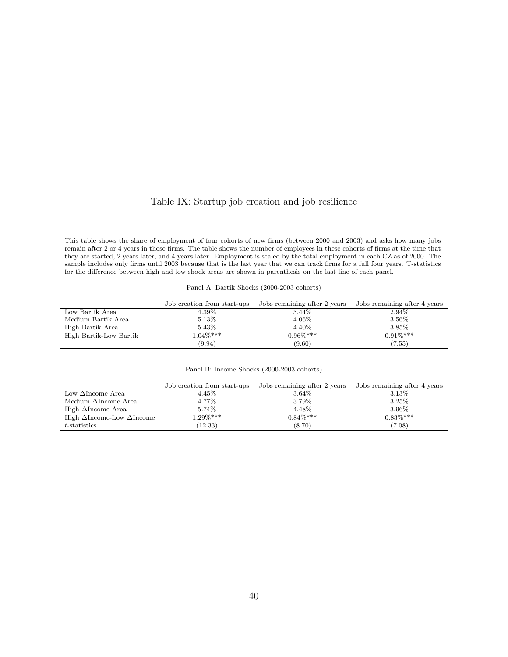## Table IX: Startup job creation and job resilience

This table shows the share of employment of four cohorts of new firms (between 2000 and 2003) and asks how many jobs remain after 2 or 4 years in those firms. The table shows the number of employees in these cohorts of firms at the time that they are started, 2 years later, and 4 years later. Employment is scaled by the total employment in each CZ as of 2000. The sample includes only firms until 2003 because that is the last year that we can track firms for a full four years. T-statistics for the difference between high and low shock areas are shown in parenthesis on the last line of each panel.

| Panel A: Bartik Shocks (2000-2003 cohorts) |  |
|--------------------------------------------|--|
|--------------------------------------------|--|

|                        | Job creation from start-ups | Jobs remaining after 2 years | Jobs remaining after 4 years |
|------------------------|-----------------------------|------------------------------|------------------------------|
| Low Bartik Area        | $4.39\%$                    | 3.44\%                       | 2.94\%                       |
| Medium Bartik Area     | 5.13%                       | 4.06%                        | 3.56%                        |
| High Bartik Area       | 5.43%                       | 4.40%                        | 3.85%                        |
| High Bartik-Low Bartik | $1.04\%***$                 | $0.96\%***$                  | $0.91\%***$                  |
|                        | (9.94)                      | (9.60)                       | (7.55)                       |

|  |  | Panel B: Income Shocks (2000-2003 cohorts) |  |
|--|--|--------------------------------------------|--|
|  |  |                                            |  |

|                                          | Job creation from start-ups | Jobs remaining after 2 years | Jobs remaining after 4 years |
|------------------------------------------|-----------------------------|------------------------------|------------------------------|
| Low $\Delta$ Income Area                 | $4.45\%$                    | $3.64\%$                     | 3.13%                        |
| Medium $\Delta$ Income Area              | $4.77\%$                    | 3.79%                        | 3.25%                        |
| High $\Delta$ Income Area                | 5.74%                       | 4.48%                        | 3.96%                        |
| High $\Delta$ Income-Low $\Delta$ Income | $1.29\%***$                 | $0.84\%***$                  | $0.83\%***$                  |
| $t$ -statistics                          | (12.33)                     | (8.70)                       | (7.08)                       |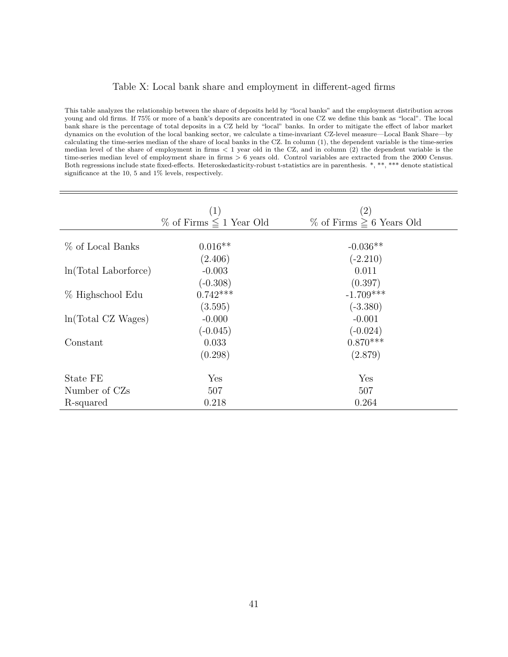### Table X: Local bank share and employment in different-aged firms

This table analyzes the relationship between the share of deposits held by "local banks" and the employment distribution across young and old firms. If 75% or more of a bank's deposits are concentrated in one CZ we define this bank as "local". The local bank share is the percentage of total deposits in a CZ held by "local" banks. In order to mitigate the effect of labor market dynamics on the evolution of the local banking sector, we calculate a time-invariant CZ-level measure—Local Bank Share—by calculating the time-series median of the share of local banks in the CZ. In column (1), the dependent variable is the time-series median level of the share of employment in firms < 1 year old in the CZ, and in column (2) the dependent variable is the time-series median level of employment share in firms > 6 years old. Control variables are extracted from the 2000 Census. Both regressions include state fixed-effects. Heteroskedasticity-robust t-statistics are in parenthesis. \*, \*\*, \*\*\* denote statistical significance at the 10, 5 and 1% levels, respectively.

|                        | (1)                             | (2)                              |
|------------------------|---------------------------------|----------------------------------|
|                        | $\%$ of Firms $\leq 1$ Year Old | $\%$ of Firms $\geq 6$ Years Old |
| % of Local Banks       | $0.016**$                       | $-0.036**$                       |
| $ln(Total$ Laborforce) | (2.406)<br>$-0.003$             | $(-2.210)$<br>0.011              |
|                        | $(-0.308)$                      | (0.397)                          |
| % Highschool Edu       | $0.742***$<br>(3.595)           | $-1.709***$<br>$(-3.380)$        |
| ln(Total CZ Wages)     | $-0.000$                        | $-0.001$                         |
| Constant               | $(-0.045)$<br>0.033             | $(-0.024)$<br>$0.870***$         |
|                        | (0.298)                         | (2.879)                          |
| State FE               | Yes                             | Yes                              |
| Number of CZs          | 507                             | 507                              |
| R-squared              | 0.218                           | 0.264                            |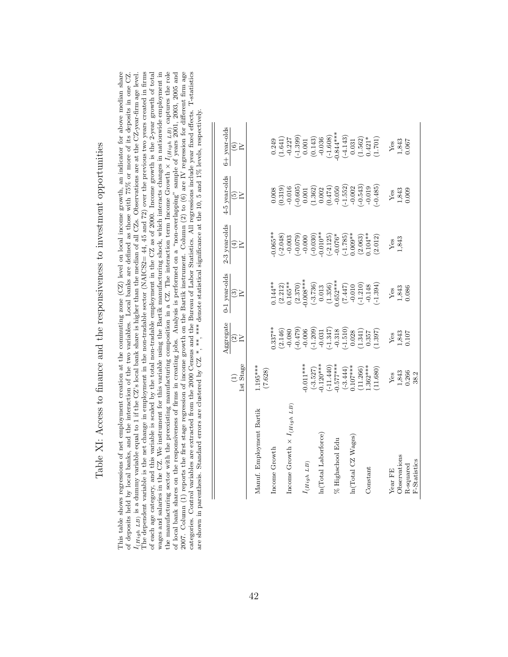| í<br>.<br>.<br>.<br>)<br>2<br>2<br>2<br>2<br>ı<br>j                                                                                                                                                                                                                  |
|----------------------------------------------------------------------------------------------------------------------------------------------------------------------------------------------------------------------------------------------------------------------|
| $\frac{1}{2}$                                                                                                                                                                                                                                                        |
|                                                                                                                                                                                                                                                                      |
|                                                                                                                                                                                                                                                                      |
| the controller of the conduction of the conduction of the conduction of the conduction of the conduction of the conduction of the conduction of the conduction of the conduction of the conduction of the conduction of the co<br>$\frac{1}{2}$<br>うしょうしょう<br>I<br>į |
| י<br>גוג                                                                                                                                                                                                                                                             |
| $\frac{1}{2}$                                                                                                                                                                                                                                                        |
| j<br>$\frac{1}{2}$<br>i<br>)                                                                                                                                                                                                                                         |
|                                                                                                                                                                                                                                                                      |
| ׇ֚֬֡<br>֖֧֧֧֧ׅ֧ׅ֧֚֚֚֚֚֚֚֚֚֚֚֚֚֚֚֚֚֚֚֚֚֚֚֚֚֚֚֚֚֡֝֝֬֝֓֝֬֜<br>l                                                                                                                                                                                                         |
| ;<br>;<br>;<br>$\frac{1}{2}$                                                                                                                                                                                                                                         |
| Ï<br>1<br>.<br>ו<br>}<br>                                                                                                                                                                                                                                            |

This table shows regressions of net employment creation at the commuting zone  $(CZ)$  level on local income growth, an indicator for above median share The dependent variable is the net change in employment in the non-tradable sector (NAICS2= 44, 45 and 72) over the previous two years created in firms the manufacturing sector with the preexisting manufacturing composition in a CZ. The interaction term Income Growth  $\times I_{(High\ L_B)}$  captures the role of local bank shares on the responsiveness of firms in creating jobs. Anal categories. Control variables are extracted from the 2000 Census and the Bureau of Labor Statistics. All regressions include year fixed effects. T-statistics  $I_{\{High\ LP\}}$  is a dummy variable equal to 1 if the CZ's local bank share is higher than the median of all CZs. Observations are at the CZ-year-firm age level. of each age category, and this variable is scaled by the total non-tradable employment in the CZ as of 2000. Income growth is the 2-year growth of total wages and salaries in the CZ. We instrument for this variable using the Bartik manufacturing shock, which interacts changes in nationwide employment in This table shows regressions of net employment creation at the commuting zone  $(CZ)$  level on local income growth, an indicator for above median share of deposits held by local banks, and the interaction of the two variables. Local banks are defined as those with 75% or more of its deposits in one CZ. of deposits held by local banks, and the interaction of the two variables. Local banks are defined as those with 75% or more of its deposits in one CZ.  $I_{(High\ LB)}$  is a dummy variable equal to 1 if the CZ's local bank share is higher than the median of all CZs. Observations are at the CZ-year-firm age level. The dependent variable is the net change in employment in the non-tradable sector (NAICS2= 44, 45 and 72) over the previous two years created in firms of each age category, and this variable is scaled by the total non-tradable employment in the CZ as of 2000. Income growth is the 2-year growth of total wages and salaries in the CZ. We instrument for this variable using the Bartik manufacturing shock, which interacts changes in nationwide employment in the manufacturing sector with the preexisting manufacturing composition in a CZ. The interaction term Income Growth ×  $I_{(High\ LB)}$  captures the role  $\epsilon_{i-1}$ . of local bank shares on the responsiveness of firms in creating jobs. Analysis is performed on a "non-overlapping" sample of years 2001, 2003, 2005 and 2007. Column (1) reports the first stage regression of income growth on the Bartik instrument. Column (2) to (6) are IV regression for different firm age categories. Control variables are extracted from the 2000 Census and the Bureau of Labor Statistics. All regressions include year fixed effects. T-statistics are shown in parenthesis. Standard errors are clustered by CZ. \*, \*\*\*, \*\*\*\* denote statistical significance at the 10, 5 and 1% levels, respectively. are shown in parenthesis. Standard errors are clustered by CZ. \*, \*\*\*, denote statistical significance at the 10, 5 and 1% levels, respectively.

|                                         | 1st Stage<br>Э                                                                                                              | Aggregate<br>$\frac{1}{2}$                                                                                                                   | 0-1 year-olds<br>$\mathfrak{S}_{\mathsf{C}}$                                                                                                         | 2-3 year-olds<br>$\widehat{\pm}$                                                                                                                         | 4-5 year-olds<br>$\widetilde{\omega}$                                                                                                                                                                                                                                                                             | 6+ year-olds<br>$\widehat{\odot}$ $\gtrsim$                                                                                                                                                                                                                                                                                          |
|-----------------------------------------|-----------------------------------------------------------------------------------------------------------------------------|----------------------------------------------------------------------------------------------------------------------------------------------|------------------------------------------------------------------------------------------------------------------------------------------------------|----------------------------------------------------------------------------------------------------------------------------------------------------------|-------------------------------------------------------------------------------------------------------------------------------------------------------------------------------------------------------------------------------------------------------------------------------------------------------------------|--------------------------------------------------------------------------------------------------------------------------------------------------------------------------------------------------------------------------------------------------------------------------------------------------------------------------------------|
| Manuf. Employment Bartik                | $1.195***$<br>(7.628)                                                                                                       |                                                                                                                                              |                                                                                                                                                      |                                                                                                                                                          |                                                                                                                                                                                                                                                                                                                   |                                                                                                                                                                                                                                                                                                                                      |
| Income Growth                           |                                                                                                                             | $0.337**$                                                                                                                                    | $0.144***$                                                                                                                                           | $0.065***$                                                                                                                                               |                                                                                                                                                                                                                                                                                                                   |                                                                                                                                                                                                                                                                                                                                      |
| Income Growth $\times$ $I_{(High\ LB)}$ |                                                                                                                             | $(2.146)$<br>-0.080                                                                                                                          | $(2.212)$<br>0.165**                                                                                                                                 | $\begin{array}{l} (-2.048) \\ -0.003 \\ -0.079) \\ -0.000 \\ -0.010^{**} \\ (-0.030) \\ -0.010^{**} \\ -0.076^{*} \\ (-1.785) \\ -1.785) \\ \end{array}$ | $\begin{array}{l} 0.008 \\ 0.01319 \\ 0.0165 \\ 0.0050 \\ -0.0050 \\ 0.001 \\ -0.0001 \\ -0.0002 \\ -0.0000 \\ -0.0000 \\ -0.0000 \\ -0.0000 \\ -0.0000 \\ -0.0000 \\ -0.0000 \\ -0.0000 \\ -0.0000 \\ -0.0000 \\ -0.0000 \\ -0.0000 \\ -0.0000 \\ -0.0000 \\ -0.0000 \\ -0.0000 \\ -0.0000 \\ -0.0000 \\ -0.000$ | $\begin{array}{l} 0.249\\[-2pt] 0.247\\[-2pt] (-1.641)\\[-2pt] (-1.227\\[-2pt] (-1.239)\\[-2pt] (-1.43)\\[-2pt] (-1.43)\\[-2pt] (-1.43)\\[-2pt] (-1.43)\\[-2pt] (-1.43)\\[-2pt] (-1.43)\\[-2pt] (-1.42)\\[-2pt] (-1.42)\\[-2pt] (-1.42)\\[-2pt] (-1.42)\\[-2pt] (-1.42)\\[-2pt] (-1.42)\\[-2pt] (-1.42)\\[-2pt] (-1.42)\\[-2pt] (-1$ |
|                                         |                                                                                                                             |                                                                                                                                              | $(2.370)$<br>$0.008***$                                                                                                                              |                                                                                                                                                          |                                                                                                                                                                                                                                                                                                                   |                                                                                                                                                                                                                                                                                                                                      |
| I(High LB)                              | $0.011***$                                                                                                                  |                                                                                                                                              |                                                                                                                                                      |                                                                                                                                                          |                                                                                                                                                                                                                                                                                                                   |                                                                                                                                                                                                                                                                                                                                      |
| $\ln({\rm Total\;Laborforce})$          | $\begin{array}{l} (-3.527) \\ -0.120^{***} \\ (-11.440) \\ -0.577^{***} \\ (-3.444) \\ (-3.444) \\ (-3.444) \\ \end{array}$ | $\begin{array}{l} (-0.479) \\ -0.006 \\ -0.003 \\ -0.209 \\ -0.31 \\ -0.318 \\ -0.318 \\ -0.318 \\ -0.241 \\ -0.341 \\ 0.028 \\ \end{array}$ | $\begin{array}{l} (-3.736) \\ 0.013 \\ (1.356) \\ 0.652^{***} \\ (7.447) \\ (-1.210) \\ (-1.210) \\ (-1.210) \\ (-1.210) \\ (-1.394) \\ \end{array}$ |                                                                                                                                                          |                                                                                                                                                                                                                                                                                                                   |                                                                                                                                                                                                                                                                                                                                      |
|                                         |                                                                                                                             |                                                                                                                                              |                                                                                                                                                      |                                                                                                                                                          |                                                                                                                                                                                                                                                                                                                   |                                                                                                                                                                                                                                                                                                                                      |
| % Highschool Edu                        |                                                                                                                             |                                                                                                                                              |                                                                                                                                                      |                                                                                                                                                          |                                                                                                                                                                                                                                                                                                                   |                                                                                                                                                                                                                                                                                                                                      |
|                                         |                                                                                                                             |                                                                                                                                              |                                                                                                                                                      |                                                                                                                                                          |                                                                                                                                                                                                                                                                                                                   |                                                                                                                                                                                                                                                                                                                                      |
| In(Total CZ Wages)                      |                                                                                                                             |                                                                                                                                              |                                                                                                                                                      |                                                                                                                                                          |                                                                                                                                                                                                                                                                                                                   |                                                                                                                                                                                                                                                                                                                                      |
|                                         | $(11.266)$<br>$1.362***$                                                                                                    |                                                                                                                                              |                                                                                                                                                      | $(2.063)$<br>$0.104**$                                                                                                                                   |                                                                                                                                                                                                                                                                                                                   |                                                                                                                                                                                                                                                                                                                                      |
| Constant                                |                                                                                                                             |                                                                                                                                              |                                                                                                                                                      |                                                                                                                                                          |                                                                                                                                                                                                                                                                                                                   |                                                                                                                                                                                                                                                                                                                                      |
|                                         | 11.680)                                                                                                                     | (1.397)                                                                                                                                      |                                                                                                                                                      | (2.012)                                                                                                                                                  |                                                                                                                                                                                                                                                                                                                   |                                                                                                                                                                                                                                                                                                                                      |
| Year FE                                 | Yes                                                                                                                         | Yes                                                                                                                                          |                                                                                                                                                      | $Y_{.843}^{\text{es}}$                                                                                                                                   | Yes                                                                                                                                                                                                                                                                                                               |                                                                                                                                                                                                                                                                                                                                      |
| Observations                            | 1,843<br>0.266                                                                                                              | 1,843<br>0.107                                                                                                                               | Yes<br>1,843<br>0.086                                                                                                                                |                                                                                                                                                          | 1,843<br>0.009                                                                                                                                                                                                                                                                                                    | $\frac{\text{Yes}}{1,843}$<br>0.067                                                                                                                                                                                                                                                                                                  |
| R-squared                               |                                                                                                                             |                                                                                                                                              |                                                                                                                                                      |                                                                                                                                                          |                                                                                                                                                                                                                                                                                                                   |                                                                                                                                                                                                                                                                                                                                      |
| F-Statistics                            | 38.2                                                                                                                        |                                                                                                                                              |                                                                                                                                                      |                                                                                                                                                          |                                                                                                                                                                                                                                                                                                                   |                                                                                                                                                                                                                                                                                                                                      |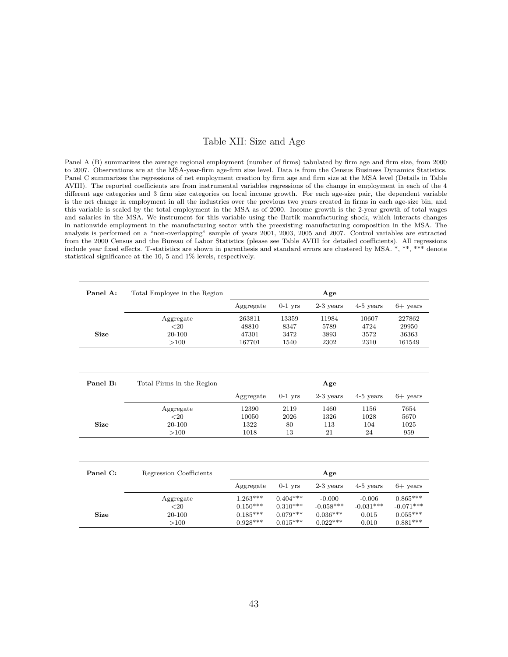### Table XII: Size and Age

Panel A (B) summarizes the average regional employment (number of firms) tabulated by firm age and firm size, from 2000 to 2007. Observations are at the MSA-year-firm age-firm size level. Data is from the Census Business Dynamics Statistics. Panel C summarizes the regressions of net employment creation by firm age and firm size at the MSA level (Details in Table AVIII). The reported coefficients are from instrumental variables regressions of the change in employment in each of the 4 different age categories and 3 firm size categories on local income growth. For each age-size pair, the dependent variable is the net change in employment in all the industries over the previous two years created in firms in each age-size bin, and this variable is scaled by the total employment in the MSA as of 2000. Income growth is the 2-year growth of total wages and salaries in the MSA. We instrument for this variable using the Bartik manufacturing shock, which interacts changes in nationwide employment in the manufacturing sector with the preexisting manufacturing composition in the MSA. The analysis is performed on a "non-overlapping" sample of years 2001, 2003, 2005 and 2007. Control variables are extracted from the 2000 Census and the Bureau of Labor Statistics (please see Table AVIII for detailed coefficients). All regressions include year fixed effects. T-statistics are shown in parenthesis and standard errors are clustered by MSA. \*, \*\*, \*\*\* denote statistical significance at the 10, 5 and 1% levels, respectively.

| Panel A:    | Total Employee in the Region |            |            | Age         |             |                 |
|-------------|------------------------------|------------|------------|-------------|-------------|-----------------|
|             |                              | Aggregate  | $0-1$ yrs  | $2-3$ years | $4-5$ years | $6+$ vears      |
|             | Aggregate                    | 263811     | 13359      | 11984       | 10607       | 227862          |
|             | ${<}20$                      | 48810      | 8347       | 5789        | 4724        | 29950           |
| <b>Size</b> | 20-100                       | 47301      | 3472       | 3893        | 3572        | 36363           |
|             | >100                         | 167701     | 1540       | 2302        | 2310        | 161549          |
|             |                              |            |            |             |             |                 |
| Panel B:    | Total Firms in the Region    |            |            | Age         |             |                 |
|             |                              | Aggregate  | $0-1$ yrs  | $2-3$ years | $4-5$ years | $6+$ years      |
|             | Aggregate                    | 12390      | 2119       | 1460        | 1156        | 7654            |
|             | $<$ 20                       | 10050      | 2026       | 1326        | 1028        | 5670            |
| Size        | 20-100                       | 1322       | 80         | 113         | 104         | 1025            |
|             | >100                         | 1018       | 13         | 21          | 24          | 959             |
|             |                              |            |            |             |             |                 |
| Panel C:    | Regression Coefficients      |            |            | Age         |             |                 |
|             |                              | Aggregate  | $0-1$ yrs  | $2-3$ years | $4-5$ years | $6+$ years      |
|             | Aggregate                    | $1.263***$ | $0.404***$ | $-0.000$    | $-0.006$    | $0.865***$      |
|             | ${<}20$                      | $0.150***$ | $0.310***$ | $-0.058***$ | $-0.031***$ | $-0.071***$     |
| <b>Size</b> | 20-100                       | $0.185***$ | $0.079***$ | $0.036***$  | 0.015       | $0.055^{***}\,$ |
|             | >100                         | $0.928***$ | $0.015***$ | $0.022***$  | 0.010       | $0.881***$      |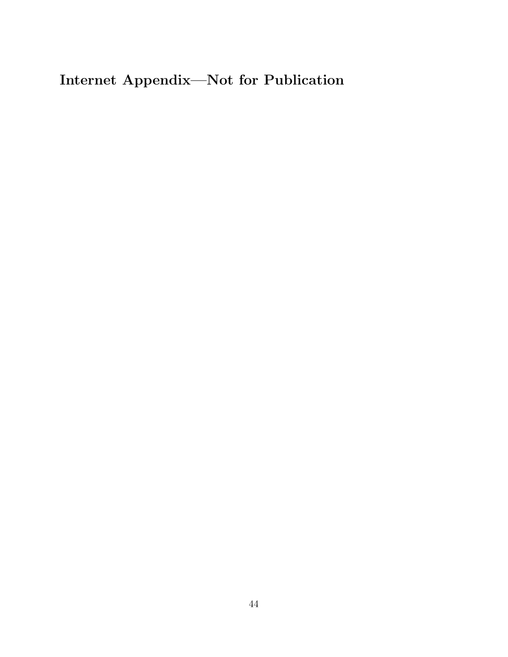Internet Appendix—Not for Publication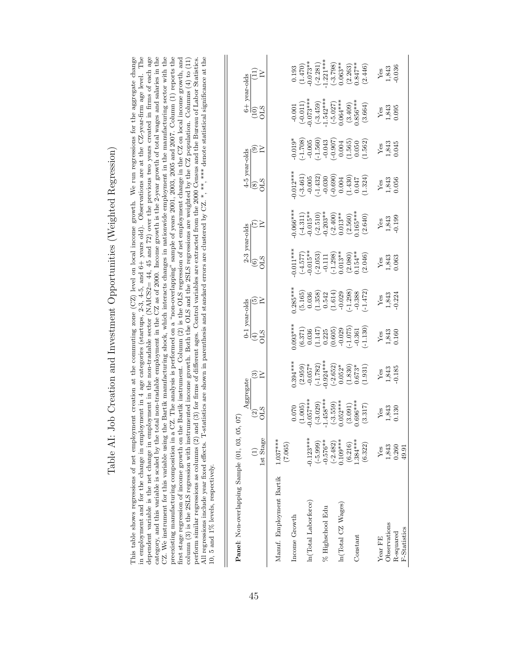| category, and this variable is scaled by the total non-tradable employment in the CZ as of 2000. Income growth is the 2-year growth of total wages and salaries in the<br>CZ. We instrument for this variable using the Bartik manufacturing shock, which interacts changes in nationwide employment in the manufacturing sector with the<br>in employment and for the change in employment in 4 age categories (startups, 2-3, 4-5, and 6+ years old). Observations are at the CZ-year-firm age level. The<br>dependent variable is the net change in employment in the non-tradable sector (NAICS2= 44, 45 and 72) over the previous two years created in firms of each age<br>preexisting manufacturing composition in a CZ. The analysis is performed on a "non-overlapping" sample of years 2001, 2005, 2005 and 2007. Column $(1)$ reports the<br>All regressions include year fixed effects. T-statistics are shown in parenthesis and standard errors are clustered by CZ.*,**,**,* denote statistical significance at the<br>This table shows regressions of net employment creation at the commuting zone $(CZ)$ level on local income growth. We run regressions for the aggregate change<br>oerform similar regressions as columns (2) and (3) for firms of different ages. Control variables are extracted from the 2000 Census and the Bureau of Labor Statistics.<br>column (3) is the 2SLS regression with instrumented income growth. Both the OLS and the 2SLS regressions are weighted by the CZ population. Columns (4) to (11)<br>first stage regression of income growth on the<br>10, 5 and 1% levels, respectively. |                                  |                                                            |                                |                                      |                                      | Bartik instrument. Column (2) is the OLS regression of net employment change in the CZ on local income growth, and |                                  |                                              |                             |                                                         |                                  |
|---------------------------------------------------------------------------------------------------------------------------------------------------------------------------------------------------------------------------------------------------------------------------------------------------------------------------------------------------------------------------------------------------------------------------------------------------------------------------------------------------------------------------------------------------------------------------------------------------------------------------------------------------------------------------------------------------------------------------------------------------------------------------------------------------------------------------------------------------------------------------------------------------------------------------------------------------------------------------------------------------------------------------------------------------------------------------------------------------------------------------------------------------------------------------------------------------------------------------------------------------------------------------------------------------------------------------------------------------------------------------------------------------------------------------------------------------------------------------------------------------------------------------------------------------------------------------------------------------------------------------------------------|----------------------------------|------------------------------------------------------------|--------------------------------|--------------------------------------|--------------------------------------|--------------------------------------------------------------------------------------------------------------------|----------------------------------|----------------------------------------------|-----------------------------|---------------------------------------------------------|----------------------------------|
| Panel: Non-overlapping Sample (01, 03, 05,                                                                                                                                                                                                                                                                                                                                                                                                                                                                                                                                                                                                                                                                                                                                                                                                                                                                                                                                                                                                                                                                                                                                                                                                                                                                                                                                                                                                                                                                                                                                                                                                  | 1st Stage                        | Aggregate<br><b>CLS</b><br>$\widehat{\mathfrak{S}}$<br>67) | ®≥                             | 0-1 year-olds<br>CLS<br>$\bigoplus$  | ⊙≥                                   | 2-3 year-olds<br>GIS<br>$\odot$                                                                                    | EZ                               | 4-5 year-olds<br><b>CLS</b><br>$\circled{s}$ | <u>ଚ</u> >                  | 6+ year-olds<br>$\begin{matrix} 10 \\ 015 \end{matrix}$ | $\Xi$ $\geq$                     |
| Manuf. Employment Bartik                                                                                                                                                                                                                                                                                                                                                                                                                                                                                                                                                                                                                                                                                                                                                                                                                                                                                                                                                                                                                                                                                                                                                                                                                                                                                                                                                                                                                                                                                                                                                                                                                    | $1.037***$<br>(7.065)            |                                                            |                                |                                      |                                      |                                                                                                                    |                                  |                                              |                             |                                                         |                                  |
| Income Growth                                                                                                                                                                                                                                                                                                                                                                                                                                                                                                                                                                                                                                                                                                                                                                                                                                                                                                                                                                                                                                                                                                                                                                                                                                                                                                                                                                                                                                                                                                                                                                                                                               |                                  | (1.005)<br>0.070                                           | $0.394***$<br>(2.959)          | $0.093***$<br>(6.371)                | $0.285***$<br>(5.165)                | $0.011***$<br>$(-4.577)$                                                                                           | $-0.066***$<br>$(-4.311)$        | $-0.012***$<br>$(-3.461)$                    | $-1.708$<br>$0.019*$        | $(-0.011)$<br>$-0.001$                                  | (1.470)<br>0.193                 |
| In(Total Laborforce)                                                                                                                                                                                                                                                                                                                                                                                                                                                                                                                                                                                                                                                                                                                                                                                                                                                                                                                                                                                                                                                                                                                                                                                                                                                                                                                                                                                                                                                                                                                                                                                                                        | $-0.123***$<br>$(-5.999)$        | $0.057***$<br>$(-3.029)$                                   | $(-1.782)$<br>$-0.057*$        | (1.147)<br>0.036                     | (1.358)<br>0.036                     | $-0.015**$<br>$(-2.053)$                                                                                           | $-0.015**$<br>$(-2.510)$         | $(-1.432)$<br>$-0.005$                       | $(-1.560)$<br>$-0.005$      | $-0.073***$<br>$(-3.459)$                               | $-0.073**$<br>$(-2.281)$         |
| % Highschool Edu                                                                                                                                                                                                                                                                                                                                                                                                                                                                                                                                                                                                                                                                                                                                                                                                                                                                                                                                                                                                                                                                                                                                                                                                                                                                                                                                                                                                                                                                                                                                                                                                                            | $-0.576**$<br>$(-2.482)$         | $1.458***$<br>$(-3.559)$                                   | $0.924***$<br>$(-2.652)$       | (0.605)<br>0.225                     | (1.614)<br>0.542                     | $(-1.298)$<br>$-0.111$                                                                                             | $-0.203**$<br>$(-2.400)$         | $(-0.690)$<br>$-0.030$                       | $-0.907$<br>$-0.043$        | $1.542***$<br>$(-5.027)$                                | $-1.221***$<br>$(-3.798)$        |
| In(Total CZ Wages)                                                                                                                                                                                                                                                                                                                                                                                                                                                                                                                                                                                                                                                                                                                                                                                                                                                                                                                                                                                                                                                                                                                                                                                                                                                                                                                                                                                                                                                                                                                                                                                                                          | $0.109***$                       | $0.052***$                                                 | $0.052*$                       | $-0.029$                             | $-0.029$                             | $0.013**$                                                                                                          | $0.013***$                       | 0.004                                        | 0.004                       | $0.064***$                                              | $0.063**$                        |
| Constant                                                                                                                                                                                                                                                                                                                                                                                                                                                                                                                                                                                                                                                                                                                                                                                                                                                                                                                                                                                                                                                                                                                                                                                                                                                                                                                                                                                                                                                                                                                                                                                                                                    | $1.384***$<br>(6.216)<br>(6.322) | $0.696***$<br>(3.091)<br>(3.317)                           | (1.830)<br>$0.673*$<br>(1.931) | $(-1.075)$<br>$(-1.130)$<br>$-0.361$ | $(-1.298)$<br>$(-1.472)$<br>$-0.388$ | $0.154***$<br>(2.080)<br>(2.046)                                                                                   | $0.165***$<br>(2.560)<br>(2.640) | (1.430)<br>(1.324)<br>0.047                  | (1.565)<br>(1.562)<br>0.050 | $0.856***$<br>(3.409)<br>(3.664)                        | $0.847***$<br>(2.263)<br>(2.446) |
| Observations<br>Year FE                                                                                                                                                                                                                                                                                                                                                                                                                                                                                                                                                                                                                                                                                                                                                                                                                                                                                                                                                                                                                                                                                                                                                                                                                                                                                                                                                                                                                                                                                                                                                                                                                     | 1,843<br>Yes                     | 1,843<br>$Y$ es                                            | 1,843<br>Yes                   | 1,843<br>Yes                         | 1,843<br>$Y$ es                      | 1,843<br>Yes                                                                                                       | 1,843<br>Yes                     | 1,843<br>0.056<br>Yes                        | 1,843<br>Yes                | 1,843<br>Yes                                            | 1,843<br>Yes                     |
| F-Statistics<br>R-squared                                                                                                                                                                                                                                                                                                                                                                                                                                                                                                                                                                                                                                                                                                                                                                                                                                                                                                                                                                                                                                                                                                                                                                                                                                                                                                                                                                                                                                                                                                                                                                                                                   | 0.260<br>49.91                   | 0.130                                                      | $-0.185$                       | 0.160                                | 0.224                                | 0.063                                                                                                              | 0.199                            |                                              | 0.045                       | 0.095                                                   | 0.036                            |

Table AI: Job Creation and Investment Opportunities (Weighted Regression) Table AI: Job Creation and Investment Opportunities (Weighted Regression)

45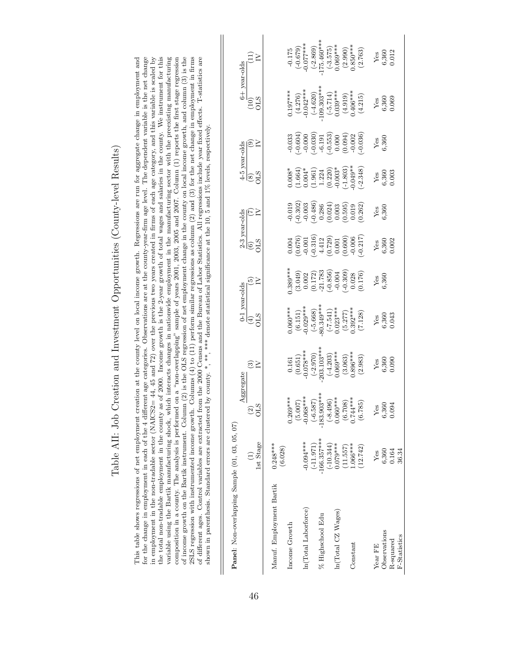| ֚֘֝                                                                                                                                                                                                                                                                                                                                                                  |
|----------------------------------------------------------------------------------------------------------------------------------------------------------------------------------------------------------------------------------------------------------------------------------------------------------------------------------------------------------------------|
|                                                                                                                                                                                                                                                                                                                                                                      |
|                                                                                                                                                                                                                                                                                                                                                                      |
|                                                                                                                                                                                                                                                                                                                                                                      |
| $\ddot{\phantom{0}}$                                                                                                                                                                                                                                                                                                                                                 |
| ļ                                                                                                                                                                                                                                                                                                                                                                    |
|                                                                                                                                                                                                                                                                                                                                                                      |
|                                                                                                                                                                                                                                                                                                                                                                      |
| $\frac{1}{2}$<br>$\frac{1}{1}$                                                                                                                                                                                                                                                                                                                                       |
|                                                                                                                                                                                                                                                                                                                                                                      |
| .<br>.<br>.<br>.                                                                                                                                                                                                                                                                                                                                                     |
| l<br>l                                                                                                                                                                                                                                                                                                                                                               |
|                                                                                                                                                                                                                                                                                                                                                                      |
|                                                                                                                                                                                                                                                                                                                                                                      |
|                                                                                                                                                                                                                                                                                                                                                                      |
|                                                                                                                                                                                                                                                                                                                                                                      |
| j                                                                                                                                                                                                                                                                                                                                                                    |
|                                                                                                                                                                                                                                                                                                                                                                      |
| Ι                                                                                                                                                                                                                                                                                                                                                                    |
|                                                                                                                                                                                                                                                                                                                                                                      |
|                                                                                                                                                                                                                                                                                                                                                                      |
| )<br>2<br>2<br>2<br>2<br>2<br>2<br>2<br>2<br>2<br>2<br><br><br><br><br><br><br><br><br><br><br><br><br><br>2<br>2<br>2<br>3<br>3<br>4<br>4<br>5<br>2<br>4<br>5<br>5<br>6<br>8<br>8<br>8<br>8<br>9<br>9<br>1<br>1<br>1<br>1<br>2<br>2<br>3<br>4<br>5<br>5<br>5<br>5<br>6<br>6<br>6<br>6<br>7<br>8<br>8<br>9<br>1<br>1<br>1<br>1<br>1<br>1<br>1<br>1 <br< td=""></br<> |
|                                                                                                                                                                                                                                                                                                                                                                      |
|                                                                                                                                                                                                                                                                                                                                                                      |
|                                                                                                                                                                                                                                                                                                                                                                      |
|                                                                                                                                                                                                                                                                                                                                                                      |
|                                                                                                                                                                                                                                                                                                                                                                      |
|                                                                                                                                                                                                                                                                                                                                                                      |
|                                                                                                                                                                                                                                                                                                                                                                      |
|                                                                                                                                                                                                                                                                                                                                                                      |
|                                                                                                                                                                                                                                                                                                                                                                      |
| l                                                                                                                                                                                                                                                                                                                                                                    |
| ı                                                                                                                                                                                                                                                                                                                                                                    |
|                                                                                                                                                                                                                                                                                                                                                                      |
| (                                                                                                                                                                                                                                                                                                                                                                    |
|                                                                                                                                                                                                                                                                                                                                                                      |
| )<br> }<br>!                                                                                                                                                                                                                                                                                                                                                         |
|                                                                                                                                                                                                                                                                                                                                                                      |
|                                                                                                                                                                                                                                                                                                                                                                      |
|                                                                                                                                                                                                                                                                                                                                                                      |
|                                                                                                                                                                                                                                                                                                                                                                      |
|                                                                                                                                                                                                                                                                                                                                                                      |
|                                                                                                                                                                                                                                                                                                                                                                      |
|                                                                                                                                                                                                                                                                                                                                                                      |
|                                                                                                                                                                                                                                                                                                                                                                      |
|                                                                                                                                                                                                                                                                                                                                                                      |
|                                                                                                                                                                                                                                                                                                                                                                      |
|                                                                                                                                                                                                                                                                                                                                                                      |
| I                                                                                                                                                                                                                                                                                                                                                                    |
|                                                                                                                                                                                                                                                                                                                                                                      |
|                                                                                                                                                                                                                                                                                                                                                                      |
|                                                                                                                                                                                                                                                                                                                                                                      |
|                                                                                                                                                                                                                                                                                                                                                                      |
|                                                                                                                                                                                                                                                                                                                                                                      |
|                                                                                                                                                                                                                                                                                                                                                                      |
|                                                                                                                                                                                                                                                                                                                                                                      |
| $\sim$ $\sim$ $\sim$ $\sim$ $\sim$ $\sim$<br>)<br>}                                                                                                                                                                                                                                                                                                                  |
|                                                                                                                                                                                                                                                                                                                                                                      |
|                                                                                                                                                                                                                                                                                                                                                                      |
| י<br>י                                                                                                                                                                                                                                                                                                                                                               |
| I                                                                                                                                                                                                                                                                                                                                                                    |
|                                                                                                                                                                                                                                                                                                                                                                      |
|                                                                                                                                                                                                                                                                                                                                                                      |
|                                                                                                                                                                                                                                                                                                                                                                      |
|                                                                                                                                                                                                                                                                                                                                                                      |
|                                                                                                                                                                                                                                                                                                                                                                      |
|                                                                                                                                                                                                                                                                                                                                                                      |
|                                                                                                                                                                                                                                                                                                                                                                      |
|                                                                                                                                                                                                                                                                                                                                                                      |
|                                                                                                                                                                                                                                                                                                                                                                      |
| -<br>-<br>-                                                                                                                                                                                                                                                                                                                                                          |
|                                                                                                                                                                                                                                                                                                                                                                      |
|                                                                                                                                                                                                                                                                                                                                                                      |
| .<br>.<br>.<br>.                                                                                                                                                                                                                                                                                                                                                     |
| Į                                                                                                                                                                                                                                                                                                                                                                    |
| $\frac{1}{2}$                                                                                                                                                                                                                                                                                                                                                        |
| $\begin{bmatrix} 1 & 1 \\ 1 & 1 \\ 1 & 1 \end{bmatrix}$<br>$\frac{1}{2}$                                                                                                                                                                                                                                                                                             |

for the change in employment in each of the 4 different age categories. Observations are at the county-year-firm age level. The dependent variable is the net change in employment in the non-tradable sector (NAICS2= 44, 45 the total non-tradable employment in the county as of 2000. Income growth is the 2-year growth of total wages and salaries in the county. We instrument for this variable using the Bartik manufacturing shock, which interacts changes in nationwide employment in the manufacturing sector with the preexisting manufacturing composition in a county. The analysis is performed on a "non-overlapping" sample of years 2001, 2003, 2005 and 2007. Column (1) reports the first stage regression of income growth on the Bartik instrument. Column (2) is the OLS regression of net employment change in the county on local income growth, and column (3) is the 2SLS regression with instrumented income growth. Columns  $(4)$  to  $(11)$  perform similar regressions as column  $(2)$  and  $(3)$  for the net change in employment in firms of different ages. Control variables are extracted from the 2000 Census and the Bureau of Labor Statistics. All regressions include year fixed effects. T-statistics are This table shows regressions of net employment creation at the county level on local income growth. Regressions are run for aggregate change in employment and This table shows regressions of net employment creation at the county level on local income growth. Regressions are run for aggregate change in employment and for the change in employment in each of the 4 different age categories. Observations are at the county-year-firm age level. The dependent variable is the net change in employment in the non-tradable sector (NAICS2= 44, 45 and 72) over the previous two years created in firms of each age category, and this variable is scaled by the total non-tradable employment in the county as of 2000. Income growth is the 2-year growth of total wages and salaries in the county. We instrument for this variable using the Bartik manufacturing shock, which interacts changes in nationwide employment in the manufacturing sector with the preexisting manufacturing composition in a county. The analysis is performed on a "non-overlapping" sample of years 2001, 2003, 2005 and 2007. Column (1) reports the first stage regression of income growth on the Bartik instrument. Column (2) is the OLS regression of net employment change in the county on local income growth, and column (3) is the 2SLS regression with instrumented income growth. Columns (4) to (11) perform similar regressions as column (2) and (3) for the net change in employment in firms of different ages. Control variables are extracted from the 2000 Census and the Bureau of Labor Statistics. All regressions include year fixed effects. T-statistics are shown in parenthesis. Standard errors are clustered by county. \*, \*\*\*, \*\*\*\* denote statistical significance at the 10, 5 and 1% levels, respectively. shown in parenthesis. Standard errors are clustered by county, \*, \*\*\*, denote statistical significance at the 10, 5 and 1% levels, respectively.

| Panel: Non-overlapping Sample (01, 03, 05, 07) |                       |                                                                                                                                      |                                                                                                                                                                                                                                                                                                                                 |                                                                                                                                                       |                                                                                                                      |                                                                                                                                                                                                                                                                                                                       |                                                                                                          |                                                                                                                                                                |                                                                                                                           |                                                                                                                                                                                             |                                                                                                                                                                        |
|------------------------------------------------|-----------------------|--------------------------------------------------------------------------------------------------------------------------------------|---------------------------------------------------------------------------------------------------------------------------------------------------------------------------------------------------------------------------------------------------------------------------------------------------------------------------------|-------------------------------------------------------------------------------------------------------------------------------------------------------|----------------------------------------------------------------------------------------------------------------------|-----------------------------------------------------------------------------------------------------------------------------------------------------------------------------------------------------------------------------------------------------------------------------------------------------------------------|----------------------------------------------------------------------------------------------------------|----------------------------------------------------------------------------------------------------------------------------------------------------------------|---------------------------------------------------------------------------------------------------------------------------|---------------------------------------------------------------------------------------------------------------------------------------------------------------------------------------------|------------------------------------------------------------------------------------------------------------------------------------------------------------------------|
|                                                |                       | Aggregate                                                                                                                            |                                                                                                                                                                                                                                                                                                                                 | 0-1 year-olds                                                                                                                                         |                                                                                                                      |                                                                                                                                                                                                                                                                                                                       |                                                                                                          |                                                                                                                                                                |                                                                                                                           | $6+$ year-olds                                                                                                                                                                              |                                                                                                                                                                        |
|                                                | 1st Stage             | <b>OLS</b><br>$\widehat{\mathfrak{S}}$                                                                                               | ⊙≧                                                                                                                                                                                                                                                                                                                              | $E_{\text{LS}}$                                                                                                                                       |                                                                                                                      | $\begin{array}{l} \frac{2\text{-}3 \text{ year-olds}}{(6)}\\ \frac{(6)}{11.5} \end{array}$                                                                                                                                                                                                                            |                                                                                                          | $\begin{array}{c}\n 4-5 \text{ year-olds} \\  \hline\n (8) \\  \hline\n \text{OLS} \\  \text{IV}\n \end{array}$                                                |                                                                                                                           | <b>CHC</b>                                                                                                                                                                                  | $\Xi$ 5                                                                                                                                                                |
| Manuf. Employment Bartik                       | $0.248***$<br>(6.028) |                                                                                                                                      |                                                                                                                                                                                                                                                                                                                                 |                                                                                                                                                       |                                                                                                                      |                                                                                                                                                                                                                                                                                                                       |                                                                                                          |                                                                                                                                                                |                                                                                                                           |                                                                                                                                                                                             |                                                                                                                                                                        |
| Income Growth                                  |                       | $0.269***$                                                                                                                           |                                                                                                                                                                                                                                                                                                                                 | $0.060**$                                                                                                                                             |                                                                                                                      |                                                                                                                                                                                                                                                                                                                       |                                                                                                          |                                                                                                                                                                |                                                                                                                           |                                                                                                                                                                                             |                                                                                                                                                                        |
|                                                |                       | $\begin{array}{c} (5.007) \\ (5.007) \\ -0.068*** \\ (-6.587) \\ (-6.587) \\ (-8.496) \\ (-8.496) \\ (6.708) \\ (6.708) \end{array}$ |                                                                                                                                                                                                                                                                                                                                 |                                                                                                                                                       |                                                                                                                      |                                                                                                                                                                                                                                                                                                                       |                                                                                                          |                                                                                                                                                                |                                                                                                                           |                                                                                                                                                                                             |                                                                                                                                                                        |
| In (Total Laborforce)                          | $-0.094***$           |                                                                                                                                      |                                                                                                                                                                                                                                                                                                                                 |                                                                                                                                                       |                                                                                                                      |                                                                                                                                                                                                                                                                                                                       |                                                                                                          |                                                                                                                                                                |                                                                                                                           |                                                                                                                                                                                             |                                                                                                                                                                        |
|                                                | $(-11.971)$           |                                                                                                                                      |                                                                                                                                                                                                                                                                                                                                 |                                                                                                                                                       |                                                                                                                      |                                                                                                                                                                                                                                                                                                                       |                                                                                                          |                                                                                                                                                                |                                                                                                                           |                                                                                                                                                                                             |                                                                                                                                                                        |
| % Highschool Edu                               | 166.357***            |                                                                                                                                      |                                                                                                                                                                                                                                                                                                                                 |                                                                                                                                                       |                                                                                                                      |                                                                                                                                                                                                                                                                                                                       |                                                                                                          |                                                                                                                                                                |                                                                                                                           |                                                                                                                                                                                             |                                                                                                                                                                        |
|                                                | $(-10.344)$           |                                                                                                                                      |                                                                                                                                                                                                                                                                                                                                 |                                                                                                                                                       |                                                                                                                      |                                                                                                                                                                                                                                                                                                                       |                                                                                                          |                                                                                                                                                                |                                                                                                                           |                                                                                                                                                                                             |                                                                                                                                                                        |
| ln(Total CZ Was)                               | $0.079***$            |                                                                                                                                      |                                                                                                                                                                                                                                                                                                                                 |                                                                                                                                                       |                                                                                                                      |                                                                                                                                                                                                                                                                                                                       |                                                                                                          |                                                                                                                                                                |                                                                                                                           |                                                                                                                                                                                             |                                                                                                                                                                        |
|                                                | (11.557)              |                                                                                                                                      |                                                                                                                                                                                                                                                                                                                                 |                                                                                                                                                       |                                                                                                                      |                                                                                                                                                                                                                                                                                                                       |                                                                                                          |                                                                                                                                                                |                                                                                                                           |                                                                                                                                                                                             |                                                                                                                                                                        |
| Constant                                       | $-066***$             |                                                                                                                                      |                                                                                                                                                                                                                                                                                                                                 |                                                                                                                                                       |                                                                                                                      |                                                                                                                                                                                                                                                                                                                       |                                                                                                          |                                                                                                                                                                |                                                                                                                           |                                                                                                                                                                                             |                                                                                                                                                                        |
|                                                | 12.742                | (6.785)                                                                                                                              | $\begin{array}{l} (0.161 \\ (0.651) \\ -0.078^{***} \\ (231) \\ (231) \\ (341) \\ (351) \\ (363) \\ (363) \\ (363) \\ (363) \\ (3.063) \\ (3.063) \\ (3.063) \\ (3.063) \\ (3.063) \\ (3.063) \\ (3.063) \\ (3.063) \\ (3.063) \\ (3.063) \\ (3.063) \\ (3.063) \\ (3.063) \\ (3.063) \\ (3.063) \\ (3.063) \\ (3.063) \\ (3.0$ | $\begin{array}{c} (6.151) \\ -0.029*** \\ (-5.668) \\ -80.349*** \\ (-7.541) \\ (-7.541) \\ 0.023*** \\ (5.277) \\ (5.277) \\ (5.277) \\ \end{array}$ | $1.389***$<br>$(3.049)$<br>$(0.002)$<br>$(0.172)$<br>$(0.172)$<br>$(0.173)$<br>$(0.366)$<br>$(-0.309)$<br>$(-0.309)$ | $\begin{array}{c} 0.004 \\ (0.676) \\ (0.676) \\ (0.011) \\ (0.1312) \\ (0.729) \\ (0.001) \\ (0.001) \\ (0.000) \\ (0.000) \\ (0.000) \\ (0.000) \\ (0.001) \\ (0.001) \\ (0.000) \\ (0.001) \\ (0.001) \\ (0.001) \\ (0.001) \\ (0.001) \\ (0.001) \\ (0.001) \\ (0.001) \\ (0.001) \\ (0.001) \\ (0.001) \\ (0.00$ | $99.302$<br>$99.302$<br>$99.303$<br>$99.386$<br>$99.386$<br>$99.302$<br>$99.302$<br>$99.302$<br>$99.362$ | $\begin{array}{l} 0.008^{*} \\ (1.664) \\ (1.664) \\ (1.691) \\ (1.224) \\ (1.224) \\ (0.220) \\ (0.303^{*} \\ (1.803)^{*}_{*} \\ (0.049^{*}_{*}) \end{array}$ | $\begin{array}{l} 0.033 \\ -0.604) \\ -0.000 \\ -0.030) \\ -0.553) \\ -0.000 \\ -0.004) \\ -0.002 \\ -0.036) \end{array}$ | $\begin{array}{l} 0.197^{***} \\ (4.276) \\ -0.042^{***} \\ (104.80) \\ (109.303^{***}) \\ (5.714) \\ (5.5714) \\ (0.303^{***}) \\ (4.919) \\ (4.919) \\ (4.919) \\ (4.215) \\ \end{array}$ | $\begin{array}{l} -0.175 \\ (-0.679) \\ -0.077*** \\ (-2.869) \\ (2.360) \\ (-3.575) \\ (-3.575) \\ (0.063*** \\ (2.990) \\ (2.990) \\ (3.50** \\ (2.763) \end{array}$ |
| Year FE                                        | Yes                   |                                                                                                                                      |                                                                                                                                                                                                                                                                                                                                 |                                                                                                                                                       | $Yes$<br>$3.360$                                                                                                     |                                                                                                                                                                                                                                                                                                                       | $\begin{array}{c}\nY_{\rm es} \\ 6,360\n\end{array}$                                                     |                                                                                                                                                                | $Y_{\text{ess}}$<br>$5,360$                                                                                               |                                                                                                                                                                                             |                                                                                                                                                                        |
| Observations                                   | 6,360<br>0.164        | Yes<br>6,360<br>0.094                                                                                                                | $Y_{65}$<br>$6,360$<br>$0.090$                                                                                                                                                                                                                                                                                                  | $\frac{\text{Yes}}{3,360}$                                                                                                                            |                                                                                                                      | $Y_{68}$<br>$3,360$<br>$0.002$                                                                                                                                                                                                                                                                                        |                                                                                                          | $\frac{V_{\text{ES}}}{5,360}$                                                                                                                                  |                                                                                                                           | $Y_{68}$<br>$3,360$<br>$0.069$                                                                                                                                                              | $Yes$<br>$5,360$<br>$0.012$                                                                                                                                            |
| R-squared                                      |                       |                                                                                                                                      |                                                                                                                                                                                                                                                                                                                                 |                                                                                                                                                       |                                                                                                                      |                                                                                                                                                                                                                                                                                                                       |                                                                                                          |                                                                                                                                                                |                                                                                                                           |                                                                                                                                                                                             |                                                                                                                                                                        |
| F-Statistics                                   | 36.34                 |                                                                                                                                      |                                                                                                                                                                                                                                                                                                                                 |                                                                                                                                                       |                                                                                                                      |                                                                                                                                                                                                                                                                                                                       |                                                                                                          |                                                                                                                                                                |                                                                                                                           |                                                                                                                                                                                             |                                                                                                                                                                        |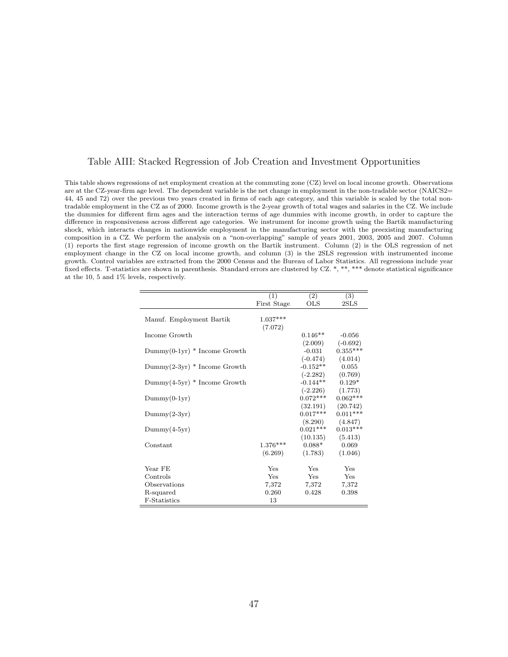#### Table AIII: Stacked Regression of Job Creation and Investment Opportunities

This table shows regressions of net employment creation at the commuting zone (CZ) level on local income growth. Observations are at the CZ-year-firm age level. The dependent variable is the net change in employment in the non-tradable sector (NAICS2= 44, 45 and 72) over the previous two years created in firms of each age category, and this variable is scaled by the total nontradable employment in the CZ as of 2000. Income growth is the 2-year growth of total wages and salaries in the CZ. We include the dummies for different firm ages and the interaction terms of age dummies with income growth, in order to capture the difference in responsiveness across different age categories. We instrument for income growth using the Bartik manufacturing shock, which interacts changes in nationwide employment in the manufacturing sector with the preexisting manufacturing composition in a CZ. We perform the analysis on a "non-overlapping" sample of years 2001, 2003, 2005 and 2007. Column (1) reports the first stage regression of income growth on the Bartik instrument. Column (2) is the OLS regression of net employment change in the CZ on local income growth, and column (3) is the 2SLS regression with instrumented income growth. Control variables are extracted from the 2000 Census and the Bureau of Labor Statistics. All regressions include year fixed effects. T-statistics are shown in parenthesis. Standard errors are clustered by CZ. \*, \*\*, \*\*\* denote statistical significance at the 10, 5 and 1% levels, respectively.

|                                | (1)         | (2)        | (3)        |
|--------------------------------|-------------|------------|------------|
|                                | First Stage | OLS        | 2SLS       |
|                                |             |            |            |
| Manuf. Employment Bartik       | $1.037***$  |            |            |
|                                | (7.072)     |            |            |
| Income Growth                  |             | $0.146**$  | $-0.056$   |
|                                |             | (2.009)    | $(-0.692)$ |
| $Dummy(0-1yr) * Income Growth$ |             | $-0.031$   | $0.355***$ |
|                                |             | $(-0.474)$ | (4.014)    |
| $Dummy(2-3yr) * Income Growth$ |             | $-0.152**$ | 0.055      |
|                                |             | $(-2.282)$ | (0.769)    |
| $Dummy(4-5yr) * Income Growth$ |             | $-0.144**$ | $0.129*$   |
|                                |             | $(-2.226)$ | (1.773)    |
| $Dummy(0-1yr)$                 |             | $0.072***$ | $0.062***$ |
|                                |             | (32.191)   | (20.742)   |
| $Dummy(2-3yr)$                 |             | $0.017***$ | $0.011***$ |
|                                |             | (8.290)    | (4.847)    |
| $Dummy(4-5yr)$                 |             | $0.021***$ | $0.013***$ |
|                                |             | (10.135)   | (5.413)    |
| Constant                       | $1.376***$  | $0.088*$   | 0.069      |
|                                | (6.269)     | (1.783)    | (1.046)    |
|                                |             |            |            |
| Year FE                        | Yes         | Yes        | Yes        |
| Controls                       | Yes         | <b>Yes</b> | Yes        |
| Observations                   | 7,372       | 7,372      | 7,372      |
| R-squared                      | 0.260       | 0.428      | 0.398      |
| F-Statistics                   | 13          |            |            |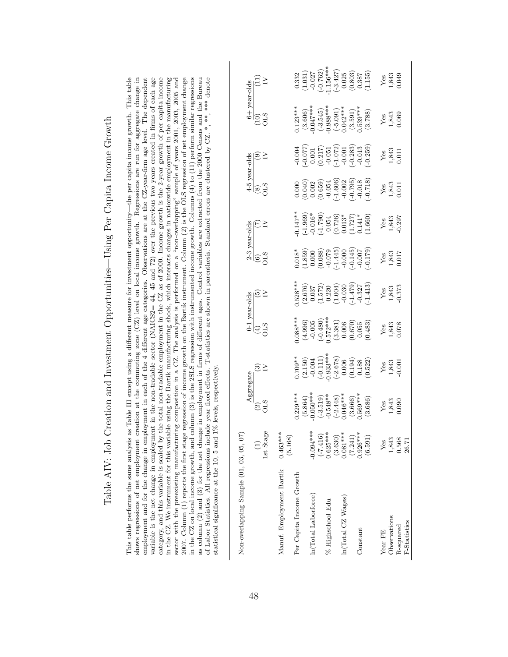| )<br>)<br>ì                     |
|---------------------------------|
|                                 |
| w Dow ( anto Incorpo ( rott     |
|                                 |
| í<br>)                          |
|                                 |
| $\vdots$<br>$\overline{1}$      |
|                                 |
|                                 |
| l                               |
| ľ                               |
|                                 |
|                                 |
|                                 |
| $\frac{1}{2}$                   |
|                                 |
|                                 |
|                                 |
| $\frac{1}{2}$                   |
| ,<br>,                          |
|                                 |
|                                 |
| l<br>j                          |
|                                 |
| $-1$                            |
|                                 |
|                                 |
|                                 |
|                                 |
|                                 |
|                                 |
|                                 |
| ł<br>I                          |
|                                 |
|                                 |
|                                 |
|                                 |
| Sept 2021                       |
| )<br> <br> <br>                 |
|                                 |
|                                 |
|                                 |
| )<br> <br>                      |
|                                 |
|                                 |
| りード                             |
|                                 |
| J                               |
| こうしょう こうこう こうしょう                |
|                                 |
|                                 |
| C<br>C<br>S<br>ł                |
| $\zeta$                         |
|                                 |
|                                 |
|                                 |
|                                 |
|                                 |
|                                 |
|                                 |
| $\frac{1}{2}$<br>I              |
|                                 |
|                                 |
| - + + + + + - - - + +<br>i<br>ſ |

shows regressions of net employment creation at the commuting zone  $(CZ)$  level on local income growth. Regressions are run for aggregate change in employment and for the change in employment in each of the 4 different age categories. Observations are at the CZ-year-firm age level. The dependent variable is the net change in employment in the non-tradable sector (NAI category, and this variable is scaled by the total non-tradable employment in the CZ as of 2000. Income growth is the 2-year growth of per capita income in the CZ on local income growth, and column (3) is the 2SLS regression with instrumented income growth. Columns (4) to (11) perform similar regressions This table performs the same analysis as Table III except using a different measure for investment opportunity—the per capita income growth. This table in the CZ. We instrument for this variable using the Bartik manufacturing shock, which interacts changes in nationwide employment in the manufacturing sector with the preexisting manufacturing composition in a CZ. The analysis is performed on a "non-overlapping" sample of years 2001, 2005 and 2007. Column (1) reports the first stage regression of income growth on the Bartik instrument. Column (2) is the OLS regression of net employment change as column (2) and (3) for the net change in employment in firms of different ages. Control variables are extracted from the 2000 Census and the Bureau of Labor Statistics. All regressions include year fixed effects. T-statistics are shown in parenthesis. Standard errors are clustered by CZ. \*, \*\*, \*\*\*\* denote This table performs the same analysis as Table III except using a different measure for investment opportunity—the per capita income growth. This table shows regressions of net employment creation at the commuting zone (CZ) level on local income growth. Regressions are run for aggregate change in employment and for the change in employment in each of the 4 different age categories. Observations are at the CZ-year-firm age level. The dependent variable is the net change in employment in the non-tradable sector (NAICS2=  $44, 45$  and  $72$ ) over the previous two years created in firms of each age category, and this variable is scaled by the total non-tradable employment in the CZ as of 2000. Income growth is the 2-year growth of per capita income in the CZ. We instrument for this variable using the Bartik manufacturing shock, which interacts changes in nationwide employment in the manufacturing sector with the preexisting manufacturing composition in a CZ. The analysis is performed on a "non-overlapping" sample of years 2001, 2005 and 2007. Column (1) reports the first stage regression of income growth on the Bartik instrument. Column (2) is the OLS regression of net employment change in the CZ on local income growth, and column (3) is the 2SLS regression with instrumented income growth. Columns (4) to (11) perform similar regressions as column (2) and (3) for the net change in employment in firms of different ages. Control variables are extracted from the 2000 Census and the Bureau of Labor Statistics. All regressions include year fixed effects. T-statistics are shown in parenthesis. Standard errors are clustered by CZ. \*, \*\*, \*\*\* denote statistical significance at the 10, 5 and 1% levels, respectively. statistical significance at the 10, 5 and 1% levels, respectively.

| Non-overlapping Sample (01, 03, 05, 07) |                       |                                                                                                                                    |                                                                                                                                                             |                                                                                                                       |                                                                                                                    |                                                                                                     |                                                                                                                     |                                                                                                                                                                                                                                                                                                     |                                                                                                                                  |                                                                                                                                                                                                       |                                                                                                                                    |
|-----------------------------------------|-----------------------|------------------------------------------------------------------------------------------------------------------------------------|-------------------------------------------------------------------------------------------------------------------------------------------------------------|-----------------------------------------------------------------------------------------------------------------------|--------------------------------------------------------------------------------------------------------------------|-----------------------------------------------------------------------------------------------------|---------------------------------------------------------------------------------------------------------------------|-----------------------------------------------------------------------------------------------------------------------------------------------------------------------------------------------------------------------------------------------------------------------------------------------------|----------------------------------------------------------------------------------------------------------------------------------|-------------------------------------------------------------------------------------------------------------------------------------------------------------------------------------------------------|------------------------------------------------------------------------------------------------------------------------------------|
|                                         |                       | Aggregate                                                                                                                          |                                                                                                                                                             |                                                                                                                       |                                                                                                                    |                                                                                                     |                                                                                                                     |                                                                                                                                                                                                                                                                                                     |                                                                                                                                  |                                                                                                                                                                                                       |                                                                                                                                    |
|                                         | 1st Stage             | $\widetilde{\mathrm{SL}}_{2}$                                                                                                      | ⊙≥                                                                                                                                                          | $\begin{array}{c} \text{0-1 years-olds} \\ \text{(4)} \\ \text{OLS} \\ \text{IV} \end{array}$                         |                                                                                                                    | $\begin{array}{l} \frac{2\text{-}3 \text{ year-olds}}{(6)} \\ \frac{(6)}{1\text{C}} \\ \end{array}$ |                                                                                                                     | $\begin{array}{c}\n 4-5 \text{ year-olds} \\  \hline\n (8) \\  \hline\n \text{OLS} \\  \text{I} \end{array}$                                                                                                                                                                                        |                                                                                                                                  | $\begin{array}{c} 6+{\rm\, year\mbox{-}olds}\\ (10)\qquad \qquad (11)\\ {\rm OLS} \qquad \qquad IV \end{array}$                                                                                       |                                                                                                                                    |
|                                         |                       |                                                                                                                                    |                                                                                                                                                             |                                                                                                                       |                                                                                                                    |                                                                                                     |                                                                                                                     |                                                                                                                                                                                                                                                                                                     |                                                                                                                                  |                                                                                                                                                                                                       |                                                                                                                                    |
| Manuf. Employment Bartik                | $0.463***$<br>(5.168) |                                                                                                                                    |                                                                                                                                                             |                                                                                                                       |                                                                                                                    |                                                                                                     |                                                                                                                     |                                                                                                                                                                                                                                                                                                     |                                                                                                                                  |                                                                                                                                                                                                       |                                                                                                                                    |
| Per Capita Income Growth                |                       |                                                                                                                                    |                                                                                                                                                             |                                                                                                                       |                                                                                                                    |                                                                                                     |                                                                                                                     |                                                                                                                                                                                                                                                                                                     |                                                                                                                                  |                                                                                                                                                                                                       |                                                                                                                                    |
|                                         |                       | $0.229***$<br>$(5.864)$<br>$(0.564)$<br>$(-3.519)$<br>$(-3.519)$<br>$(-2.448)$<br>$(3.666)$<br>$(3.666)$<br>$(3.666)$<br>$(3.686)$ | $\begin{array}{l} 0.709^{**} \\ (2.150) \\ -0.004 \\ -0.111) \\ 0.933^{**} \\ (-2.678) \\ (-2.678) \\ (0.194) \\ (0.194) \\ (0.198) \\ (0.522) \end{array}$ |                                                                                                                       | $0.528**$<br>$(2.676)$<br>$(0.037)$<br>$(1.572)$<br>$(1.572)$<br>$(1.004)$<br>$(1.004)$<br>$(1.479)$<br>$(-1.473)$ | 0.018*<br>(1.859)<br>(0.000,000)<br>(300,000)<br>(0.000,000)<br>(0.1145)<br>(0.000)                 |                                                                                                                     | $\begin{array}{l} 0.000 \\ 0.001 \\ 0.002 \\ 0.003 \\ 0.004 \\ 0.003 \\ 0.004 \\ 0.002 \\ 0.003 \\ 0.000 \\ 0.000 \\ 0.000 \\ 0.000 \\ 0.000 \\ 0.000 \\ 0.000 \\ 0.000 \\ 0.000 \\ 0.000 \\ 0.000 \\ 0.000 \\ 0.000 \\ 0.000 \\ 0.000 \\ 0.000 \\ 0.000 \\ 0.000 \\ 0.000 \\ 0.000 \\ 0.000 \\ 0.$ | $-0.004$<br>$-0.077$<br>$-0.017$<br>$-0.051$<br>$-0.051$<br>$-0.072$<br>$-0.001$<br>$-0.003$<br>$-0.013$<br>$-0.013$<br>$-0.013$ | $\begin{array}{l} .122^{***} \\ (3.606) \\ (3.606) \\ (-3.545) \\ (-5.093^{***}) \\ (-5.091) \\ (0.042^{***}) \\ (0.591) \\ (3.591) \\ (3.591^{***}) \\ (3.592) \\ (3.788) \\ (3.788) \\ \end{array}$ |                                                                                                                                    |
| ln(Total Laborforce)                    | $-0.094***$           |                                                                                                                                    |                                                                                                                                                             |                                                                                                                       |                                                                                                                    |                                                                                                     |                                                                                                                     |                                                                                                                                                                                                                                                                                                     |                                                                                                                                  |                                                                                                                                                                                                       |                                                                                                                                    |
|                                         | $(-7.416)$            |                                                                                                                                    |                                                                                                                                                             |                                                                                                                       |                                                                                                                    |                                                                                                     |                                                                                                                     |                                                                                                                                                                                                                                                                                                     |                                                                                                                                  |                                                                                                                                                                                                       |                                                                                                                                    |
| % Highschool Edu                        | $0.625***$            |                                                                                                                                    |                                                                                                                                                             |                                                                                                                       |                                                                                                                    |                                                                                                     |                                                                                                                     |                                                                                                                                                                                                                                                                                                     |                                                                                                                                  |                                                                                                                                                                                                       |                                                                                                                                    |
|                                         | (3.630)               |                                                                                                                                    |                                                                                                                                                             |                                                                                                                       |                                                                                                                    |                                                                                                     |                                                                                                                     |                                                                                                                                                                                                                                                                                                     |                                                                                                                                  |                                                                                                                                                                                                       |                                                                                                                                    |
| In(Total CZ Wages)                      | $0.081***$            |                                                                                                                                    |                                                                                                                                                             |                                                                                                                       |                                                                                                                    |                                                                                                     |                                                                                                                     |                                                                                                                                                                                                                                                                                                     |                                                                                                                                  |                                                                                                                                                                                                       |                                                                                                                                    |
|                                         | (7.241)               |                                                                                                                                    |                                                                                                                                                             |                                                                                                                       |                                                                                                                    |                                                                                                     |                                                                                                                     |                                                                                                                                                                                                                                                                                                     |                                                                                                                                  |                                                                                                                                                                                                       |                                                                                                                                    |
| Constant                                | $0.926***$            |                                                                                                                                    |                                                                                                                                                             |                                                                                                                       |                                                                                                                    |                                                                                                     |                                                                                                                     |                                                                                                                                                                                                                                                                                                     |                                                                                                                                  |                                                                                                                                                                                                       |                                                                                                                                    |
|                                         | (6.591)               |                                                                                                                                    |                                                                                                                                                             | $0.088**$<br>$(-4.996)$<br>$(-0.005)$<br>$(-0.480)$<br>$(-3.381)$<br>$(3.381)$<br>$(0.670)$<br>$(0.670)$<br>$(0.655)$ |                                                                                                                    |                                                                                                     | $(1.147$<br>$(-1.969)$<br>$(-1.790)$<br>$(-1.790)$<br>$(0.054)$<br>$(0.726)$<br>$(1.727)$<br>$(1.727)$<br>$(1.41$ * |                                                                                                                                                                                                                                                                                                     |                                                                                                                                  |                                                                                                                                                                                                       | $\begin{array}{c} 0.332 \\ (1.031) \\ -0.027 \\ (-0.762) \\ 1.156^{**} \\ (-3.427) \\ (0.025) \\ (0.803) \\ 0.0307 \\ \end{array}$ |
|                                         |                       |                                                                                                                                    |                                                                                                                                                             |                                                                                                                       |                                                                                                                    |                                                                                                     |                                                                                                                     |                                                                                                                                                                                                                                                                                                     |                                                                                                                                  |                                                                                                                                                                                                       |                                                                                                                                    |
| Year FE                                 | Ýes                   |                                                                                                                                    |                                                                                                                                                             |                                                                                                                       |                                                                                                                    |                                                                                                     |                                                                                                                     |                                                                                                                                                                                                                                                                                                     |                                                                                                                                  |                                                                                                                                                                                                       |                                                                                                                                    |
| Observations                            | 1,843                 | $Y_{68}$<br>$1,843$<br>$0.090$                                                                                                     | $Yes$<br>$1,843$<br>$-0.001$                                                                                                                                | $Yes$<br>$1,843$<br>$0.078$                                                                                           | $Yes$<br>$1,843$<br>$-0.373$                                                                                       | $Y_{.843}^{68}$<br>1,843<br>0.017                                                                   | $\frac{\text{Yes}}{1,843}$<br>$-0.297$                                                                              | $Y_{.843}^{es}$<br>$1,843$<br>$0.011$                                                                                                                                                                                                                                                               | $Y_{.843}^{es}$<br>$1,843$<br>$0.011$                                                                                            | $Yes$<br>$1,843$<br>$0.069$                                                                                                                                                                           | $Y_{.843}$<br>$1,843$<br>$0.049$                                                                                                   |
| R-squared                               | 0.568                 |                                                                                                                                    |                                                                                                                                                             |                                                                                                                       |                                                                                                                    |                                                                                                     |                                                                                                                     |                                                                                                                                                                                                                                                                                                     |                                                                                                                                  |                                                                                                                                                                                                       |                                                                                                                                    |

F-Statistics 26.71

F-Statistics

26.71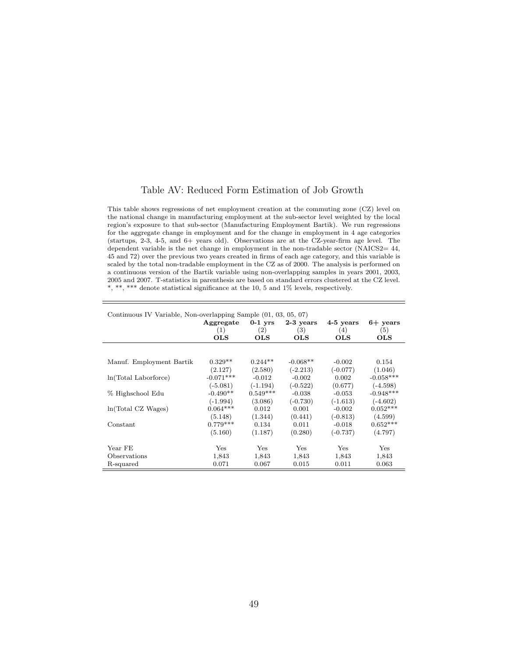#### Table AV: Reduced Form Estimation of Job Growth

This table shows regressions of net employment creation at the commuting zone (CZ) level on the national change in manufacturing employment at the sub-sector level weighted by the local region's exposure to that sub-sector (Manufacturing Employment Bartik). We run regressions for the aggregate change in employment and for the change in employment in 4 age categories (startups, 2-3, 4-5, and 6+ years old). Observations are at the CZ-year-firm age level. The dependent variable is the net change in employment in the non-tradable sector (NAICS2= 44, 45 and 72) over the previous two years created in firms of each age category, and this variable is scaled by the total non-tradable employment in the CZ as of 2000. The analysis is performed on a continuous version of the Bartik variable using non-overlapping samples in years 2001, 2003, 2005 and 2007. T-statistics in parenthesis are based on standard errors clustered at the CZ level.  $^*,$   $^{**},$   $^{***}$  denote statistical significance at the 10, 5 and 1% levels, respectively.

| Continuous IV Variable, Non-overlapping Sample (01, 03, 05, 07) |              |            |             |            |              |
|-----------------------------------------------------------------|--------------|------------|-------------|------------|--------------|
|                                                                 | Aggregate    | $0-1$ yrs  | $2-3$ years | 4-5 years  | $6+$ years   |
|                                                                 | (1)          | (2)        | (3)         | (4)        | (5)          |
|                                                                 | $_{\rm OLS}$ | <b>OLS</b> | <b>OLS</b>  | <b>OLS</b> | <b>OLS</b>   |
|                                                                 |              |            |             |            |              |
| Manuf. Employment Bartik                                        | $0.329**$    | $0.244**$  | $-0.068**$  | $-0.002$   | 0.154        |
|                                                                 | (2.127)      | (2.580)    | $(-2.213)$  | $(-0.077)$ | (1.046)      |
| ln(Total Laborforce)                                            | $-0.071***$  | $-0.012$   | $-0.002$    | 0.002      | $-0.058***$  |
|                                                                 | $(-5.081)$   | (-1.194)   | $(-0.522)$  | (0.677)    | $(-4.598)$   |
| % Highschool Edu                                                | $-0.490**$   | $0.549***$ | $-0.038$    | $-0.053$   | $-0.948***$  |
|                                                                 | $(-1.994)$   | (3.086)    | $(-0.730)$  | $(-1.613)$ | $(-4.602)$   |
| ln(Total CZ Wages)                                              | $0.064***$   | 0.012      | 0.001       | $-0.002$   | $0.052***$   |
|                                                                 | (5.148)      | (1.344)    | (0.441)     | $(-0.813)$ | (4.599)      |
| Constant                                                        | $0.779***$   | 0.134      | 0.011       | $-0.018$   | $0.652***$   |
|                                                                 | (5.160)      | (1.187)    | (0.280)     | $(-0.737)$ | (4.797)      |
| Year FE                                                         | Yes          | Yes        | Yes         | Yes        | $_{\rm Yes}$ |
| Observations                                                    | 1,843        | 1,843      | 1,843       | 1,843      | 1,843        |
| R-squared                                                       | 0.071        | 0.067      | 0.015       | 0.011      | 0.063        |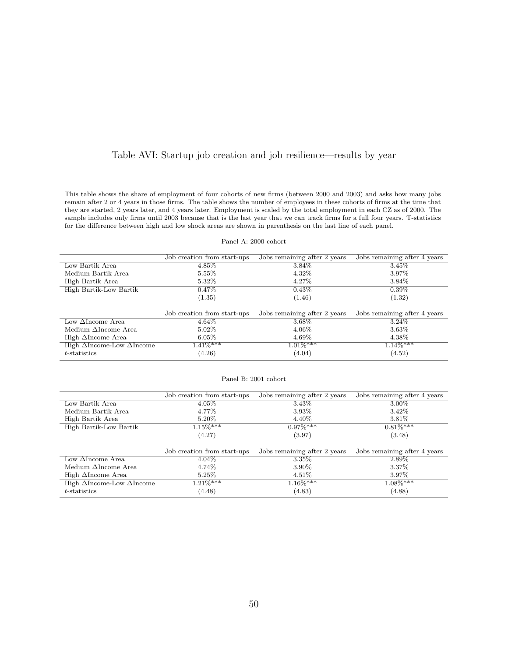## Table AVI: Startup job creation and job resilience—results by year

This table shows the share of employment of four cohorts of new firms (between 2000 and 2003) and asks how many jobs remain after 2 or 4 years in those firms. The table shows the number of employees in these cohorts of firms at the time that they are started, 2 years later, and 4 years later. Employment is scaled by the total employment in each CZ as of 2000. The sample includes only firms until 2003 because that is the last year that we can track firms for a full four years. T-statistics for the difference between high and low shock areas are shown in parenthesis on the last line of each panel.

#### Panel A: 2000 cohort

|                                          | Job creation from start-ups | Jobs remaining after 2 years | Jobs remaining after 4 years |
|------------------------------------------|-----------------------------|------------------------------|------------------------------|
| Low Bartik Area                          | $4.85\%$                    | 3.84\%                       | 3.45%                        |
| Medium Bartik Area                       | $5.55\%$                    | 4.32\%                       | 3.97%                        |
| High Bartik Area                         | $5.32\%$                    | 4.27\%                       | 3.84\%                       |
| High Bartik-Low Bartik                   | $0.47\%$                    | $0.43\%$                     | $0.39\%$                     |
|                                          | (1.35)                      | (1.46)                       | (1.32)                       |
|                                          |                             |                              |                              |
|                                          | Job creation from start-ups | Jobs remaining after 2 years | Jobs remaining after 4 years |
| Low $\Delta$ Income Area                 | $4.64\%$                    | 3.68%                        | 3.24\%                       |
| Medium $\Delta$ Income Area              | $5.02\%$                    | $4.06\%$                     | 3.63%                        |
| High $\Delta$ Income Area                | $6.05\%$                    | $4.69\%$                     | 4.38%                        |
| High $\Delta$ Income-Low $\Delta$ Income | $1.41\%***$                 | $1.01\%***$                  | $1.14\%***$                  |
| $t$ -statistics                          | (4.26)                      | (4.04)                       | (4.52)                       |

#### Panel B: 2001 cohort

|                                          | Job creation from start-ups | Jobs remaining after 2 years | Jobs remaining after 4 years |
|------------------------------------------|-----------------------------|------------------------------|------------------------------|
| Low Bartik Area                          | $4.05\%$                    | 3.43\%                       | 3.00%                        |
| Medium Bartik Area                       | 4.77%                       | 3.93%                        | 3.42\%                       |
| High Bartik Area                         | 5.20\%                      | $4.40\%$                     | $3.81\%$                     |
| High Bartik-Low Bartik                   | $1.15\%***$                 | $0.97\%***$                  | $0.81\%***$                  |
|                                          | (4.27)                      | (3.97)                       | (3.48)                       |
|                                          |                             |                              |                              |
|                                          | Job creation from start-ups | Jobs remaining after 2 years | Jobs remaining after 4 years |
| Low $\Delta$ Income Area                 | $4.04\%$                    | $3.35\%$                     | 2.89%                        |
| Medium $\Delta$ Income Area              | 4.74%                       | 3.90%                        | 3.37\%                       |
| High $\Delta$ Income Area                | $5.25\%$                    | $4.51\%$                     | 3.97%                        |
| High $\Delta$ Income-Low $\Delta$ Income | $1.21\%***$                 | $1.16\%***$                  | $1.08\%***$                  |
| $t$ -statistics                          | (4.48)                      | (4.83)                       | (4.88)                       |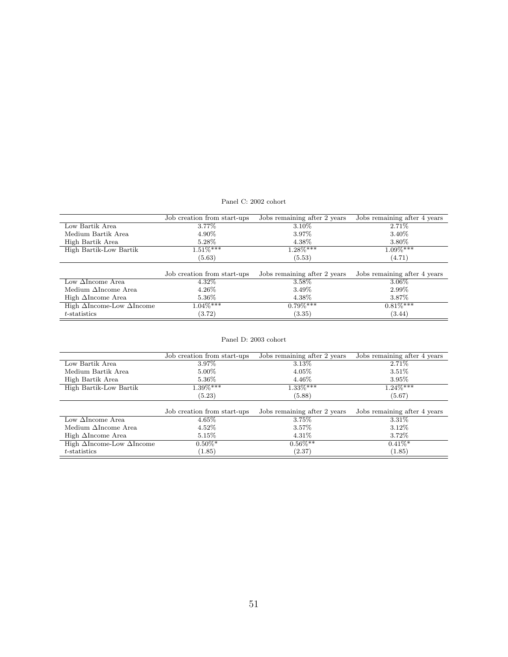#### Panel C: 2002 cohort

|                                          | Job creation from start-ups | Jobs remaining after 2 years | Jobs remaining after 4 years |
|------------------------------------------|-----------------------------|------------------------------|------------------------------|
| Low Bartik Area                          | 3.77%                       | 3.10\%                       | 2.71\%                       |
| Medium Bartik Area                       | 4.90%                       | 3.97%                        | 3.40\%                       |
| High Bartik Area                         | $5.28\%$                    | $4.38\%$                     | $3.80\%$                     |
| High Bartik-Low Bartik                   | $1.51\%***$                 | $1.28\%***$                  | $1.09\%***$                  |
|                                          | (5.63)                      | (5.53)                       | (4.71)                       |
|                                          |                             |                              |                              |
|                                          |                             |                              |                              |
|                                          | Job creation from start-ups | Jobs remaining after 2 years | Jobs remaining after 4 years |
| Low $\Delta$ Income Area                 | $4.32\%$                    | $3.58\%$                     | $3.06\%$                     |
| Medium $\Delta$ Income Area              | $4.26\%$                    | 3.49\%                       | 2.99%                        |
| High $\Delta$ Income Area                | $5.36\%$                    | 4.38%                        | $3.87\%$                     |
| High $\Delta$ Income-Low $\Delta$ Income | $1.04\%***$                 | $0.79\%***$                  | $0.81\%$ ***                 |

#### Panel D: 2003 cohort

 $\equiv$ 

|                                          | Job creation from start-ups | Jobs remaining after 2 years | Jobs remaining after 4 years |
|------------------------------------------|-----------------------------|------------------------------|------------------------------|
| Low Bartik Area                          | 3.97%                       | 3.13\%                       | 2.71\%                       |
| Medium Bartik Area                       | $5.00\%$                    | $4.05\%$                     | $3.51\%$                     |
| High Bartik Area                         | 5.36\%                      | $4.46\%$                     | $3.95\%$                     |
| High Bartik-Low Bartik                   | $1.39\%***$                 | $1.33\%***$                  | $1.24\%***$                  |
|                                          | (5.23)                      | (5.88)                       | (5.67)                       |
|                                          |                             |                              |                              |
|                                          | Job creation from start-ups | Jobs remaining after 2 years | Jobs remaining after 4 years |
| Low $\Delta$ Income Area                 | $4.65\%$                    | $3.75\%$                     | $3.31\%$                     |
| Medium $\Delta$ Income Area              | $4.52\%$                    | $3.57\%$                     | $3.12\%$                     |
| High $\Delta$ Income Area                | $5.15\%$                    | $4.31\%$                     | 3.72\%                       |
| High $\Delta$ Income-Low $\Delta$ Income | $0.50\%$ *                  | $0.56\%**$                   | $0.41\%$ *                   |

t-statistics (1.85) (2.37) (1.85)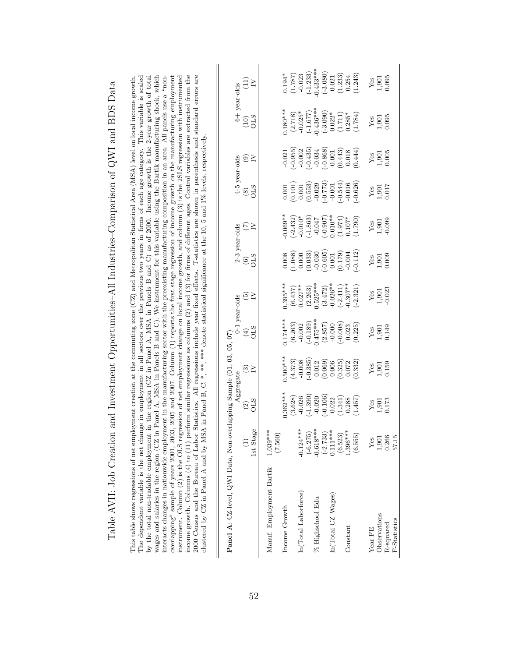| income growth. Columns (4) to (11) perform similar regressions as columns (2) and (3) for firms of different ages. Control variables are extracted from the<br>2000 Census and the Bureau of Labor Statistics. All regressions include year fixed effects. T-statistics are shown in parenthesis and standard errors are<br>wages and salaries in the region (CZ in Panel A, MSA in Panels B and C). We instrument for this variable using the Bartik manufacturing shock, which<br>instrument. Column (2) is the OLS regression of net employment change on local income growth, and column (3) is the 2SLS regression with instrumented<br>The dependent variable is the net change in employment in all sectors over the previous two years in firms of each age category. This variable is scaled<br>interacts changes in nationwide employment in the manufacturing sector with the preexisting manufacturing composition in an area. All panels use a "non-<br>overlapping" sample of years 2001, 2005, 2005 and 2007. Column $(1)$ reports the first stage regression of income growth on the manufacturing employment<br>by the total non-tradable employment in the region (CZ in Panel A, MSA in Panels B and C) as of 2000. Income growth is the 2-year growth of total<br>This table shows regressions of net employment creation at the commuting zone $(CZ)$ and Metropolitan Statistical Area (MSA) level on local income growth.<br>clustered by CZ in Panel A and by MSA in Panel B, C. *, **, *** denote statistical significance at the 10, 5 and 1% levels, respectively | $\widehat{\Xi}$<br>6+ year-olds<br><b>STO</b><br>(10)<br>4-5 year-olds<br>⊚≥<br>GIS<br>$\circledast$<br>2-3 year-olds<br>EΣ<br><b>GIO</b><br>$\widehat{\circ}$<br>⊙≥<br>0-1 year-olds<br><b>GIS</b><br>E<br>$\widetilde{C}$<br>Panel A: CZ-level, QWI Data, Non-overlapping Sample (01, 03, 05,<br>⊛≥<br>Aggregate<br><b>CLS</b><br>$\widehat{\mathfrak{D}}$<br>1st Stage | $-0.433***$<br>$(-3.080)$<br>$(-1.233)$<br>$0.194*$<br>(1.787)<br>(1.233)<br>$-0.023$<br>(1.243)<br>0.254<br>0.021<br>$-0.436***$<br>$0.180***$<br>$-0.025*$<br>$(-3.090)$<br>$(-1.677)$<br>$0.022*$<br>(2.718)<br>$0.285*$<br>(1.711)<br>(1.784)<br>$(-0.435)$<br>$(-0.868)$<br>$(-0.955)$<br>$\begin{array}{c} (0.443) \\ 0.018 \end{array}$<br>(0.444)<br>$-0.002$<br>$-0.034$<br>$-0.021$<br>0.001<br>$(-0.544)$<br>$(-0.773)$<br>$(-0.626)$<br>$-0.016$<br>$\begin{array}{c} (0.101) \ 0.001 \ 0.553) \end{array}$<br>$-0.029$<br>$-0.001$<br>0.001<br>$0.069***$<br>$0.010**$<br>$-0.010*$<br>$(-1.863)$<br>$(-2.432)$<br>$(-0.907)$<br>(1.974)<br>$-0.047$<br>(1.790)<br>$0.107*$<br>$-0.605$<br>$(-0.112)$<br>(0.179)<br>$-0.004$<br>(1.088)<br>(0.033)<br>$-0.030$<br>0.008<br>0.000<br>0.001<br>$0.395***$<br>$0.525***$<br>$-0.026**$<br>$0.307**$<br>$(-2.321)$<br>$(-2.411)$<br>$0.027**$<br>(3.472)<br>(6.437)<br>(2.263)<br>$0.174***$<br>$0.475***$<br>$(-0.189)$<br>(2.857)<br>$(-0.008)$<br>(6.263)<br>$-0.002$<br>$-0.000$<br>(0.225)<br>0.023<br>$0.500***$<br>$(-0.385)$<br>(4.373)<br>(0.069)<br>$-0.008$<br>(0.325)<br>(0.332)<br>0.012<br>0.006<br>0.072<br>$0.362***$<br>$(-1.390)$<br>$(-0.106)$<br>$-0.020$<br>(1.341)<br>(3.628)<br>(1.457)<br>$-0.026$<br>0.022<br>0.288<br>$-0.124***$<br>$(-6.275)$<br>-0.618***<br>$1.039***$<br>$(-2.733)$<br>0.111***<br>$(6.523)$<br>1.396***<br>(7.560)<br>(6.555) | 0.095<br>1,901<br>Yes<br>0.095<br>1,901<br>${\rm Yes}$<br>0.005<br>1,901<br>${\rm Yes}$<br>0.017<br>1,901<br>${\rm Yes}$<br>$-0.099$<br>1,901<br>${\rm Yes}$<br>0.009<br>1,901<br>Yes<br>$-0.023$<br>1,901<br>${\rm Yes}$<br>0.149<br>1,901<br>${\rm Yes}$<br>1,901<br>0.159<br>Yes<br>1,901<br>0.173<br>${\rm Yes}$<br>Yes<br>1,901<br>0.266 |
|----------------------------------------------------------------------------------------------------------------------------------------------------------------------------------------------------------------------------------------------------------------------------------------------------------------------------------------------------------------------------------------------------------------------------------------------------------------------------------------------------------------------------------------------------------------------------------------------------------------------------------------------------------------------------------------------------------------------------------------------------------------------------------------------------------------------------------------------------------------------------------------------------------------------------------------------------------------------------------------------------------------------------------------------------------------------------------------------------------------------------------------------------------------------------------------------------------------------------------------------------------------------------------------------------------------------------------------------------------------------------------------------------------------------------------------------------------------------------------------------------------------------------------------------------------------------------------------------|---------------------------------------------------------------------------------------------------------------------------------------------------------------------------------------------------------------------------------------------------------------------------------------------------------------------------------------------------------------------------|----------------------------------------------------------------------------------------------------------------------------------------------------------------------------------------------------------------------------------------------------------------------------------------------------------------------------------------------------------------------------------------------------------------------------------------------------------------------------------------------------------------------------------------------------------------------------------------------------------------------------------------------------------------------------------------------------------------------------------------------------------------------------------------------------------------------------------------------------------------------------------------------------------------------------------------------------------------------------------------------------------------------------------------------------------------------------------------------------------------------------------------------------------------------------------------------------------------------------------------------------------------------------------------------------------------------------------------------------------------------------------------------------------------------------------------|-----------------------------------------------------------------------------------------------------------------------------------------------------------------------------------------------------------------------------------------------------------------------------------------------------------------------------------------------|
|                                                                                                                                                                                                                                                                                                                                                                                                                                                                                                                                                                                                                                                                                                                                                                                                                                                                                                                                                                                                                                                                                                                                                                                                                                                                                                                                                                                                                                                                                                                                                                                              |                                                                                                                                                                                                                                                                                                                                                                           | Manuf. Employment Bartik<br>In(Total Laborforce)<br>In(Total CZ Wages)<br>$\%$ Highschool Edu<br>Income Growth<br>Constant                                                                                                                                                                                                                                                                                                                                                                                                                                                                                                                                                                                                                                                                                                                                                                                                                                                                                                                                                                                                                                                                                                                                                                                                                                                                                                             | Observations<br>R-squared<br>Year FE                                                                                                                                                                                                                                                                                                          |

Table AVII: Job Creation and Investment Opportunities-All Industries-Comparison of QWI and BDS Data Table AVII: Job Creation and Investment Opportunities–All Industries–Comparison of QWI and BDS Data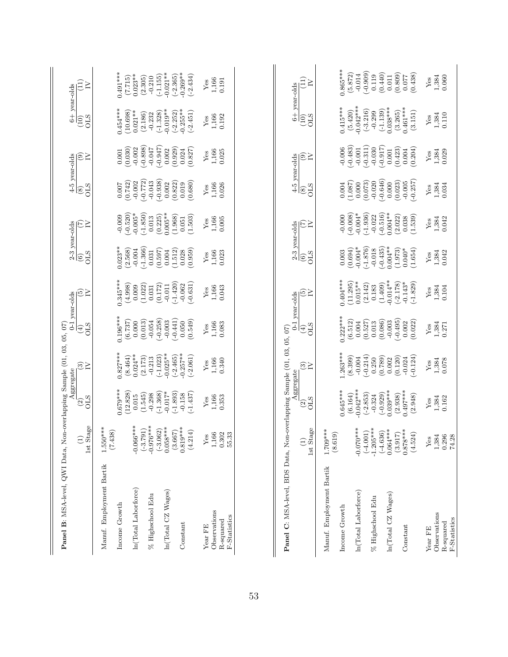| Panel B: MSA-level, QWI Data, Non-overlapping Sample (01, 03, 05, 07) |                                                                |                                      |                                          |                                            |                                       |                                      |                             |                                              |                             |                                               |                             |
|-----------------------------------------------------------------------|----------------------------------------------------------------|--------------------------------------|------------------------------------------|--------------------------------------------|---------------------------------------|--------------------------------------|-----------------------------|----------------------------------------------|-----------------------------|-----------------------------------------------|-----------------------------|
|                                                                       | 1st Stage<br>$\widehat{E}$                                     | <b>CLS</b><br>$\odot$                | $\mathfrak{S}_{\mathbf{N}}$<br>Aggregate | <b>CLS</b><br>$\bigoplus$                  | তি≍<br>$0-1$ year-olds                | <b>CLS</b><br>$\odot$                | E≍<br>2-3 year-olds         | 4-5 year-olds<br><b>CLS</b><br>$\circledast$ | $\widehat{\mathfrak{S}}$    | 6+ year-olds<br><b>OLS</b><br>$\overline{10}$ | (11)<br>≧                   |
| Manuf. Employment Bartik<br>Income Growth                             | $1.550***$<br>(7.438)                                          | $0.679***$                           | $0.827***$                               | $0.196***$                                 | $0.345***$                            | $0.023**$                            | $-0.009$                    | 0.007                                        | 0.001                       | $0.454***$                                    | $0.491***$                  |
|                                                                       |                                                                | (12.828)                             | (8.464)                                  | (6.737)                                    | (4.998)                               | (2.568)                              | $(-0.520)$                  | (0.742)                                      | (0.030)                     | (10.698)                                      | (7.715)                     |
| In(Total Laborforce)                                                  | $-0.066***$<br>$(-3.791)$<br>-0.976***                         | (1.545)<br>0.015                     | $0.024**$<br>(2.173)                     | (0.013)<br>0.000                           | (1.022)<br>0.009                      | $(-1.366)$<br>$-0.004$               | $(-1.850)$<br>$-0.005*$     | $(-0.772)$<br>$-0.002$                       | $(-0.898)$<br>$-0.002$      | $0.021***$<br>(2.186)                         | $0.023**$<br>(2.305)        |
| % Highschool Edu                                                      |                                                                | $(-1.368)$<br>$-0.298$               | $(-1.023)$<br>$-0.213$                   | $(-0.258)$<br>$-0.054$                     | (0.172)<br>0.031                      | (0.597)<br>0.031                     | (0.225)<br>0.013            | $(-0.938)$<br>$-0.043$                       | $-0.947$<br>$-0.047$        | $(-1.328)$<br>$-0.232$                        | $(-1.155)$<br>$-0.210$      |
| In(Total CZ Wages)                                                    | $\begin{array}{c} (-3.062) \\ 0.058*** \end{array}$<br>(3.667) | $-0.017*$                            | $0.025**$<br>$(-2.465)$                  | $(-0.441)$<br>$-0.003$                     | $(-1.420)$<br>$-0.011$                | (1.512)<br>0.004                     | $0.005**$<br>(1.968)        | (0.822)<br>0.002                             | (0.929)<br>0.002            | $-0.019**$<br>$(-2.252)$                      | $-0.021**$<br>$(-2.365)$    |
| Constant                                                              | $0.819***$<br>(4.214)                                          | $(-1.893)$<br>$(-1.437)$<br>$-0.158$ | $0.257***$<br>$(-2.061)$                 | (0.549)<br>0.050                           | $(-0.631)$<br>$-0.062$                | (0.959)<br>0.028                     | (1.503)<br>0.051            | (0.680)<br>0.019                             | (0.827)<br>0.024            | $-0.255**$<br>$(-2.451)$                      | $-0.269**$<br>$(-2.434)$    |
| Observations<br>Year FE                                               | 1,166<br>$Y$ es                                                | 1,166<br>$Y$ es                      | 1,166<br>Yes                             | 1,166<br>Yes                               | 1,166<br>${\rm Yes}$                  | 1,166<br>$Y$ es                      | 1,166<br>Yes                | 1,166<br>$Y$ es                              | 1,166<br>$Y$ es             | 1,166<br>$Y$ es                               | 1,166<br>$Y$ es             |
| F-Statistics<br>R-squared                                             | 0.302<br>55.33                                                 | 0.353                                | 0.340                                    | 0.083                                      | 0.043                                 | 0.023                                | 0.005                       | 0.026                                        | 0.025                       | 0.192                                         | 0.191                       |
|                                                                       |                                                                |                                      |                                          |                                            |                                       |                                      |                             |                                              |                             |                                               |                             |
| Panel C: MSA-level, BDS Data, Non-overlapping Sample (01, 03, 05, 07) |                                                                | Aggregate                            |                                          |                                            | 0-1 year-olds                         | 2-3 year-olds                        |                             | 4-5 year-olds                                |                             | $6+$ year-olds                                |                             |
|                                                                       | 1st Stage<br>$\widehat{\Xi}$                                   | <b>OLS</b><br>$\widehat{c}$          | $\mathfrak{S}_{\Sigma}$                  | <b>CLS</b><br>$\left(\ddot{\theta}\right)$ | $\widetilde{\varepsilon}$             | <b>OLS</b><br>$\widehat{\mathbf{e}}$ | E<br>E                      | <b>OLS</b><br>$\circledast$                  | $\widehat{\mathfrak{S}}$    | <b>CLS</b><br>(10)                            | $(11)$<br>≧                 |
| Manuf. Employment Bartik                                              | $1.709***$<br>(8.619)                                          |                                      |                                          |                                            |                                       |                                      |                             |                                              |                             |                                               |                             |
| Income Growth                                                         |                                                                | $0.645***$<br>(6.164)                | $1.263***$<br>(8.399)                    | $0.222***$<br>(6.512)                      | $0.404***$<br>(11.295)                | (0.694)<br>0.003                     | $(-0.008)$<br>$-0.000$      | (1.087)<br>0.004                             | $(-0.483)$<br>$-0.006$      | $0.415***$<br>(5.420)                         | $0.865***$<br>(5.872)       |
| In(Total Laborforce)                                                  | $-0.070**$<br>$(-4.001)$                                       | $-0.042***$<br>$(-2.853)$            | $(-0.214)$<br>$-0.004$                   | (0.527)<br>0.004                           | $0.015**$<br>(2.142)                  | $-0.004*$<br>$(-1.876)$              | $-0.004*$<br>$(-1.936)$     | (0.073)<br>0.000                             | $(-0.311)$<br>$-0.001$      | $-0.042***$<br>$(-3.216)$                     | $(-0.909)$<br>$-0.014$      |
| % Highschool Edu                                                      | $-1.205**$                                                     | $(-0.929)$<br>$-0.324$               | 0.250                                    | (0.086)<br>0.013                           | (1.409)<br>0.183                      | $(-0.435)$<br>$-0.018$               | $(-0.516)$<br>$-0.022$      | $(-0.646)$<br>$-0.020$                       | $(710.0 -$<br>$-0.030$      | $(-1.139)$<br>$-0.299$                        | (0.440)<br>0.119            |
| $ln(Total$ CZ Wages)                                                  | $0.064***$<br>$(-4.636)$                                       | $0.039***$                           | (0.789)<br>0.002                         | $-0.003$                                   | $0.014**$                             | $0.004***$                           | $0.004**$                   | 0.000                                        | 0.001                       | $0.038***$                                    | 0.011                       |
| Constant                                                              | $0.878***$<br>(3.917)<br>(4.524)                               | $0.497***$<br>(2.938)<br>(2.948)     | $-0.124$<br>(0.120)<br>$-0.024$          | $(-0.495)$<br>(0.022)<br>0.002             | $(-2.178)$<br>$(-1.829)$<br>$-0.143*$ | (1.973)<br>$0.040*$<br>(1.654)       | (2.022)<br>(1.539)<br>0.038 | $(-0.257)$<br>(0.023)<br>$-0.005$            | (0.423)<br>(0.204)<br>0.004 | $0.461***$<br>(3.265)<br>(3.151)              | (0.809)<br>(0.438)<br>0.077 |
| Year FE                                                               | Yes                                                            | $Y$ es                               | Yes                                      | ${\rm Yes}$                                | Yes                                   | Yes                                  | Yes                         | Yes                                          | Yes                         | Yes                                           | $Y$ es                      |
| Observations<br>F-Statistics<br>R-squared                             | 1,384<br>0.296<br>74.28                                        | 1,384<br>0.162                       | 1,384<br>0.078                           | 1,384<br>0.271                             | 0.104<br>1,384                        | 0.042<br>1,384                       | 0.042<br>1,384              | 0.034<br>1,384                               | 1,384<br>0.029              | 0.110<br>1,384                                | 0.060<br>1,384              |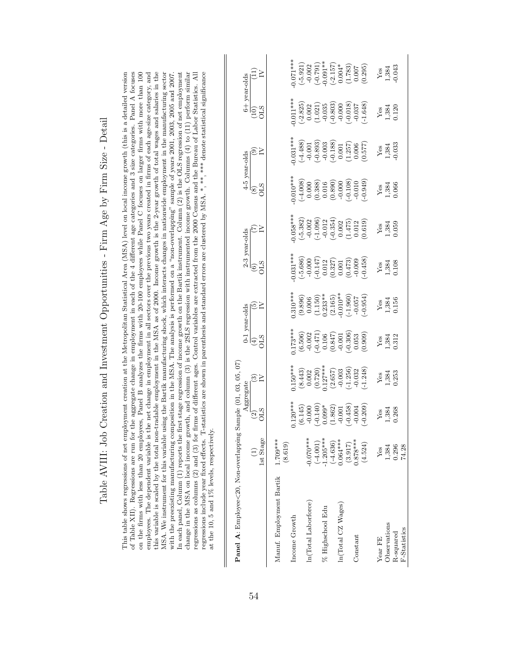| Ì<br>I                                               |
|------------------------------------------------------|
| )<br> <br> <br> <br> <br>$\sim$ $\sim$ $\sim$ $\sim$ |
| ļ                                                    |
| ,<br>,                                               |
| I                                                    |
| $\sim$                                               |
| l                                                    |
|                                                      |
| i<br>I                                               |
| ا<br>ا                                               |
|                                                      |
| $\frac{1}{2}$<br>į<br> <br> <br>                     |
|                                                      |
|                                                      |
| $\frac{1}{2}$                                        |
|                                                      |
| うり                                                   |
|                                                      |
|                                                      |
|                                                      |
| $\ddot{\phantom{0}}$<br>$\frac{1}{2}$                |

This table shows regressions of net employment creation at the Metropolitan Statistical Area (MSA) level on local income growth (this is a detailed version employees. The dependent variable is the net change in employment in all sectors over the previous two years created in firms of each age-size category, and this variable is scaled by the total non-tradable employment in the MSA as of 2000. Income growth is the 2-year growth of total wages and salaries in the In each panel, Column (1) reports the first stage regression of income growth on the Bartik instrument. Column (2) is the OLS regression of net employment regressions include year fixed effects. T-statistics are shown in parenthesis and standard errors are clustered by MSA.\*,\*\*\*\*\* denote statistical significance of Table XII). Regressions are run for the aggregate change in employment in each of the 4 different age categories and 3 size categories. Panel A focuses on the firms with less than 20 employees, Panel B analyzes the firms with 20-100 employees while Panel C focuses on larger firms with more than 100 MSA. We instrument for this variable using the Bartik manufacturing shock, which interacts changes in nationwide employment in the manufacturing sector change in the MSA on local income growth, and column (3) is the 2SLS regression with instrumented income growth. Columns (4) to (11) perform similar regressions as columns (2) and (3) for firms of different ages. Control variables are extracted from the 2000 Census and the Bureau of Labor Statistics. All This table shows regressions of net employment creation at the Metropolitan Statistical Area (MSA) level on local income growth (this is a detailed version of Table XII). Regressions are run for the aggregate change in employment in each of the 4 different age categories and 3 size categories. Panel A focuses on the firms with less than 20 employees, Panel B analyzes the firms with 20-100 employees while Panel C focuses on larger firms with more than 100 employees. The dependent variable is the net change in employment in all sectors over the previous two years created in firms of each age-size category, and this variable is scaled by the total non-tradable employment in the MSA as of 2000. Income growth is the 2-year growth of total wages and salaries in the MSA. We instrument for this variable using the Bartik manufacturing shock, which interacts changes in nationwide employment in the manufacturing sector with the preexisting manufacturing composition in the MSA. The analysis is performed on a "non-overlapping" sample of years 2001, 2005, 2005 and 2007. with the preexisting manufacturing composition in the MSA. The analysis is performed on a "non-overlapping" sample of years 2001, 2003, 2005 and 2007. In each panel, Column (1) reports the first stage regression of income growth on the Bartik instrument. Column (2) is the OLS regression of net employment change in the MSA on local income growth, and column (3) is the 2SLS regression with instrumented income growth. Columns (4) to (11) perform similar regressions as columns (2) and (3) for firms of different ages. Control variables are extracted from the 2000 Census and the Bureau of Labor Statistics. All regressions include year fixed effects. T-statistics are shown in parenthesis and standard errors are clustered by MSA. \*, \*\*, \*\*\* denote statistical significance at the 10, 5 and 1% levels, respectively. at the 10, 5 and 1% levels, respectively.

| Ì                                                | $\overline{a}$<br>ł |
|--------------------------------------------------|---------------------|
| $\sqrt{2}$ or $\sqrt{2}$<br>ţ                    | :<br>į              |
| معمودها مالكا معانيه ومعانيهم<br>C SO CHECK<br>Ž |                     |
| Panel A: Employ                                  |                     |
|                                                  |                     |

|                          |                         | Aggregate                                                                                                                |                                                                                     |                                                                                                                                          |                                                                                                      |                                                                                                                                                                                                                                                                                                                       |                                                                                                                                                                              |                                                                                                                                                                                                                                                                                                           |                                                                                                                                                                                                                               |                                                                                                                                                                                                                                                                                                                                                 | year-olds                                                                                                            |
|--------------------------|-------------------------|--------------------------------------------------------------------------------------------------------------------------|-------------------------------------------------------------------------------------|------------------------------------------------------------------------------------------------------------------------------------------|------------------------------------------------------------------------------------------------------|-----------------------------------------------------------------------------------------------------------------------------------------------------------------------------------------------------------------------------------------------------------------------------------------------------------------------|------------------------------------------------------------------------------------------------------------------------------------------------------------------------------|-----------------------------------------------------------------------------------------------------------------------------------------------------------------------------------------------------------------------------------------------------------------------------------------------------------|-------------------------------------------------------------------------------------------------------------------------------------------------------------------------------------------------------------------------------|-------------------------------------------------------------------------------------------------------------------------------------------------------------------------------------------------------------------------------------------------------------------------------------------------------------------------------------------------|----------------------------------------------------------------------------------------------------------------------|
|                          |                         | $\frac{2}{5}$                                                                                                            | ಙ≥                                                                                  | $\begin{array}{c} \mbox{0-1 year-olds} \\ \hline (4) \\ \mbox{OLS} \\ \end{array}$                                                       |                                                                                                      | $\begin{array}{c} 2\hbox{-}3 \hbox{ year-olds} \\ (6) \\ \hline \text{OLS} \\ \end{array}$                                                                                                                                                                                                                            | $\widetilde{\ket{5}}$                                                                                                                                                        | $\begin{array}{c}\n 4-5 \text{ year-olds} \\  (8) \\  \hline\n \text{OLS} \\  \text{I} \end{array}$                                                                                                                                                                                                       | $\widetilde{\Theta}$                                                                                                                                                                                                          | $rac{1}{6}$ $rac{1}{6}$ $rac{1}{6}$                                                                                                                                                                                                                                                                                                             | $\widehat{\vec{E}}$                                                                                                  |
|                          | 1st Stage               |                                                                                                                          |                                                                                     |                                                                                                                                          |                                                                                                      |                                                                                                                                                                                                                                                                                                                       |                                                                                                                                                                              |                                                                                                                                                                                                                                                                                                           |                                                                                                                                                                                                                               |                                                                                                                                                                                                                                                                                                                                                 |                                                                                                                      |
|                          |                         |                                                                                                                          |                                                                                     |                                                                                                                                          |                                                                                                      |                                                                                                                                                                                                                                                                                                                       |                                                                                                                                                                              |                                                                                                                                                                                                                                                                                                           |                                                                                                                                                                                                                               |                                                                                                                                                                                                                                                                                                                                                 |                                                                                                                      |
| Manuf. Employment Bartik | $1.709***$              |                                                                                                                          |                                                                                     |                                                                                                                                          |                                                                                                      |                                                                                                                                                                                                                                                                                                                       |                                                                                                                                                                              |                                                                                                                                                                                                                                                                                                           |                                                                                                                                                                                                                               |                                                                                                                                                                                                                                                                                                                                                 |                                                                                                                      |
|                          | (8.619)                 |                                                                                                                          |                                                                                     |                                                                                                                                          |                                                                                                      |                                                                                                                                                                                                                                                                                                                       |                                                                                                                                                                              |                                                                                                                                                                                                                                                                                                           |                                                                                                                                                                                                                               |                                                                                                                                                                                                                                                                                                                                                 |                                                                                                                      |
| Income Growth            |                         |                                                                                                                          |                                                                                     |                                                                                                                                          |                                                                                                      |                                                                                                                                                                                                                                                                                                                       |                                                                                                                                                                              |                                                                                                                                                                                                                                                                                                           |                                                                                                                                                                                                                               |                                                                                                                                                                                                                                                                                                                                                 |                                                                                                                      |
|                          |                         |                                                                                                                          |                                                                                     |                                                                                                                                          |                                                                                                      |                                                                                                                                                                                                                                                                                                                       |                                                                                                                                                                              |                                                                                                                                                                                                                                                                                                           |                                                                                                                                                                                                                               |                                                                                                                                                                                                                                                                                                                                                 |                                                                                                                      |
| ln(Total Laborforce)     | $0.070***$              |                                                                                                                          |                                                                                     |                                                                                                                                          |                                                                                                      |                                                                                                                                                                                                                                                                                                                       |                                                                                                                                                                              |                                                                                                                                                                                                                                                                                                           |                                                                                                                                                                                                                               |                                                                                                                                                                                                                                                                                                                                                 |                                                                                                                      |
|                          |                         |                                                                                                                          |                                                                                     |                                                                                                                                          |                                                                                                      |                                                                                                                                                                                                                                                                                                                       |                                                                                                                                                                              |                                                                                                                                                                                                                                                                                                           |                                                                                                                                                                                                                               |                                                                                                                                                                                                                                                                                                                                                 |                                                                                                                      |
| % Highschool Edu         | $(-4.001)$<br>1.205***  |                                                                                                                          |                                                                                     |                                                                                                                                          |                                                                                                      |                                                                                                                                                                                                                                                                                                                       |                                                                                                                                                                              |                                                                                                                                                                                                                                                                                                           |                                                                                                                                                                                                                               |                                                                                                                                                                                                                                                                                                                                                 |                                                                                                                      |
|                          | $(-4.636)$<br>0.064***  |                                                                                                                          |                                                                                     |                                                                                                                                          |                                                                                                      |                                                                                                                                                                                                                                                                                                                       |                                                                                                                                                                              |                                                                                                                                                                                                                                                                                                           |                                                                                                                                                                                                                               |                                                                                                                                                                                                                                                                                                                                                 |                                                                                                                      |
| In(Total CZ Wages)       |                         |                                                                                                                          |                                                                                     |                                                                                                                                          |                                                                                                      |                                                                                                                                                                                                                                                                                                                       |                                                                                                                                                                              |                                                                                                                                                                                                                                                                                                           |                                                                                                                                                                                                                               |                                                                                                                                                                                                                                                                                                                                                 |                                                                                                                      |
|                          | $(3.917)$<br>$0.878***$ | $(0.145)$<br>$(-0.140)$<br>$(-0.140)$<br>$(-0.140)$<br>$(-0.140)$<br>$(-0.09)$<br>$(-0.001)$<br>$(-0.458)$<br>$(-0.004)$ | 1.50**<br>(8.443)<br>(0.002)<br>(0.720)<br>(1.256)<br>(1.256)<br>(1.248)<br>(1.248) | $\begin{array}{l} (1.73**\ +\ 1.73**\ +\ 1.606\ )\ (6.506)\ (-0.471)\ (-0.471)\ (0.022\ 0.106\ -0.001\ 0.001\ 0.003\ 0.053\ \end{array}$ | $0.310**$<br>$(9.896)$<br>$0.006$<br>$(1.150)$<br>$0.233**$<br>$(2.165)$<br>$(-1.960)$<br>$(-0.057)$ | $\begin{array}{l} 1.031^{**}\\ (-5.686)\\ (-6.000)\\ (-0.147)\\ (-0.147)\\ (0.012)\\ (0.327)\\ (0.473)\\ (-0.009)\\ (-0.458)\\ (-0.458)\\ (-0.458)\\ (-0.458)\\ (-0.458)\\ (-0.458)\\ (-0.458)\\ (-0.458)\\ (-0.458)\\ (-0.458)\\ (-0.458)\\ (-0.458)\\ (-0.458)\\ (-0.458)\\ (-0.458)\\ (-0.458)\\ (-0.458)\\ (-0.4$ | $\begin{array}{l} 0.058^{**} \\ (-5.382) \\ -0.002 \\ -0.012 \\ -1.096 \\ -0.012 \\ -0.012 \\ -0.002 \\ -0.002 \\ -0.012 \\ 0.012 \\ 0.012 \\ 0.012 \\ 0.013 \\ \end{array}$ | $\begin{array}{l} \text{(1010)}\\[-1.000\\[-1.000\\[-1.000\\[-1.000\\[-1.000\\[-1.000\\[-1.000\\[-1.000\\[-1.000\\[-1.000\\[-1.000\\[-1.000\\[-1.000\\[-1.000\\[-1.000\\[-1.000\\[-1.000\\[-1.000\\[-1.000\\[-1.000\\[-1.000\\[-1.000\\[-1.000\\[-1.000\\[-1.000\\[-1.000\\[-1.000\\[-1.000\\[-1.000\\[-$ | $\begin{array}{l} \n 1.031^{***} \\ \n (-4.488) \\ \n -0.001 \\ \n -0.033 \\ \n 0.033 \\ \n 0.033 \\ \n 0.033 \\ \n 0.003 \\ \n 0.001 \\ \n 0.006 \\ \n 0.006 \\ \n 0.006 \\ \n 0.007 \\ \n 77 \\ \n 0.007 \\ \n \end{array}$ | $\begin{array}{l} 1.011^{**} \\ (-2.825) \\ (0.002) \\ (1.021) \\ (-0.355) \\ (-0.303) \\ (-0.030) \\ (-0.018) \\ (-0.037) \\ (-0.037) \\ (-0.037) \\ (-0.037) \\ (-0.037) \\ (-0.037) \\ (-0.037) \\ (-0.037) \\ (-0.037) \\ (-0.033) \\ (-0.033) \\ (-0.033) \\ (-0.033) \\ (-0.033) \\ (-0.033) \\ (-0.033) \\ (-0.033) \\ (-0.033) \\ (-0.$ | $0.071**$<br>$(-5.921)$<br>$-0.002$<br>$-0.001**$<br>$-0.001**$<br>$-0.004*$<br>$(-2.157)$<br>$(1.783)$<br>$(1.783)$ |
| Constant                 |                         |                                                                                                                          |                                                                                     |                                                                                                                                          |                                                                                                      |                                                                                                                                                                                                                                                                                                                       |                                                                                                                                                                              |                                                                                                                                                                                                                                                                                                           |                                                                                                                                                                                                                               |                                                                                                                                                                                                                                                                                                                                                 |                                                                                                                      |
|                          | (4.524)                 |                                                                                                                          |                                                                                     |                                                                                                                                          |                                                                                                      |                                                                                                                                                                                                                                                                                                                       |                                                                                                                                                                              |                                                                                                                                                                                                                                                                                                           |                                                                                                                                                                                                                               |                                                                                                                                                                                                                                                                                                                                                 |                                                                                                                      |
|                          |                         |                                                                                                                          |                                                                                     |                                                                                                                                          |                                                                                                      |                                                                                                                                                                                                                                                                                                                       |                                                                                                                                                                              |                                                                                                                                                                                                                                                                                                           |                                                                                                                                                                                                                               |                                                                                                                                                                                                                                                                                                                                                 |                                                                                                                      |
| Year FE                  | Yes                     |                                                                                                                          |                                                                                     |                                                                                                                                          |                                                                                                      |                                                                                                                                                                                                                                                                                                                       |                                                                                                                                                                              |                                                                                                                                                                                                                                                                                                           |                                                                                                                                                                                                                               |                                                                                                                                                                                                                                                                                                                                                 |                                                                                                                      |
| Observations             | 1,384<br>0.296          | $\begin{array}{c} \text{Yes} \\ 1.384 \\ 0.268 \end{array}$                                                              | Yes<br>1,384<br>1,253                                                               | $\begin{array}{c} \text{Yes} \\ 1,384 \\ 0.312 \end{array}$                                                                              | $\begin{array}{c} \text{Yes} \\ 1,384 \\ 0.156 \end{array}$                                          | $\begin{array}{c} \text{Yes} \\ 1,384 \\ 0.108 \end{array}$                                                                                                                                                                                                                                                           | $\begin{array}{c} \text{Yes} \\ 1,384 \\ 0.059 \end{array}$                                                                                                                  | $\begin{array}{c}\n \text{Yes} \\  1,384 \\  \text{0.066}\n \end{array}$                                                                                                                                                                                                                                  | $\begin{array}{c} \text{Yes} \\ 1,384 \\ 0.033 \end{array}$                                                                                                                                                                   | $\begin{array}{c} \text{Yes} \\ 1,384 \\ 0.120 \end{array}$                                                                                                                                                                                                                                                                                     | $Yes$<br>$1,384$<br>$0.043$                                                                                          |
| R-squared                |                         |                                                                                                                          |                                                                                     |                                                                                                                                          |                                                                                                      |                                                                                                                                                                                                                                                                                                                       |                                                                                                                                                                              |                                                                                                                                                                                                                                                                                                           |                                                                                                                                                                                                                               |                                                                                                                                                                                                                                                                                                                                                 |                                                                                                                      |
| F-Statistics             | 74.28                   |                                                                                                                          |                                                                                     |                                                                                                                                          |                                                                                                      |                                                                                                                                                                                                                                                                                                                       |                                                                                                                                                                              |                                                                                                                                                                                                                                                                                                           |                                                                                                                                                                                                                               |                                                                                                                                                                                                                                                                                                                                                 |                                                                                                                      |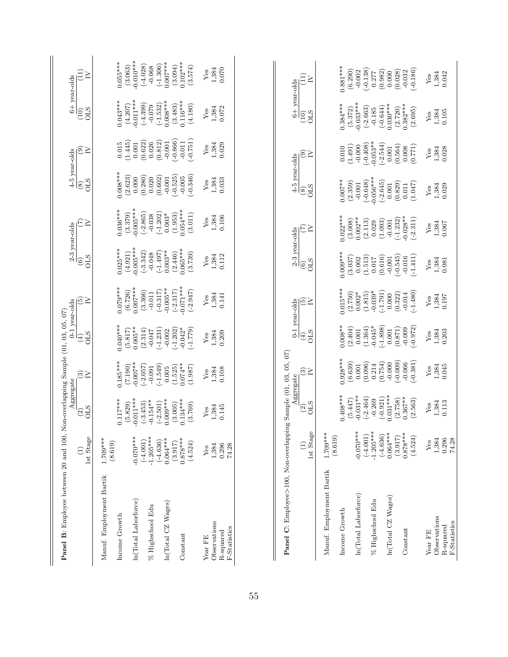| Panel B: Employee between 20 and 100, N   |                                  | Aggregate                        | on-overlapping Sample (01, 03, 05, 07) |                                       | 0-1 year-olds                           |                                      | 2-3 year-olds                          | 4-5 year-olds                      |                                 |                                  | 6+ year-olds                      |
|-------------------------------------------|----------------------------------|----------------------------------|----------------------------------------|---------------------------------------|-----------------------------------------|--------------------------------------|----------------------------------------|------------------------------------|---------------------------------|----------------------------------|-----------------------------------|
|                                           | 1st Stage<br>$\widehat{\Xi}$     | <b>CLS</b><br>$\overline{2}$     | $\mathfrak{S}_{\mathsf{N}}$            | <b>CLIO</b><br>$\left( 4\right)$      | তি≥                                     | <b>OLS</b><br>$\widehat{6}$          | EZ                                     | <b>OLS</b><br>$\circledast$        | ®≧                              | $\sum_{i=1}^{n}$<br>(10)         | (11)<br>≧                         |
| Manuf. Employment Bartik                  | 1.709***<br>(8.619)              |                                  |                                        |                                       |                                         |                                      |                                        |                                    |                                 |                                  |                                   |
| Income Growth                             |                                  | $0.117***$<br>(5.829)            | $0.185***$<br>(7.190)                  | $0.040***$<br>(5.817)                 | $0.079***$<br>(6.726)                   | $0.025***$<br>(4.921)                | $0.036***$<br>(3.379)                  | $0.008***$<br>(2.623)              | (1.445)<br>0.015                | $0.043***$<br>(4.207)            | $0.055***$<br>(3.063)             |
| In(Total Laborforce)                      | $-0.070***$<br>$(-4.001)$        | $-0.011***$<br>$(-3.453)$        | $-0.007$ **<br>$(-2.057)$              | $0.005**$<br>(2.314)                  | $0.007***$<br>(3.366)                   | $-0.005***$<br>$(-3.342)$            | $-0.005***$<br>$(-2.865)$              | (0.280)<br>0.000                   | (0.622)<br>$0.001\,$            | $-0.011***$<br>$(-4.399)$        | $-0.010***$<br>$(-4.028)$         |
| % Highschool Edu                          | $-1.205***$<br>$(-4.636)$        | $-0.154**$<br>$(-2.501)$         | $(-1.549)$<br>$-0.091$                 | $(-1.231)$<br>$-0.047$                | $(-0.317)$<br>$-0.011$                  | $(-1.497)$<br>$-0.048$               | $(-1.202)$<br>$-0.038$                 | (0.602)<br>0.020                   | (0.812)<br>0.026                | $(-1.532)$<br>$-0.079$           | $(-1.306)$<br>$-0.068$            |
| In(Total CZ Wages)                        | $0.064***$                       | $0.009***$                       | 0.005                                  | $-0.002$                              | $-0.005**$                              | $0.003**$                            | $0.003*$                               | $-0.001$                           | $-0.001$                        | $0.008***$                       | $0.007***$                        |
| Constant                                  | $0.878***$<br>(4.524)<br>(3.917) | $0.134***$<br>(3.005)<br>(3.769) | $0.074***$<br>(1.525)<br>(1.987)       | $-0.042*$<br>$(-1.202)$<br>$(-1.779)$ | $-0.071***$<br>$(-2.947)$<br>$(-2.317)$ | $0.065***$<br>(2.446)<br>(3.739)     | $0.054***$<br>(1.953)<br>(3.011)       | $-0.346$<br>$(-0.525)$<br>$-0.005$ | $(-0.866)$<br>(151)<br>$-0.011$ | $0.116***$<br>(3.483)<br>(4.180) | $0.102***$<br>(3.094)<br>(3.574)  |
| Year FE                                   | ${\rm Yes}$                      | Yes                              | Yes                                    | Yes                                   | Yes                                     | Yes                                  | Yes                                    | $Y$ es                             | ${\rm Yes}$                     | $Y$ es                           | Yes                               |
| Observations<br>F-Statistics<br>R-squared | 1,384<br>0.296<br>74.28          | 1,384<br>0.145                   | 1,384<br>0.108                         | 1,384<br>0.209                        | 1,384<br>0.141                          | 1,384<br>0.112                       | 1,384<br>0.106                         | 1,384<br>0.033                     | 1,384<br>0.029                  | 1,384<br>0.072                   | 1,384<br>0.070                    |
| Panel C: Employee>100, Non-overlappin     |                                  | $\overline{2}$                   | g Sample (01, 03, 05, 07)<br>Aggregate | $\widehat{E}$                         | $0-1$ year-olds                         | 2-3 year-olds<br>$\widehat{c}$       |                                        | 4-5 year-olds<br>$\circled{s}$     |                                 | 6+ year-olds<br>(10)             | (11)                              |
|                                           | $(1)$<br>Lst Stage               | <b>OLS</b>                       | $\frac{1}{2}$                          | <b>CLS</b>                            | তি≍                                     | <b>STO</b>                           | $\epsilon$                             | <b>OLS</b>                         | $\widehat{\mathfrak{S}}$        | <b>STO</b>                       | Σ                                 |
| Manuf. Employment Bartik                  | $1.709***$<br>(8.619)            |                                  |                                        |                                       |                                         |                                      |                                        |                                    |                                 |                                  |                                   |
| Income Growth                             |                                  | $0.408***$<br>(5.447)            | $0.928***$<br>(6.639)                  | $0.008**$                             | $0.015***$<br>(2.750)                   | $0.009***$<br>(3.037)                | $0.022***$<br>(3.008)                  | $0.007**$<br>(2.359)               | (1.491)<br>0.010                | $0.384***$<br>(5.372)            | $0.881***$<br>(6.290)             |
| In(Total Laborforce)                      | $-0.070***$<br>$(-4.001)$        | $-0.031**$                       | (0.096)<br>$0.001\,$                   | (2.404)<br>(1.364)<br>$0.001\,$       | $0.002*$                                | 0.002                                | $0.002**$<br>(2.113)                   | $(-0.648)$<br>$-0.001$             | $(-0.408)$<br>$-0.000$          | $-0.033***$<br>$(-2.663)$        | $(-0.138)$<br>$-0.002$            |
| % Highschool Edu                          | $-1.205***$                      | $(-2.464)$<br>$-0.269$           | 0.214                                  | $-0.045*$                             | $-0.039*$<br>(1.815)                    | (1.513)<br>0.017                     | 0.029                                  | $0.056***$                         | $0.053**$                       | $-0.185$                         | 0.277                             |
| In(Total CZ Wages)                        | $0.064***$<br>$(-4.636)$         | $0.031***$<br>$(-0.921)$         | (0.754)<br>$-0.000$                    | $(-1.898)$<br>$0.001\,$               | $(-1.791)$<br>0.000                     | (0.616)<br>$-0.001$                  | (1.093)<br>$-0.001$                    | $(-2.645)$<br>$0.001\,$            | $(-2.544)$<br>$0.001\,$         | $0.030***$<br>$(-0.644)$         | (0.982)<br>0.000                  |
| Constant                                  | $0.878***$<br>(4.524)<br>(3.917) | $0.367**$<br>(2.758)<br>(2.563)  | $(-0.009)$<br>$(-0.381)$<br>$-0.066$   | $(-0.972)$<br>(0.871)<br>$-0.009$     | $-1.480$<br>(0.322)<br>$-0.014$         | $(-0.545)$<br>$(-1.411)$<br>$-0.016$ | $-0.028**$<br>$(-2.311)$<br>$(-1.232)$ | (0.829)<br>(1.047)<br>0.011        | (0.564)<br>(0.771)<br>0.008     | $0.382***$<br>(2.720)<br>(2.695) | $(-0.186)$<br>(0.028)<br>$-0.032$ |
| Year FE                                   | Yes                              | Yes                              | Yes                                    | Yes                                   | Yes                                     | ${\rm Yes}$                          | Yes                                    | ${\rm Yes}$                        | Yes                             | Yes                              | Yes                               |
| Observations<br>R-squared                 | 1,384<br>0.296                   | 1,384<br>0.113                   | 1,384<br>0.045                         | 1,384<br>0.203                        | 1,384<br>0.197                          | $1,384$<br>$0.081$                   | 1,384<br>0.067                         | 1,384<br>0.029                     | 0.028<br>1,384                  | 1,384<br>0.105                   | 1,384<br>0.042                    |
| F-Statistics                              | 74.28                            |                                  |                                        |                                       |                                         |                                      |                                        |                                    |                                 |                                  |                                   |